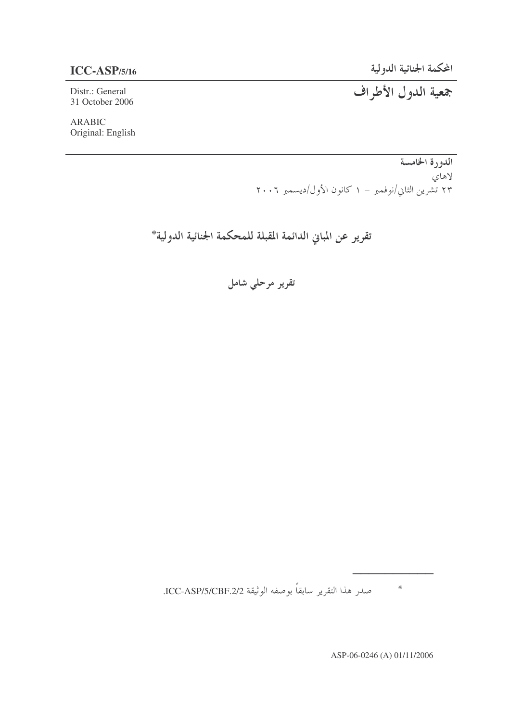31 October 2006

-  **-ASP/5/16**

Distr.: General -

ARABIC Original: English

> الدورة الخامسة لاهاي ۲۳ تشرین الثاني/نوفمبر – ۱ کانون الأول/دیسمبر ۲۰۰٦

تقرير عن المباني الدائمة المقبلة للمحكمة الجنائية الدولية\*

تقریر مرحلی شامل

صدر هذا التقرير سابقا بوصفه الوثيقة ICC-ASP/5/CBF.2/2. #

ASP-06-0246 (A) 01/11/2006

""""""""""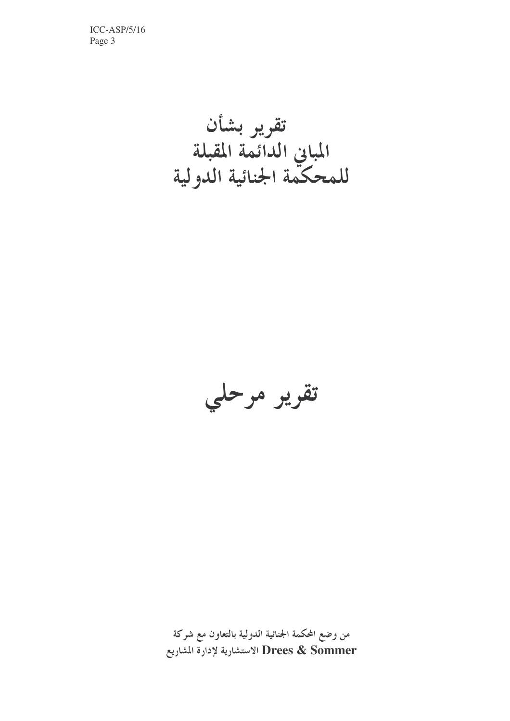تقرير بشأن<br>المباني الدائمة المقبلة<br>للمحكمة الجنائية الدولية



من وضع المحكمة الجنائية الدولية بالتعاون مع شركة Drees & Sommer الاستشارية لإدارة المشاريع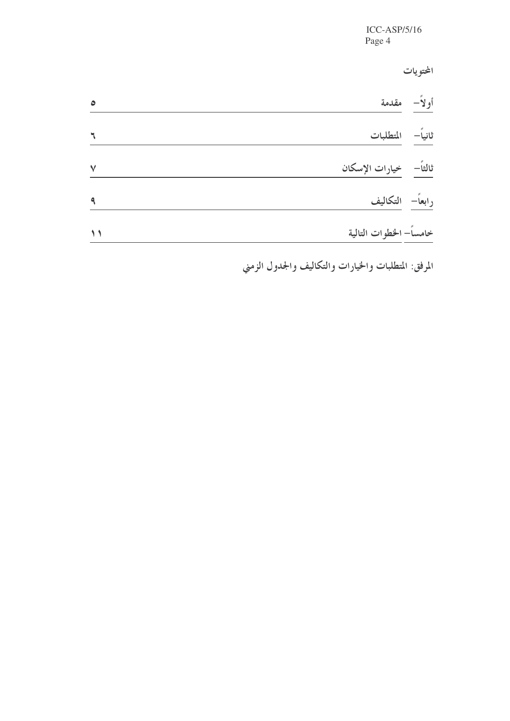المحتويات

| $\bullet$ | أولاً– مقدمة             |  |
|-----------|--------------------------|--|
|           | ثانياً المتطلبات         |  |
| $\vee$    | ثالثاً–   خيارات الإسكان |  |
|           | رابعاً– التكاليف         |  |
| $\lambda$ | خامساً– الخطوات التالية  |  |

المرفق: المتطلبات والخيارات والتكاليف والجدول الزمني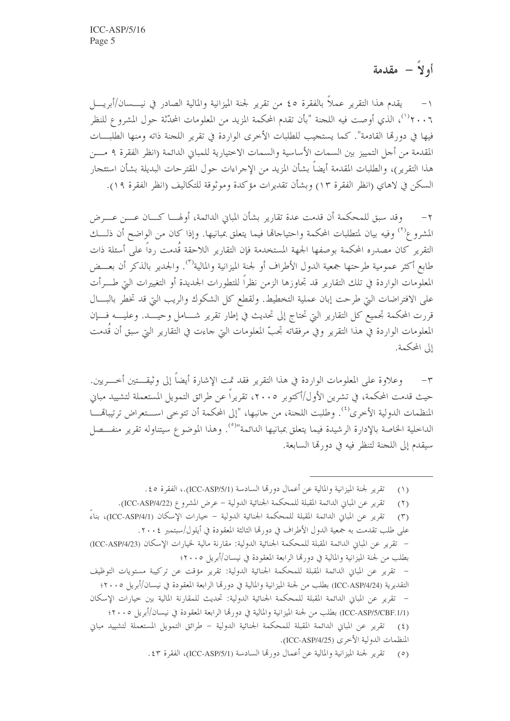أولاً – مقدمة

يقدم هذا التقرير عملاً بالفقرة ٤٥ من تقرير لجنة الميزانية والمالية الصادر في نيــــسان/أبريـــــل ٢٠٠٦')، الذي أوصت فيه اللجنة "بأن تقدم المحكمة المزيد من المعلومات المحدَّثة حول المشروع للنظر فيها في دورتما القادمة". كما يستجيب للطلبات الأخرى الواردة في تقرير اللجنة ذاته ومنها الطلبـــات المقدمة من أجل التمييز بين السمات الأساسية والسمات الاختيارية للمباني الدائمة (انظر الفقرة ٩ مـــن هذا التقرير )، والطلبات المقدمة أيضاً بشأن المزيد من الإجراءات حول المقترحات البديلة بشأن استئجار السكن في لاهاي (انظر الفقرة ١٣) وبشأن تقديرات مؤكدة وموثوقة للتكاليف (انظر الفقرة ١٩).

٢ – وقد سبق للمحكمة أن قدمت عدة تقارير بشأن المباين الدائمة، أولهـــا كــــان عــــن عــــرض المشروع<sup>(٢)</sup> وفيه بيان لمتطلبات المحكمة واحتياجالها فيما يتعلق بمبانيها. وإذا كان من الواضح أن ذلــــك التقرير كان مصدره المحكمة بوصفها الجهة المستخدمة فإن التقارير اللاحقة قُدمت رداً على أسئلة ذات طابع أكثر عمومية طرحتها جمعية الدول الأطراف أو لجنة الميزانية والمالية<sup>(٣)</sup>. والجدير بالذكر أن بعــض المعلومات الواردة في تلك التقارير قد تجاوزها الزمن نظراً للتطورات الجديدة أو التغييرات التي طــــرأت على الافتراضات التي طرحت إبان عملية التخطيط. ولقطع كل الشكوك والريب التي قد تخطر بالبسال قررت المحكمة تجميع كل التقارير التي تحتاج إلى تحديث في إطار تقرير شـــامل وحيـــد. وعليــــه فـــإن المعلومات الواردة في هذا التقرير وفي مرفقاته تجبُّ المعلومات التي جاءت في التقارير التي سبق أن قَدمت إلى المحكمة.

٣– وعلاوة على المعلومات الواردة في هذا التقرير فقد تمت الإشارة أيضاً إلى وثيقـــتين أحـــريين. حيث قدمت المحكمة، في تشرين الأول/أكتوبر ٢٠٠٥، تقريراً عن طرائق التمويل المستعملة لتشييد مباني المنظمات الدولية الأخرى<sup>(٤)</sup>. وطلبت اللجنة، من جانبها، "إلى المحكمة أن تتوخى اســـتعراض ترتيباهّــــا الداخلية الخاصة بالإدارة الرشيدة فيما يتعلق بمبانيها الدائمة"<sup>(٥)</sup>. وهذا الموضوع سيتناوله تقرير منفـــصل سيقدم إلى اللجنة لتنظر فيه في دورتها السابعة.

> تقرير لجنة الميزانية والمالية عن أعمال دورتما السادسة (ICC-ASP/5/1).، الفقرة ٤٥.  $(1)$

تقرير عن المباين الدائمة المقبلة للمحكمة الجنائية الدولية – عرض المشروع (ICC-ASP/4/22).  $(5)$ تقرير عن المباني الدائمة المقبلة للمحكمة الجنائية الدولية – خيارات الإسكان (ICC-ASP/4/1)، بناءً  $(\Upsilon)$ على طلب تقدمت به جمعية الدول الأطراف في دو, مّا الثالثة المعقودة في أيلول/سبتمبر ٢٠٠٤. – تقرير عن المباني الدائمة المقبلة للمحكمة الجنائية الدولية: مقارنة مالية لخيارات الإسكان (ICC-ASP/4/23) بطلب من لجنة الميزانية والمالية في دورتما الرابعة المعقودة في نيسان/أبريل ٢٠٠٥؛ – تقرير عن المباني الدائمة المقبلة للمحكمة الجنائية الدولية: تقرير مؤقت عن تركيبة مستويات التوظيف التقديرية (ICC-ASP/4/24) بطلب من لجنة الميزانية والمالية في دورتما الرابعة المعقودة في نيسان/أبريل ٢٠٠٥؛ – تقرير عن المبان الدائمة المقبلة للمحكمة الجنائية الدولية: تحديث للمقارنة المالية بين حيارات الإسكان (ICC-ASP/5/CBF.1/1) بطلب من لجنة الميزانية والمالية في دورتما الرابعة المعقودة في نيسان/أبريل ٢٠٠٥؛ تقرير عن المباني الدائمة المقبلة للمحكمة الجنائية الدولية – طرائق التمويل المستعملة لتشييد مباني  $(5)$ المنظمات الدولية الأخرى (ICC-ASP/4/25). (٥) تقرير لجنة الميزانية والمالية عن أعمال دورتما السادسة (ICC-ASP/5/1)، الفقرة ٤٣.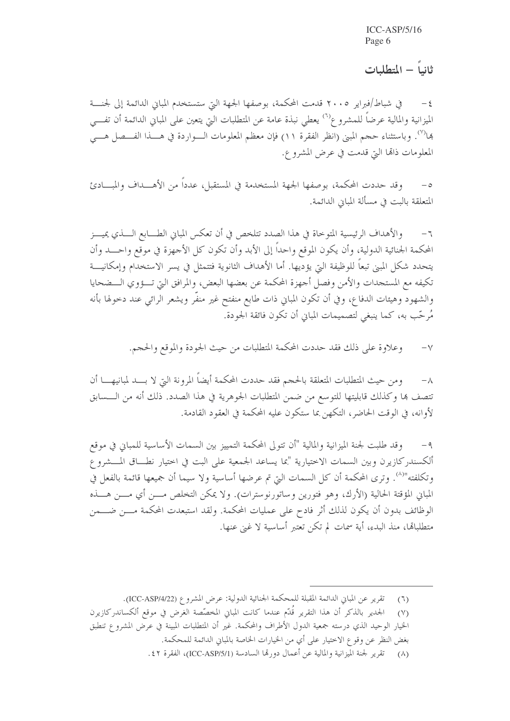ثانياً – المتطلبات

في شباط/فبراير ٢٠٠٥ قدمت المحكمة، بوصفها الجهة التي ستستخدم المباني الدائمة إلى لجنسة الميزانية والمالية عرضاً للمشرو ع<sup>(٦)</sup> يعطى نبذة عامة عن المتطلبات التي يتعين على المباني الدائمة أن تفـــي بما<sup>(٧)</sup>. وباستثناء حجم المبني (انظر الفقرة ١١) فإن معظم المعلومات الـــواردة في هــــذا الفــــصل هــــي المعلومات ذاتها التي قدمت في عرض المشروع.

وقد حددت المحكمة، بوصفها الجهة المستخدمة في المستقبل، عدداً من الأهــــداف والمبــــادئ  $-\circ$ المتعلقة بالبت في مسألة المبايي الدائمة.

والأهداف الرئيسية المتوخاة في هذا الصدد تتلخص في أن تعكس المباني الطــــابع الــــذي يميــــز  $-7$ المحكمة الجنائية الدولية، وأن يكون الموقع واحداً إلى الأبد وأن تكون كل الأجهزة في موقع واحـــد وأن يتحدد شكل المبيي تبعاً للوظيفة التي يؤديها. أما الأهداف الثانوية فتتمثل في يسر الاستخدام وإمكانيـــة تكيفه مع المستجدات والأمن وفصل أجهزة المحكمة عن بعضها البعض، والمرافق التي تـــؤوي الـــضحايا والشهود وهيئات الدفاع، وفي أن تكون المباين ذات طابع منفتح غير منفَّر ويشعر الرائبي عند دحولها بأنه مُرحَّب به، كما ينبغي لتصميمات المبايي أن تكون فائقة الجودة.

> وعلاوة على ذلك فقد حددت المحكمة المتطلبات من حيث الجودة والموقع والحجم.  $-\vee$

ومن حيث المتطلبات المتعلقة بالحجم فقد حددت المحكمة أيضاً المرونة التي لا بــــد لمبانيهـــــا أن  $-\lambda$ تتصف ها وكذلك قابليتها للتوسع من ضمن المتطلبات الجوهرية في هذا الصدد. ذلك أنه من الـــسابق لأوانه، في الوقت الحاضر، التكهن بما ستكون عليه المحكمة في العقود القادمة.

وقد طلبت لجنة الميزانية والمالية "أن تتولى المحكمة التمييز بين السمات الأساسية للمبايي في موقع  $-9$ ألكسندركازيرن وبين السمات الاختيارية "بما يساعد الجمعية على البت في اختيار نطــاق المــشروع وتكلفته"<sup>(٨)</sup>. وترى المحكمة أن كل السمات التي تم عرضها أساسية ولا سيما أن جميعها قائمة بالفعل في المباني المؤقتة الحالية (الأرك، وهو فتورين وساتورنوسترات). ولا يمكن التخلص مـــن أي مـــن هــــذه الوظائف بدون أن يكون لذلك أثر فادح على عمليات المحكمة. ولقد استبعدت المحكمة مــــن ضــــمن متطلباقما، منذ البدء، أية سمات لم تكن تعتبر أساسية لا غني عنها.

تقرير عن المباني الدائمة المقبلة للمحكمة الجنائية الدولية: عرض المشروع (ICC-ASP/4/22).  $(7)$ 

الجدير بالذكر أن هذا التقرير قُدَّم عندما كانت المباني المخصَّصة الغرض في موقع ألكساندركازيرن  $(Y)$ 

الخيار الوحيد الذي درسته جمعية الدول الأطراف والمحكمة. غير أن المتطلبات المبينة في عرض المشروع تنطبق

بغض النظر عن وقو ع الاختيار على أي من الخيارات الخاصة بالمباني الدائمة للمحكمة.

<sup>(</sup>٨) تقرير لجنة الميزانية والمالية عن أعمال دورتما السادسة (ICC-ASP/5/1)، الفقرة ٤٢.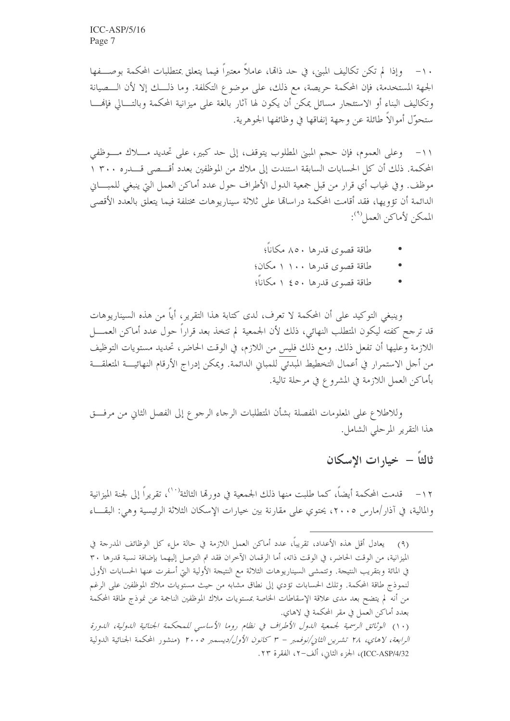١٠– وإذا لم تكن تكاليف المبيي، في حد ذاها، عاملاً معتبراً فيما يتعلق بمتطلبات المحكمة بوصـــفها الجهة المستخدمة، فإن المحكمة حريصة، مع ذلك، على موضوع التكلفة. وما ذلـــك إلا لأن الـــصيانة وتكاليف البناء أو الاستئجار مسائل يمكن أن يكون لها آثار بالغة على ميزانية المحكمة وبالتـــالي فإنهــــا ستحوَّل أموالاً طائلة عن وجهة إنفاقها في وظائفها الجوهرية.

١١- وعلى العموم، فإن حجم المبنى المطلوب يتوقف، إلى حد كبير، على تحديد مــــلاك مــــوظفى المحكمة. ذلك أن كل الحسابات السابقة استندت إلى ملاك من الموظفين بعدد أقــــصى قــــدره ٣٠٠ ١ موظف. وفي غياب أي قرار من قبل جمعية الدول الأطراف حول عدد أماكن العمل التي ينبغي للمبـــاني الدائمة أن تؤويها، فقد أقامت المحكمة دراسالها على ثلاثة سيناريوهات مختلفة فيما يتعلق بالعدد الأقصى الممكن لأماكن العمل (٩):

- طاقة قصوى قدرها ٨٥٠ مكاناً؛
- طاقة قصوى قدرها ١٠٠ ١ مكان؛
- طاقة قصوى قدرها ٤٥٠ ١ مكاناً؛

وينبغي التوكيد على أن المحكمة لا تعرف، لدى كتابة هذا التقرير، أياً من هذه السيناريوهات قد ترجح كفته ليكون المتطلب النهائي، ذلك لأن الجمعية لم تتخذ بعد قراراً حول عدد أماكن العمــــل اللازمة وعليها أن تفعل ذلك. ومع ذلك فليس من اللازم، في الوقت الحاضر، تحديد مستويات التوظيف من أحل الاستمرار في أعمال التخطيط المبدئي للمباني الدائمة. ويمكن إدراج الأرقام النهائيــــة المتعلقــــة بأماكن العمل اللازمة في المشروع في مرحلة تالية.

وللاطلاع على المعلومات المفصلة بشأن المتطلبات الرجاء الرجوع إلى الفصل الثاني من مرفـــق هذا التقرير المرحلي الشامل.

١٢ – قدمت المحكمة أيضاً، كما طلبت منها ذلك الجمعية في دورها الثالثة<sup>(١٠)</sup>، تقريراً إلى لجنة الميزانية والمالية، في آذار /مارس ٢٠٠٥، يحتوي على مقارنة بين حيارات الإسكان الثلاثة الرئيسية وهي: البقــاء

<sup>(</sup>٩) يعادل أقل هذه الأعداد، تقريباً، عدد أماكن العمل اللازمة في حالة ملء كل الوظائف المدرجة في الميزانية، من الوقت الحاضر، في الوقت ذاته، أما الرقمان الآخران فقد تم التوصل إليهما بإضافة نسبة قدرها ٣٠ في المائة وبتقريب النتيجة. وتتمشى السيناريوهات الثلاثة مع النتيجة الأولية التي أسفرت عنها الحسابات الأولى لنموذج طاقة المحكمة. وتلك الحسابات تؤدي إلى نطاق مشابه من حيث مستويات ملاك الموظفين على الرغم من أنه لم يتضح بعد مدى علاقة الإسقاطات الخاصة بمستويات ملاك الموظفين الناجمة عن نموذج طاقة المحكمة بعدد أماكن العمل في مقر المحكمة في لاهاي. (١٠) الوثائق الرسمية لجمعية اللهول الأطراف في نظام روما الأساسي للمحكمة الجنائية اللهولية، اللهورة *الرابعة، لاهاي، ٢٨ تشرين الثاني/نوفمبر - ٣ كانون الأول/ديسمبر ٢٠٠٥* (منشور المحكمة الجنائية الدولية ICC-ASP/4/32)، الجزء الثاني، ألف-٢، الفقرة ٢٣.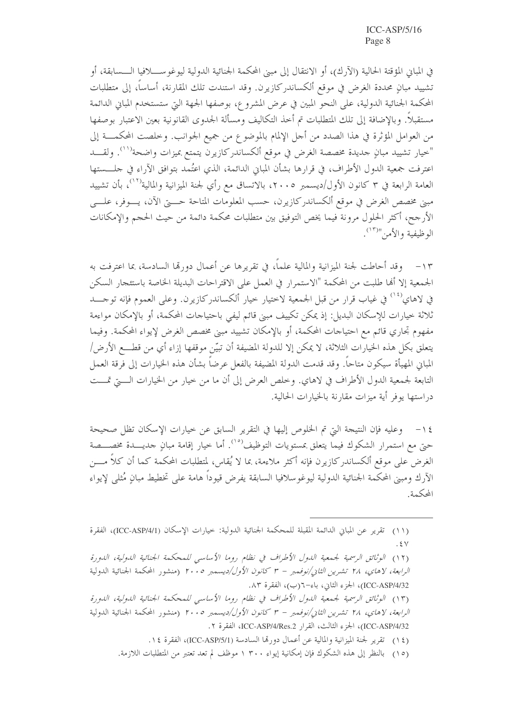في المباني المؤقتة الحالية (الآرك)، أو الانتقال إلى مبين المحكمة الجنائية الدولية ليوغو ســـــلافيا الــــسابقة، أو تشييد مبانٍ محددة الغرض في موقع ألكساندركازيرن. وقد استندت تلك المقارنة، أساساً، إلى متطلبات المحكمة الجنائية الدولية، على النحو المبين في عرض المشروع، بوصفها الجهة التي ستستخدم المباني الدائمة مستقبلاً. وبالإضافة إلى تلك المتطلبات تم أحذ التكاليف ومسألة الجدوى القانونية بعين الاعتبار بوصفها من العوامل المؤثِّرة في هذا الصدد من أجل الإلمام بالموضوع من جميع الجوانب. وخلصت المحكمــــة إلى "خيار تشييد مبانٍ حديدة مخصصة الغرض في موقع ألكساندركازيرن يتمتع بميزات واضحة''''. ولقــــد اعترفت جمعية الدول الأطراف، في قرارها بشأن المباين الدائمة، الذي اعتُمد بتوافق الآراء في حلــــستها العامة الرابعة في ٣ كانون الأول/ديسمبر ٢٠٠٥، بالاتساق مع رأي لجنة الميزانية والمالية'''، بأن تشييد مبين مخصص الغرض في موقع ألكساندركازيرن، حسب المعلومات المتاحة حـــــتي الآن، يـــــوفر، علـــــي الأرجح، أكثر الحلول مرونة فيما يخص التوفيق بين متطلبات محكمة دائمة من حيث الحجم والإمكانات الوظيفية والأمن"(١٣).

١٣ – وقد أحاطت لجنة الميزانية والمالية علماً، في تقريرها عن أعمال دو, لها السادسة، بما اعترفت به الجمعية إلا ألها طلبت من المحكمة "الاستمرار في العمل على الاقتراحات البديلة الخاصة باستئجار السكن في لاهاي<sup>(١٤</sup>) في غياب قرار من قبل الجمعية لاختيار خيار ألكساندركازيرن. وعلى العموم فإنه توجـــد ثلاثة خيارات للإسكان البديل: إذ يمكن تكييف مبين قائم ليفي باحتياجات المحكمة، أو بالإمكان مواءمة مفهوم تجاري قائم مع احتياجات المحكمة، أو بالإمكان تشييد مبني مخصص الغرض لإيواء المحكمة. وفيما يتعلق بكل هذه الخيارات الثلاثة، لا يمكن إلا للدولة المضيفة أن تبيَّن موقفها إزاء أي من قطـــع الأرض/ المباني المهيأة سيكون متاحاً. وقد قدمت الدولة المضيفة بالفعل عرضاً بشأن هذه الخيارات إلى فرقة العمل التابعة لجمعية الدول الأطراف في لاهاي. وخلص العرض إلى أن ما من حيار من الخيارات الــــتي تمـــت در استها يوفر أية ميزات مقارنة بالخيارات الحالية.

١٤ - وعليه فإن النتيجة التي تم الخلوص إليها في التقرير السابق عن خيارات الإسكان تظل صحيحة حتى مع استمرار الشكوك فيما يتعلق بمستويات التوظيف<sup>(٥٠)</sup>. أما خيار إقامة مبانٍ جديــــدة مخصــــصة الغرض على موقع ألكساندركازيرن فإنه أكثر ملاءمة، بما لا يُقاس، لمتطلبات المحكمة كما أن كلاً مــــن الآرك ومبين المحكمة الجنائية الدولية ليوغوسلافيا السابقة يفرض قيوداً هامة على تخطيط مبانٍ مُثلى لإيواء المحكمة

(١٢) الوثائق الرسمية لجمعية الدول الأطراف في نظام روما الأساسي للمحكمة الجنائية الدولية، الدورة *الرابعة، لاهاي، ٢٨ تشرين الثاني/نوفممبر - ٣ كانون الأول/ديسمبر ٢٠٠٥* (منشور المحكمة الجنائية الدولية ICC-ASP/4/32)، الجزء الثاني، باء−٦(ب)، الفقرة ٨٣.

(١٣) الوثائق الرسمية لجمعية الدول الأطراف في نظام روما الأساسي للمحكمة الجنائية الدولية، الدورة الرابعة، لاهاي، ٢٨ تشرين الثاني/نوفممبر - ٣ كانون الأول/ديسمبر ٢٠٠٥ (منشور المحكمة الجنائية الدولية ICC-ASP/4/32)، الجزء الثالث، القرار ICC-ASP/4/Res.2، الفقرة ٢.

(١٤) تقرير لجنة الميزانية والمالية عن أعمال دورقما السادسة (ICC-ASP/5/1)، الفقرة ١٤.

(١٥) بالنظر إلى هذه الشكوك فإن إمكانية إيواء ٣٠٠ ١ موظف لم تعد تعتبر من المتطلبات اللازمة.

<sup>(</sup>١١) تقرير عن المباني الدائمة المقبلة للمحكمة الجنائية الدولية: خيارات الإسكان (ICC-ASP/4/1)، الفقرة  $.5V$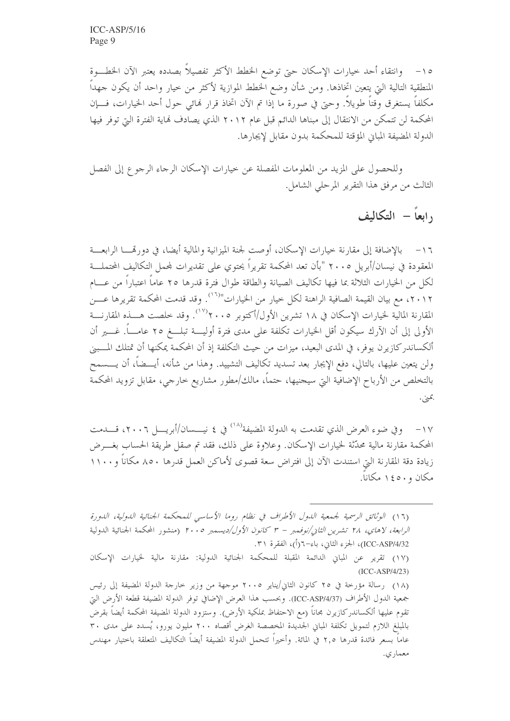٥١- وانتقاء أحد حيارات الإسكان حتى توضع الخطط الأكثر تفصيلاً بصدده يعتبر الآن الخطـــوة المنطقية التالية التي يتعين اتخاذها. ومن شأن وضع الخطط الموازية لأكثر من حيار واحد أن يكون جهداً مكلفاً يستغرق وقتاً طويلاً. وحيّ في صورة ما إذا تم الآن اتخاذ قرار لهائي حول أحد الخيارات، فـــإن المحكمة لن تتمكن من الانتقال إلى مبناها الدائم قبل عام ٢٠١٢ الذي يصادف فماية الفترة التي توفر فيها الدولة المضيفة المبايي المؤقتة للمحكمة بدون مقابل لإيجارها.

وللحصول على المزيد من المعلومات المفصلة عن حيارات الإسكان الرجاء الرجوع إلى الفصل الثالث من مرفق هذا التقرير المرحلي الشامل.

# رابعاً – التكاليف

١٦ – بالإضافة إلى مقارنة خيارات الإسكان، أوصت لجنة الميزانية والمالية أيضا، في دورتمســا الرابعـــة المعقودة في نيسان/أبريل ٢٠٠٥ "بأن تعد المحكمة تقريراً يحتوى على تقديرات لمحمل التكاليف المحتملـــة لكل من الخيارات الثلاثة بما فيها تكاليف الصيانة والطاقة طوال فترة قدرها ٢٥ عاماً اعتباراً من عـــام ٢٠١٢، مع بيان القيمة الصافية الراهنة لكل حيار من الخيارات"'``. وقد قدمت المحكمة تقريرها عــــن المقارنة المالية لحيارات الإسكان في ١٨ تشرين الأول/أكتوبر ٢٠٠٥'`. وقد حلصت هــــذه المقارنــــة الأولى إلى أن الآرك سيكون أقل الخيارات تكلفة على مدى فترة أوليــــة تبلــــغ ٢٥ عامــــاً. غـــــير أن ألكساندركازيرن يوفر، في المدى البعيد، ميزات من حيث التكلفة إذ أن المحكمة يمكنها أن تمتلك المسبني ولن يتعين عليها، بالتالي، دفع الإيجار بعد تسديد تكاليف التشييد. وهذا من شأنه، أيـــضاً، أن يــــسمح بالتخلص من الأرباح الإضافية التي سيجنيها، حتماً، مالك/مطور مشاريع خارجي، مقابل تزويد المحكمة بمني.

١٧ – وفي ضوء العرض الذي تقدمت به الدولة المضيفة'``` في ٤ نيــــسان/أبريــــل ٢٠٠٦، قــــدمت المحكمة مقارنة مالية محدِّثة لحيارات الإسكان. وعلاوة على ذلك، فقد تم صقل طريقة الحساب بغـــرض زيادة دقة المقارنة التي استندت الآن إلى افتراض سعة قصوى لأماكن العمل قدرها ٨٥٠ مكاناً و١١٠٠ مكان و ١٤٥٠ مكاناً.

(١٦) الوثائق الرسمية لجمعية الدول الأطراف في نظام روما الأساسي للمحكمة الجنائية الدولية، الدورة *الرابعة، لاهاي، ٢٨ تشرين الثاني/نوفمبر – ٣ كانون الأول/ديسمبر ٢٠٠٥* (منشور المحكمة الجنائية الدولية ICC-ASP/4/32)، الجزء الثاني، باء−٦(أ)، الفقرة ٣١.

<sup>(</sup>١٧) تقرير عن المباني الدائمة المقبلة للمحكمة الجنائية الدولية: مقارنة مالية لخيارات الإسكان  $(ICC-ASP/4/23)$ 

<sup>(</sup>١٨) رسالة مؤرخة في ٢٥ كانون الثاني/يناير ٢٠٠٥ موجهة من وزير خارجة الدولة المضيفة إلى رئيس جمعية الدول الأطراف (ICC-ASP/4/37). وبحسب هذا العرض الإضافي توفر الدولة المضيفة قطعة الأرض التي تقوم عليها ألكساندركازيرن مجاناً (مع الاحتفاظ بملكية الأرض). وستزود الدولة المضيفة المحكمة أيضا بقرض بالمبلغ اللازم لتمويل تكلفة المباني الجديدة المخصصة الغرض أقصاه ٢٠٠ مليون يورو، يُسدد على مدى ٣٠ عاماً بسعر فائدة قدرها ٢,٥ في المائة. وأخيراً تتحمل الدولة المضيفة أيضاً التكاليف المتعلقة باختيار مهندس معماري.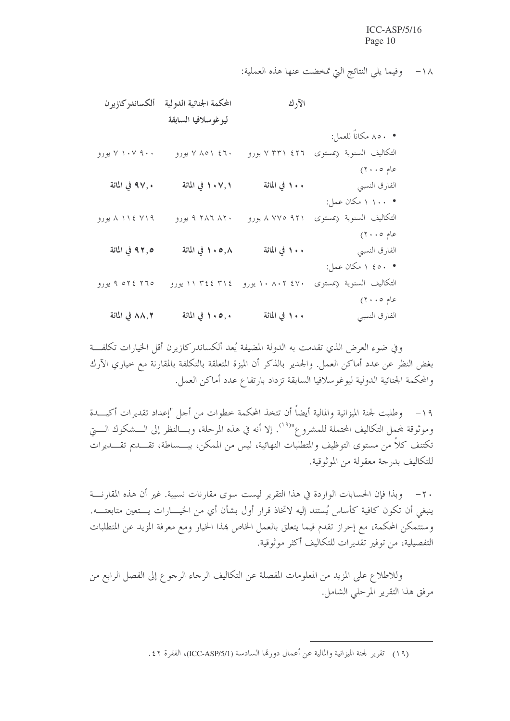١٨- وفيما يلي النتائج التي تمخضت عنها هذه العملية:

|                          | الآرك           | المحكمة الجنائية الدولية | ألكساندر كازير ن |
|--------------------------|-----------------|--------------------------|------------------|
|                          |                 | ليوغوسلافيا السابقة      |                  |
| • ٨٥٠ مكاناً للعمل:      |                 |                          |                  |
| التكاليف السنوية (بمستوى | ۷ ۳۳۱ ٤٢٦ يورو  | ۷ ۸۵۱ ۶٦۰ یورو           | ۷ ۱۰۷ ۹۰۰ یورو   |
| عام ۲۰۰۵)                |                 |                          |                  |
| الفارق النسبي            | ۱۰۰ في المائة   | ٠٧,١ في المائة           | ٩٧,٠ في المائة   |
| • ۱۰۰ ۱ مکان عمل:        |                 |                          |                  |
| التكاليف السنوية (بمستوى | ۹۲۱ ۷۷۵ ۸ یورو  | ۹ ۲۸۶ ۸۲۰ یورو           | ۸ ۱۱٤ ۷۱۹ یورو   |
| عام ۲۰۰۵)                |                 |                          |                  |
| الفارق النسبي            | ١٠٠ في المائة   | ٠٠٥,٨ في المائة          | ٩٢,٥ في المائة   |
| • ٤٥٠ ١ مكان عمل:        |                 |                          |                  |
| التكاليف السنوية (بمستوى | ۱۰ ۸۰۲ ٤۷۰ یورو | ۱۱ ۳٤٤ ۳۱٤ يورو          | ۹ ۵۲٤ ۲٦٥ يورو   |
| عام ۲۰۰٥)                |                 |                          |                  |
| الفارق النسبي            | ١٠٠ في المائة   | ١٠٥,٠ في المائة          | ٨٨,٢ في المائة   |

وفي ضوء العرض الذي تقدمت به الدولة المضيفة يُعد ألكساندر كازيرن أقل الخيارات تكلفـــة بغض النظر عن عدد أماكن العمل. والجدير بالذكر أن الميزة المتعلقة بالتكلفة بالمقارنة مع خياري الآرك والمحكمة الجنائية الدولية ليوغوسلافيا السابقة تزداد بارتفاع عدد أماكن العمل.

١٩ – وطلبت لجنة الميزانية والمالية أيضاً أن تتخذ المحكمة خطوات من أجل "إعداد تقديرات أكيـــدة وموثوقة لمحمل التكاليف المحتملة للمشروع"<sup>(١٩)</sup>. إلا أنه في هذه المرحلة، وبـــالنظر إلى الـــشكوك الــــتي تكتنف كلاً من مستوى التوظيف والمتطلبات النهائية، ليس من الممكن، ببـــساطة، تقــــديم تقــــديرات للتكاليف بدرجة معقولة من الموثوقية.

٢٠ – وبذا فإن الحسابات الواردة في هذا التقرير ليست سوى مقارنات نسبية. غير أن هذه المقارنـــة ينبغي أن تكون كافية كأساس يُستند إليه لاتخاذ قرار أول بشأن أي من الخيـــارات يـــتعين متابعتــــه. وستتمكن المحكمة، مع إحراز تقدم فيما يتعلق بالعمل الخاص بمذا الخيار ومع معرفة المزيد عن المتطلبات التفصيلية، من توفير تقديرات للتكاليف أكثر موثوقية.

وللاطلاع على المزيد من المعلومات المفصلة عن التكاليف الرجاء الرجوع إلى الفصل الرابع من مرفق هذا التقرير المرحلي الشامل.

(١٩) تقرير لجنة الميزانية والمالية عن أعمال دورقما السادسة (ICC-ASP/5/1)، الفقرة ٤٢.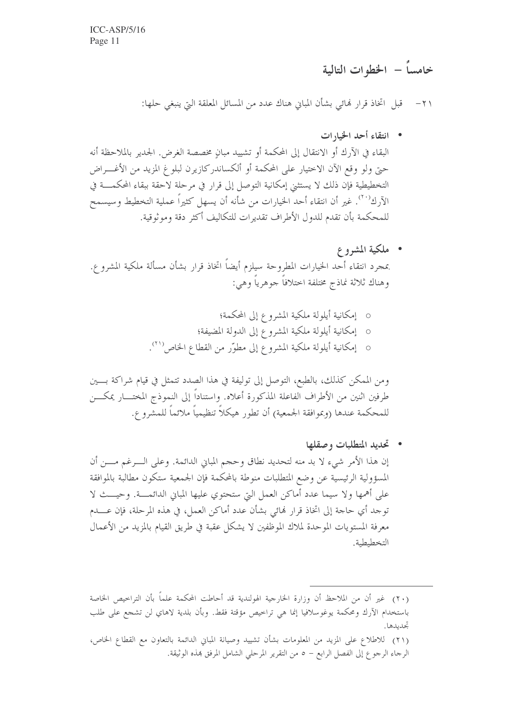## خامساً – الخطوات التالية

٢١– قبل اتخاذ قرارٍ فمائي بشأن المباني هناك عدد من المسائل المعلقة التي ينبغي حلها:

- انتقاء أحد الخيارات البقاء في الآرك أو الانتقال إلى المحكمة أو تشييد مبانٍ مخصصة الغرض. الجدير بالملاحظة أنه حيٍّ ولو وقع الآن الاختيار على المحكمة أو ألكساندركازيرن لبلوغ المزيد من الأغـــراض التخطيطية فإن ذلك لا يستثني إمكانية التوصل إلى قرار في مرحلة لاحقة ببقاء المحكمـــة في الآرك'''. غير أن انتقاء أحد الخيارات من شأنه أن يسهل كثيراً عملية التخطيط وسيسمح للمحكمة بأن تقدم للدول الأطراف تقديرات للتكاليف أكثر دقة وموثوقية.
- ملكية المشروع بمحرد انتقاء أحد الخيارات المطروحة سيلزم أيضاً اتخاذ قرار بشأن مسألة ملكية المشروع. وهناك ثلاثة نماذج مختلفة اختلافاً جوهرياً وهي:
	- o إمكانية أيلولة ملكية المشروع إلى المحكمة؛
	- o إمكانية أيلولة ملكية المشروع إلى الدولة المضيفة؛
	- 0 إمكانية أيلولة ملكية المشروع إلى مطوَّر من القطاع الخاص<sup>(٢١</sup>).

ومن الممكن كذلك، بالطبع، التوصل إلى توليفة في هذا الصدد تتمثل في قيام شراكة بسين طرفين اثنين من الأطراف الفاعلة المذكورة أعلاه. واستناداً إلى النموذج المختـــار يمكــــن للمحكمة عندها (وبموافقة الجمعية) أن تطور هيكلاً تنظيمياً ملائماً للمشروع.

• تحديد المتطلبات وصقلها إن هذا الأمر شيء لا بد منه لتحديد نطاق وحجم المبايي الدائمة. وعلى الـــرغم مـــن أن المسؤولية الرئيسية عن وضع المتطلبات منوطة بالمحكمة فإن الجمعية ستكون مطالبة بالموافقة على أهمها ولا سيما عدد أماكن العمل التي ستحتوي عليها المباني الدائمـــة. وحيـــث لا توجد أي حاجة إلى اتخاذ قرار لهائي بشأن عدد أماكن العمل، في هذه المرحلة، فإن عــــدم معرفة المستويات الموحدة لملاك الموظفين لا يشكل عقبة في طريق القيام بالمزيد من الأعمال التخطيطية.

<sup>(</sup>٢٠) غير أن من الملاحظ أن وزارة الخارجية الهولندية قد أحاطت المحكمة علماً بأن التراحيص الخاصة باستخدام الآرك ومحكمة يوغوسلافيا إنما هي تراخيص مؤقتة فقط. وبأن بلدية لاهاي لن تشجع على طلب تحدىدها. (٢١) للاطلاع على المزيد من المعلومات بشأن تشييد وصيانة المبابي الدائمة بالتعاون مع القطاع الخاص، الرحاء الرحوع إلى الفصل الرابع – ٥ من التقرير المرحلي الشامل المرفق بمذه الوثيقة.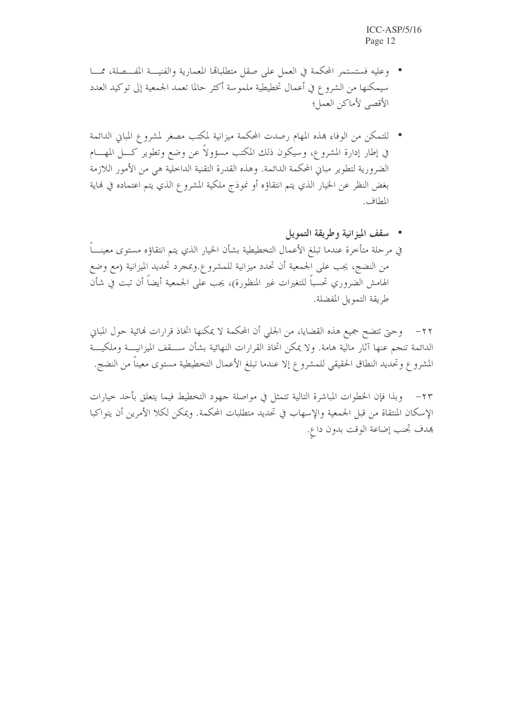- وعليه فستستمر المحكمة في العمل على صقل متطلبالها المعمارية والفنيسة المفسصلة، ممسا سيمكنها من الشروع في أعمال تخطيطية ملموسة أكثر حالما تعمد الجمعية إلى توكيد العدد الأقصى لأماكن العمل؛
- للتمكن من الوفاء هذه المهام رصدت المحكمة ميزانية لمكتب مصغر لمشروع المباني الدائمة في إطار إدارة المشروع، وسيكون ذلك المكتب مسؤولاً عن وضع وتطوير كـــل المهــــام الضرورية لتطوير مبان المحكمة الدائمة. وهذه القدرة التقنية الداخلية هي من الأمور اللازمة بغض النظر عن الخيار الذي يتم انتقاؤه أو نموذج ملكية المشروع الذي يتم اعتماده في نماية المطاف.
- مسقف الميزانية وطريقة التمويل في مرحلة متأخرة عندما تبلغ الأعمال التخطيطية بشأن الخيار الذي يتم انتقاؤه مستوى معينــــاً من النضج، يجب على الجمعية أن تحدد ميزانية للمشروع.وبمجرد تحديد الميزانية (مع وضع الهامش الضروري تحسباً للتغيرات غير المنظورة)، يجب على الجمعية أيضاً أن تبت في شأن طريقة التمويل المفضلة.

٢٢– وحيَّ تتضح جميع هذه القضايا، من الجلمي أن المحكمة لا يمكنها اتخاذ قرارات لهائية حول المباني الدائمة تنجم عنها آثار مالية هامة. ولا يمكن اتخاذ القرارات النهائية بشأن ســـقف الميزانيـــة وملكيـــة المشروع وتحديد النطاق الحقيقي للمشروع إلا عندما تبلغ الأعمال التخطيطية مستوى معيناً من النضج.

وبذا فإن الخطوات المباشرة التالية تتمثل في مواصلة جهود التخطيط فيما يتعلق بأحد حيارات  $-77$ الإسكان المنتقاة من قبل الجمعية والإسهاب في تحديد متطلبات المحكمة. ويمكن لكلا الأمرين أن يتواكبا هدف تحنب إضاعة الوقت بدون داع.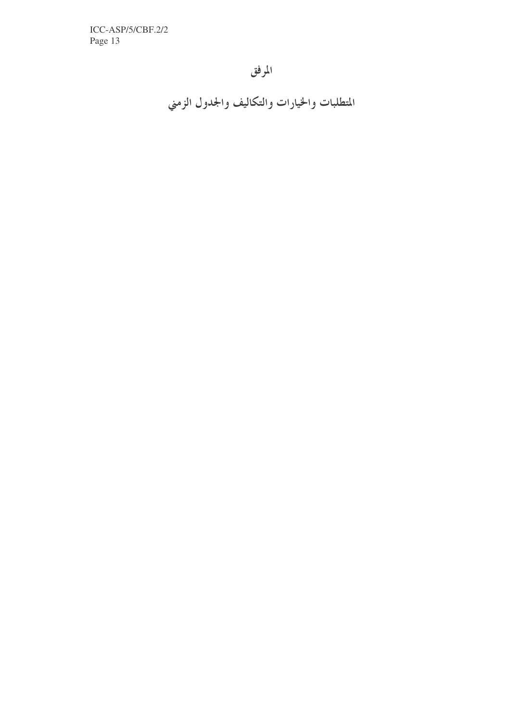ICC-ASP/5/CBF.2/2 Page 13

## المرفق

المتطلبات والخيارات والتكاليف والجدول الزمني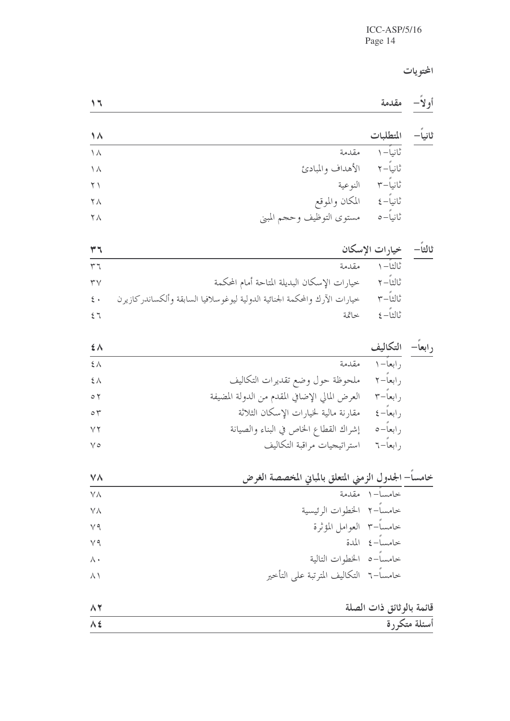المحتويات

| _<br>$- - - -$ | . . |  |  |
|----------------|-----|--|--|
|----------------|-----|--|--|

| $\Lambda$  |                           | المتطلبات  | ثانياً— |
|------------|---------------------------|------------|---------|
| $\Lambda$  | مقدمة                     | ثانياً – ١ |         |
| $\lambda$  | الأهداف والمبادئ          | ٹانیاً–۲   |         |
| $\Upsilon$ | النوعية                   | ثانياً-٣   |         |
| $\Delta$   | المكان والموقع            | ثانياً-٤   |         |
| $\lambda$  | مستوى التوظيف وحجم المبني | ثانياً-٥   |         |

 $\mathcal{M}_{\mathcal{A}}$ 

|                   |                                                                             | خيارات الإسكان |
|-------------------|-----------------------------------------------------------------------------|----------------|
| 57                | مقدمة                                                                       | ثالثا– ۱       |
| $\mathbf{r} \vee$ | خيارات الإسكان البديلة المتاحة أمام المحكمة                                 | ثالثا-٢        |
| $\epsilon$ .      | خيارات الآرك والمحكمة الجنائية الدولية ليوغوسلافيا السابقة وألكساندر كازيرن | ثالثا-٣        |
| 57                | خاتمة                                                                       | ثالثا-٤        |

| $\mathbf{\mathcal{L}}$ $\Lambda$ |                                               | رابعاً— التكاليف  |  |
|----------------------------------|-----------------------------------------------|-------------------|--|
| 5 <sub>A</sub>                   | مقدمة                                         | , ابعا– ۱         |  |
| $\xi \wedge$                     | ملحوظة حول وضع تقديرات التكاليف               | ر ابعاً– ۲        |  |
| $\circ$ $\circ$                  | العرض المالي الإضافي المقدم من الدولة المضيفة | ر ابعاً–۳         |  |
| $\circ$                          | مقارنة مالية لخيارات الإسكان الثلاثة          | $\xi - i$ ر ابعاً |  |
| $\vee\vee$                       | إشراك القطاع الخاص في البناء والصيانة         | ر ابعاً– ٥        |  |
| $\vee$                           | استراتيجيات مراقبة التكاليف                   | ر ابعاً–٦         |  |

| <b>VA</b>      | خامساً– الجدول الزمني المتعلق بالمباني المخصصة الغرض |                           |
|----------------|------------------------------------------------------|---------------------------|
| $\vee \wedge$  |                                                      | خامساً–١ مقدمة            |
| $\vee \wedge$  | خامساً–٢ الخطوات الرئيسية                            |                           |
| $\vee$ 9       | خامساً–٣ العوامل المؤثرة                             |                           |
| $V$ 9          |                                                      | خامساً–٤ المدة            |
| $\wedge \cdot$ | خامساً-٥ الخطوات التالية                             |                           |
| $\wedge$       | خامساً–٦ التكاليف المترتبة على التأخير               |                           |
| $\wedge$       |                                                      | قائمة بالو ثائق ذات الصلة |
| $\Lambda$ ź    |                                                      | أسئلة متكررة              |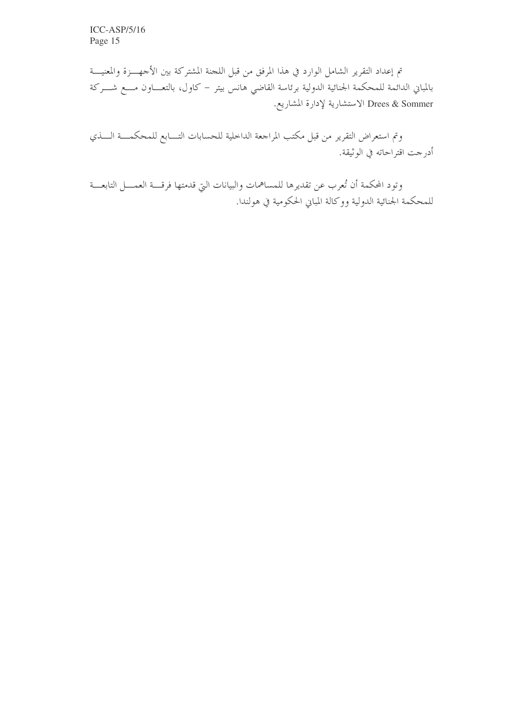تم إعداد التقرير الشامل الوارد في هذا المرفق من قبل اللجنة المشتركة بين الأجهـــزة والمعنيـــة بالمباني الدائمة للمحكمة الجنائية الدولية برئاسة القاضي هانس بيتر – كاول، بالتعـــاون مــــع شــــركة Drees & Sommer الاستشارية لإدارة المشاريع.

وتم استعراض التقرير من قبل مكتب المراجعة الداخلية للحسابات التـــابع للمحكمـــة الــــذي أدرجت اقتراحاته في الوثيقة.

وتود المحكمة أن تُعرب عن تقديرها للمساهمات والبيانات التي قدمتها فرقـــة العمــــل التابعـــة للمحكمة الجنائية الدولية ووكالة المبابي الحكومية في هولندا.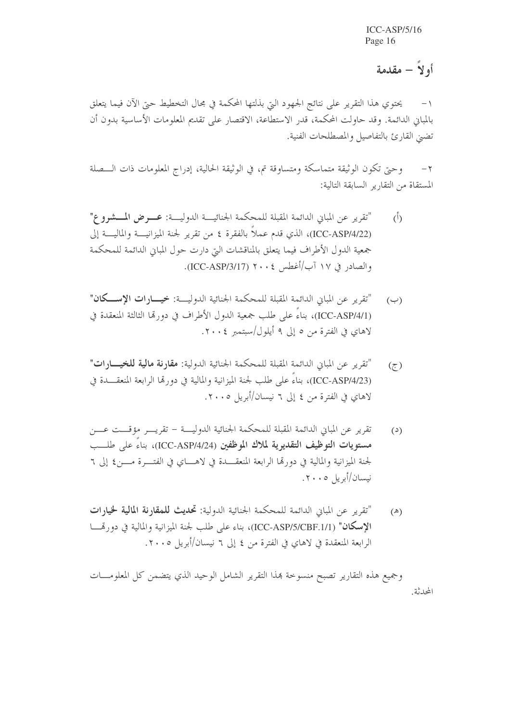أو لاً – مقدمة

يحتوي هذا التقرير على نتائج الجهود التي بذلتها المحكمة في مجال التخطيط حتى الآن فيما يتعلق  $-1$ بالمباني الدائمة. وقد حاولت المحكمة، قدر الاستطاعة، الاقتصار على تقديم المعلومات الأساسية بدون أن تضيى القارئ بالتفاصيل والمصطلحات الفنية.

وحيٍّ تكون الوثيقة متماسكة ومتساوقة تم، في الوثيقة الحالية، إدراج المعلومات ذات الـــصلة  $-\tau$ المستقاة من التقارير السابقة التالية:

- "تقرير عن المباني الدائمة المقبلة للمحكمة الجنائية الدولية: عــوض المــشووع"  $\overline{(\overline{)}\,}$ (ICC-ASP/4/22)، الذي قدم عملاً بالفقرة ٤ من تقرير لجنة الميزانيــــة والماليــــة إلى جمعية الدول الأطراف فيما يتعلق بالمناقشات التي دارت حول المباني الدائمة للمحكمة والصادر في ١٧ آب/أغطس ٢٠٠٤ (ICC-ASP/3/17).
- "تقرير عن المباني الدائمة المقبلة للمحكمة الجنائية الدولية: خيسارات الإسكان"  $(\hookrightarrow)$ (ICC-ASP/4/1)، بناءً على طلب جمعية الدول الأطراف في دورتما الثالثة المنعقدة في لاهاي في الفترة من ٥ إلى ٩ أيلول/سبتمبر ٢٠٠٤.
- "تقرير عن المباني الدائمة المقبلة للمحكمة الجنائية الدولية: **مقارنة مالية للخيـــارات"**  $(7)$ (ICC-ASP/4/23)، بناءً على طلب لجنة الميزانية والمالية في دورتما الرابعة المنعقـــدة في لاهاي في الفترة من ٤ إلى ٦ نيسان/أبريل ٢٠٠٥.
- تقرير عن المباني الدائمة المقبلة للمحكمة الجنائية الدوليسة تقريس مؤقست عسن  $(2)$ مستويات التوظيف التقديرية لملاك الموظفين (ICC-ASP/4/24)، بناءً على طلــب لجنة الميزانية والمالية في دورتما الرابعة المنعقـــدة في لاهــــاي في الفتــــرة مــــن٤ إلى ٦ نيسان/أبريل ٢٠٠٥.
- "تقرير عن المباني الدائمة للمحكمة الجنائية الدولية: **تحديث للمقارنة المالية لخيارات**  $(\mathbb{A})$ الإسكان" (ICC-ASP/5/CBF.1/1)، بناء على طلب لجنة الميزانية والمالية في دورةـا الرابعة المنعقدة في لاهاي في الفترة من ٤ إلى ٦ نيسان/أبريل ٢٠٠٥.

وجميع هذه التقارير تصبح منسوحة بمذا التقرير الشامل الوحيد الذي يتضمن كل المعلومـــات المحدثة.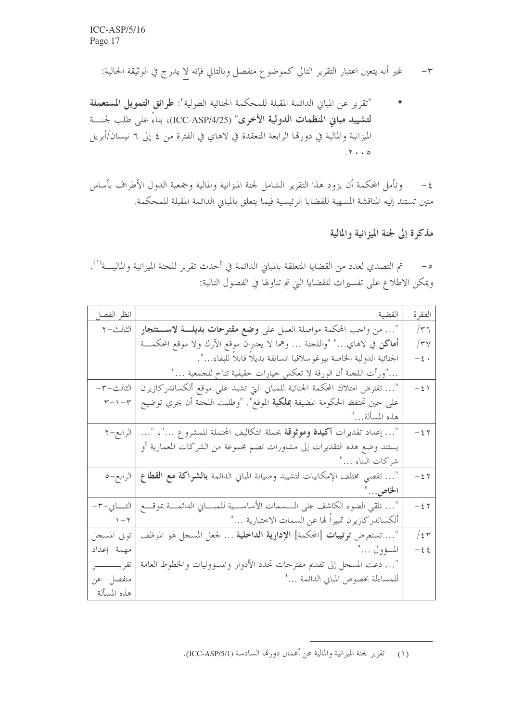"تقرير عن المباني الدائمة المقبلة للمحكمة الجنائية الطولية": **طرائق التمويل المستعملة** لتشييد مباني المنظمات الدولية الأخرى" (ICC-ASP/4/25)، بناءً على طلب لحنـــة الميزانية والمالية في دورتما الرابعة المنعقدة في لاهاي في الفترة من ٤ إلى ٦ نيسان/أبريل  $.7 \cdot .0$ 

وتأمل المحكمة أن يزود هذا التقرير الشامل لجنة الميزانية والمالية وجمعية الدول الأطراف بأساس  $-\xi$ متين تستند إليه المناقشة المسهبة للقضايا الرئيسية فيما يتعلق بالمباين الدائمة المقبلة للمحكمة.

مذكرة إلى لجنة الميزانية والمالية

0 – تم التصدي لعدد من القضايا المتعلقة بالمباني الدائمة في أحدث تقرير للجنة الميزانية والماليـــة<sup>(١</sup>). ويمكن الاطلاع على تفسيرات للقضايا التي تم تناولها في الفصول التالية:

| انظر الفصل                       | القضية                                                                                      | الفقرة         |
|----------------------------------|---------------------------------------------------------------------------------------------|----------------|
| الثالث–٢                         | "… من واحب المحكمة مواصلة العمل على <b>وضع مقترحات بديلــــة لاســــتئجار</b>               | $/\tau$ ٦      |
|                                  | أماكن في لاهاي…" "واللجنة … وهما لا يعتبران موقع الآرك ولا موقع المحكمـــة                  | $/\tau$ y      |
|                                  | الجنائية الدولية الخاصة بيوغوسلافيا السابقة بديلاً قابلاً للبقاء…".                         | $-\, \xi \,$ . |
|                                  | …"ورأت اللجنة أن الورقة لا تعكس خيارات حقيقية تتاح للجمعية …"                               |                |
| الثالث-٣-                        | "… تفترض امتلاك المحكمة الجنائية للمباني التي تشيد على موقع ألكساندركازيرن                  | $-\xi$         |
| $\uparrow - \uparrow - \uparrow$ | على حين تحتفظ الحكومة المضيفة <b>بملكية</b> الموقع". "وطلبت اللحنة أن يجري توضيح            |                |
|                                  | هذه المسألة"                                                                                |                |
| الرابع–٢                         | "… إعداد تقديرات <b>أكيدة وموثوقة</b> بجملة التكاليف المحتملة للمشرو ع …"، "…               | $-\xi$ $\zeta$ |
|                                  | يستند وضع هذه التقديرات إلى مشاورات تضم محموعة من الشركات المعمارية أو                      |                |
|                                  | شركات البناء …"                                                                             |                |
|                                  | "… تقصي مختلف الإمكانيات لتشييد وصيانة المباني الدائمة <b>بالشراكة مع القطاع</b>   الرابع–٥ | $-\xi$ $\zeta$ |
|                                  | الخاص"                                                                                      |                |
| الثـــــــاي—٣–                  | "… تلقى الضوء الكاشف على الـــسمات الأساســـية للمبــــاني الدائمــــة بموقــــع            | $-\xi$ $\zeta$ |
| $\gamma - \gamma$                | ألكساندر كازيرن تمييزا لها عن السمات الاختيارية …"                                          |                |
| تولى المسجل                      | "… تستعرض <b>ترتيبات</b> [المحكمة] الإ <b>دارية الداخلية</b> … لجعل المسحل هو الموظف        | $/$ { $\tau$   |
| مهمة إعداد                       | المسؤول …"                                                                                  | $-\xi$ $\xi$   |
| تقريـــــــــــــر               | "… دعت المسحل إلى تقديم مقترحات تحدد الأدوار والمسؤوليات والخطوط العامة                     |                |
| منفصل عن                         | للمساءلة بخصوص المباني الدائمة …"                                                           |                |
| هذه المسألة                      |                                                                                             |                |

(١) تقرير لجنة الميزانية والمالية عن أعمال دورقما السادسة (ICC-ASP/5/1).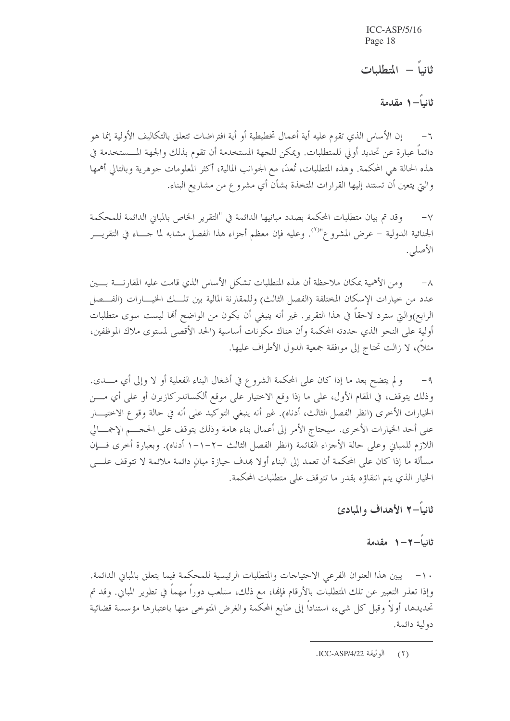ثانياً – المتطلبات

ثانياً— ١ مقدمة

٦− إن الأساس الذي تقوم عليه أية أعمال تخطيطية أو أية افتراضات تتعلق بالتكاليف الأولية إنما هو دائماً عبارة عن تحديد أولى للمتطلبات. ويمكن للجهة المستخدمة أن تقوم بذلك والجهة المسستخدمة في هذه الحالة هي المحكمة. وهذه المتطلبات، تُعدّ، مع الجوانب المالية، أكثر المعلومات جوهرية وبالتالي أهمها والتي يتعين أن تستند إليها القرارات المتخذة بشأن أي مشروع من مشاريع البناء.

وقد تم بيان متطلبات المحكمة بصدد مبانيها الدائمة في "التقرير الخاص بالمباين الدائمة للمحكمة  $-\vee$ الجنائية الدولية – عرض المشروع"<sup>٬٬</sup>٬ وعليه فإن معظم أجزاء هذا الفصل مشابه لما جـــاء في التقريــــر الأصلى.

ومن الأهمية بمكان ملاحظة أن هذه المتطلبات تشكل الأساس الذي قامت عليه المقارنسة بسين  $-\lambda$ عدد من حيارات الإسكان المختلفة (الفصل الثالث) وللمقارنة المالية بين تلـــك الخيــــارات (الفـــصل الرابع)والتي سترد لاحقاً في هذا التقرير . غير أنه ينبغي أن يكون من الواضح ألها ليست سوى متطلبات أولية على النحو الذي حددته المحكمة وأن هناك مكونات أساسية (الحد الأقصى لمستوى ملاك الموظفين، مثلاً)، لا زالت تحتاج إلى موافقة جمعية الدول الأطراف عليها.

و لم يتضح بعد ما إذا كان على المحكمة الشروع في أشغال البناء الفعلية أو لا وإلى أي مــــدى.  $-9$ وذلك يتوقف، في المقام الأول، على ما إذا وقع الاختيار على موقع ألكساندركازيرن أو على أي مـــن الخيارات الأخرى (انظر الفصل الثالث، أدناه). غير أنه ينبغي التوكيد على أنه في حالة وقوع الاختيـــار على أحد الخيارات الأخرى. سيحتاج الأمر إلى أعمال بناء هامة وذلك يتوقف على الحجـــم الإجمـــالي اللازم للمباني وعلى حالة الأحزاء القائمة (انظر الفصل الثالث –٢–١–١ أدناه). وبعبارة أخرى فــإن مسألة ما إذا كان على المحكمة أن تعمد إلى البناء أو لا بمدف حيازة مبانِ دائمة ملائمة لا تتوقف علــــى الخيار الذي يتم انتقاؤه بقدر ما تتوقف على متطلبات المحكمة.

ثانياً–۲ الأهداف والمبادئ

ثانياً—٢—١ مقدمة

١٠- يبين هذا العنوان الفرعي الاحتياحات والمتطلبات الرئيسية للمحكمة فيما يتعلق بالمباين الدائمة. وإذا تعذر التعبير عن تلك المتطلبات بالأرقام فإنما، مع ذلك، ستلعب دوراً مهماً في تطوير المباني. وقد تم تحديدها، أولاً وقبل كل شيء، استناداً إلى طابع المحكمة والغرض المتوحى منها باعتبارها مؤسسة قضائية دولية دائمة.

<sup>(</sup>٢) الوثيقة ICC-ASP/4/22.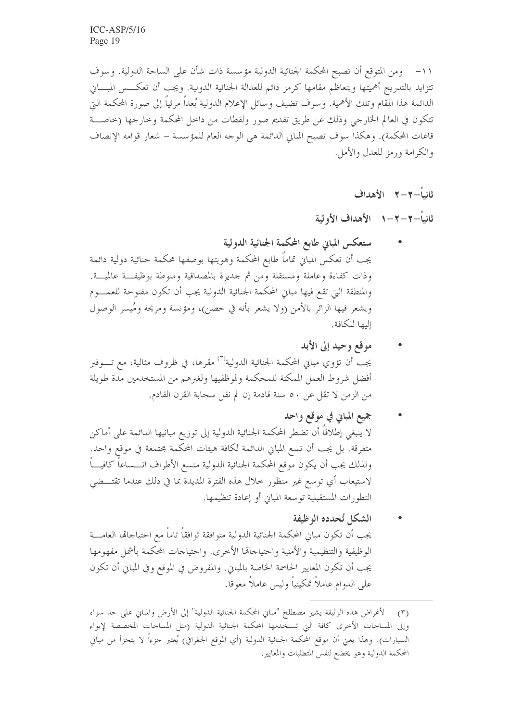١١– ومن المتوقع أن تصبح المحكمة الجنائية الدولية مؤسسة ذات شأن على الساحة الدولية. وسوف تتزايد بالتدريج أهميتها ويتعاظم مقامها كرمز دائم للعدالة الجنائية الدولية. ويجب أن تعكـــس المبــــاني الدائمة هذا المقام وتلك الأهمية. وسوف تضيف وسائل الإعلام الدولية بُعداً مرئياً إلى صورة المحكمة التي تتكون في العالم الخارجي وذلك عن طريق تقديم صور ولقطات من داخل المحكمة وخارجها (خاصـــة قاعات المحكمة). وهكذا سوف تصبح المبانِ الدائمة هي الوحه العام للمؤسسة – شعار قوامه الإنصاف والكرامة ورمز للعدل والأمل.

ثانياً–٢–٢٪ الأهداف

ثانياً-٢-٢-١ الأهداف الأولية

- ستعكس المباين طابع المحكمة الجنائية الدولية يجب أن تعكس المباني تماماً طابع المحكمة وهويتها بوصفها محكمة جنائية دولية دائمة وذات كفاءة وعاملة ومستقلة ومن ثم حديرة بالمصداقية ومنوطة بوظيفت عالميــة. والمنطقة التي تقع فيها مباين المحكمة الجنائية الدولية يجب أن تكون مفتوحة للعمــــوم ويشعر فيها الزائر بالأمن (ولا يشعر بأنه في حصن)، ومؤنسة ومريحة ومُيسر الوصول إليها للكافة.
- موقع وحيد إلى الأبد يجب أن تؤوي مباني المحكمة الجنائية الدولية<sup>(٣)</sup> مقرها، في ظروف مثالية، مع تــــوفير أفضل شروط العمل المكنة للمحكمة ولموظفيها ولغيرهم من المستخدمين مدة طويلة من الزمن لا تقلَّ عن ٥٠ سنة قادمة إن لم نقل سحابة القرن القادم.
- جميع المبايي في موقع واحد لا ينبغي إطلاقاً أن تضطر المحكمة الجنائية الدولية إلى توزيع مبانيها الدائمة على أماكن متفرقة. بل يجب أن تسع المباني الدائمة لكافة هيئات المحكمة مجتمعة في موقع واحد. ولذلك يجب أن يكون موقع المحكمة الجنائية الدولية متسع الأطراف اتــــساعاً كافيــــاً لاستيعاب أي توسع غير منظور حلال هذه الفترة المديدة بما في ذلك عندما تقتـــضى التطورات المستقبلية توسعة المباين أو إعادة تنظيمها.
- الشكل تُحدده الوظيفة يجب أن تكون مباني المحكمة الجنائية الدولية متوافقة توافقاً تاماً مع احتياجاهّا العامــــة الوظيفية والتنظيمية والأمنية واحتياجاتها الأخرى. واحتياجات المحكمة بأشمل مفهومها يجب أن تكون المعايير الحاسمة الخاصة بالمباين. والمفروض في الموقع وفي المباني أن تكون على الدوام عاملاً تمكينياً وليس عاملاً معوقا.

لأغراض هذه الوثيقة يشير مصطلح "مباني المحكمة الجنائية الدولية" إلى الأرض والمباني على حد سواء  $(\Upsilon)$ وإلى المساحات الأخرى كافة التي تستخدمها المحكمة الجنائية الدولية (مثل المساحات المخصصة لإيواء السيارات). وهذا يعني أن موقع المحكمة الجنائية الدولية (أي الموقع الجغرافي) يُعتبر جزءًا لا يتجزأ من مباني المحكمة الدولية وهو يخضع لنفس المتطلبات والمعايير.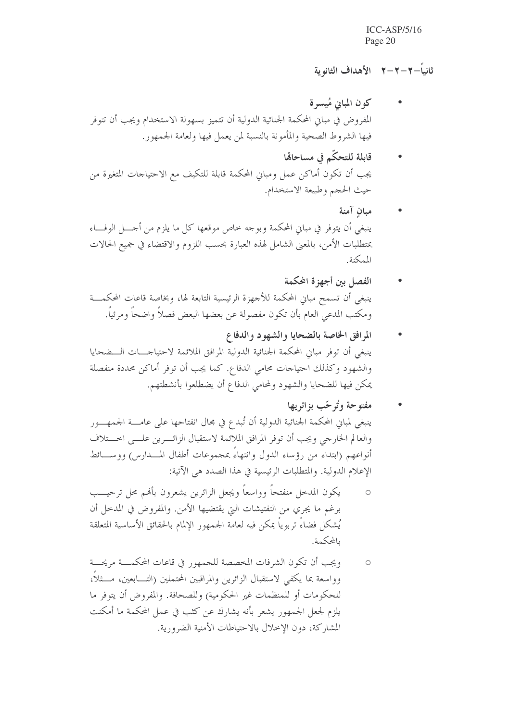### ثانياً – ۲ – ۲ – ۱ الأهداف الثانه ية

- كون المباين مُيسرة المفروض في مباني المحكمة الجنائية الدولية أن تتميز بسهولة الاستخدام ويجب أن تتوفر فيها الشروط الصحية والمأمونة بالنسبة لمن يعمل فيها ولعامة الجمهور.
- قابلة للتحكّم في مساحاهّا يجب أن تكون أماكن عمل ومبانٍ المحكمة قابلة للتكيف مع الاحتياجات المتغيرة من حيث الحجم وطبيعة الاستخدام.
- مبان آمنة ينبغي أن يتوفر في مباني المحكمة وبوجه خاص موقعها كل ما يلزم من أحــــل الوفــــاء بمتطلبات الأمن، بالمعنى الشامل لهذه العبارة بحسب اللزوم والاقتضاء في جميع الحالات المكنة
- الفصل بن أجهزة المكمة ينبغي أن تسمح مباني المحكمة للأجهزة الرئيسية التابعة لها، وبخاصة قاعات المحكمـــة ومكتب المدعى العام بأن تكون مفصولة عن بعضها البعض فصلاً واضحاً ومرئياً.
- المرافق الخاصة بالضحايا والشهود والدفاع ينبغي أن توفر مباني المحكمة الجنائية الدولية المرافق الملائمة لاحتياجـــات الـــضحايا والشهود وكذلك احتياحات محامى الدفاع. كما يجب أن توفر أماكن محددة منفصلة يمكن فيها للضحايا والشهود ولمحامى الدفاع أن يضطلعوا بأنشطتهم.
- مفتوحة وتُرحّب بزائريها ينبغي لمباني المحكمة الجنائية الدولية أن تُبدع في مجال انفتاحها على عامـــة الجمهـــور والعالم الخارجي ويجب أن توفر المرافق الملائمة لاستقبال الزائـــرين علـــي اخـــتلاف أنواعهم (ابتداء من رؤساء الدول وانتهاءَ بمجموعات أطفال المسدارس) ووســائط الإعلام الدولية. والمتطلبات الرئيسية في هذا الصدد هي الآتية:
- يكون المدحل منفتحاً وواسعاً ويجعل الزائرين يشعرون بألهم محل ترحيـــب  $\circ$ برغم ما يجري من التفتيشات التي يقتضيها الأمن. والمفروض في المدخل أن يُشكل فضاءً تربوياً يمكن فيه لعامة الجمهور الإلمام بالحقائق الأساسية المتعلقة بالمحكمة.
- ويجب أن تكون الشرفات المخصصة للجمهور في قاعات المحكمـــة مريحـــة  $\circ$ وواسعة بما يكفي لاستقبال الزائرين والمراقبين المحتملين (التــــابعين، مــــثلاً، للحكومات أو للمنظمات غير الحكومية) وللصحافة. والمفروض أن يتوفر ما يلزم لجعل الجمهور يشعر بأنه يشارك عن كثب في عمل المحكمة ما أمكنت المشاركة، دون الإخلال بالاحتياطات الأمنية الضرورية.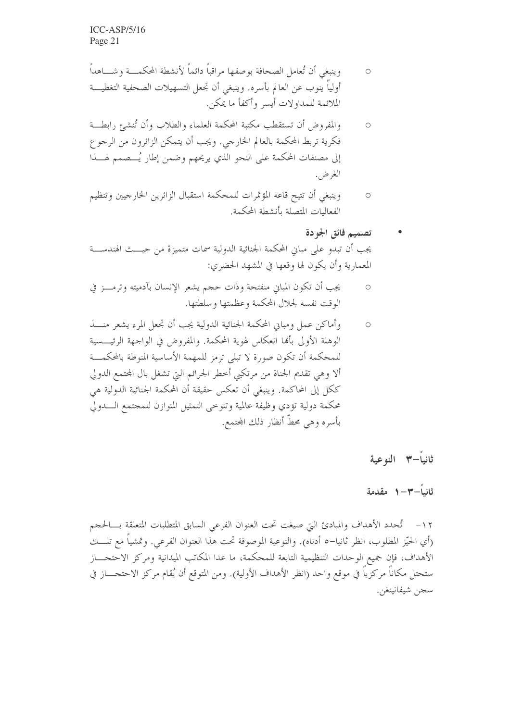- وينبغي أن تُعامل الصحافة بوصفها مراقباً دائماً لأنشطة المحكمـــة وشــــاهداً  $\bigcap$ أولياً ينوب عن العالم بأسره. وينبغي أن تجعل التسهيلات الصحفية التغطيــــة الملائمة للمداولات أيسر وأكفأ ما يمكن.
- والمفروض أن تستقطب مكتبة المحكمة العلماء والطلاب وأن تُنشئ رابطة  $\circ$ فكرية تربط المحكمة بالعالم الخارجي. ويجب أن يتمكن الزائرون من الرجوع إلى مصنفات المحكمة على النحو الذي يريحهم وضمن إطار يُـــصمم لهـــذا الغرض.
- وينبغي أن تتيح قاعة المؤتمرات للمحكمة استقبال الزائرين الخارجيين وتنظيم  $\bigcirc$ الفعاليات المتصلة بأنشطة المحكمة.

تصميم فائق الجودة يجب أن تبدو على مباني المحكمة الجنائية الدولية سمات متميزة من حيـــث الهندســـة المعمارية وأن يكون لها وقعها في المشهد الحضري:

- يجب أن تكون المباين منفتحة وذات حجم يشعر الإنسان بآدميته وترمـــز في  $\circ$ الوقت نفسه لجلال المحكمة وعظمتها وسلطتها.
- وأماكن عمل ومبايي المحكمة الجنائية الدولية يجب أن تجعل المرء يشعر منسذ  $\circ$ الوهلة الأولى بألها انعكاس لهوية المحكمة. والمفروض في الواجهة الرئيــــسية للمحكمة أن تكون صورة لا تبلى ترمز للمهمة الأساسية المنوطة بالمحكمـــة ألا وهي تقديم الجناة من مرتكبي أخطر الجرائم التي تشغل بال المحتمع الدولي ككل إلى المحاكمة. وينبغي أن تعكس حقيقة أن المحكمة الجنائية الدولية هي محكمة دولية تؤدي وظيفة عالمية وتتوحى التمثيل المتوازن للمجتمع السدولي بأسره وهي محطَّ أنظارٍ ذلك المحتمع.

ثانياً-٣ النوعية

### ثانىاً—٣—١ مقدمة

١٢- تُحدد الأهداف والمبادئ التي صيغت تحت العنوان الفرعي السابق المتطلبات المتعلقة بـــالحجم (أي الحيّز المطلوب، انظر ثانيا–٥ أدناه). والنوعية الموصوفة تحت هذا العنوان الفرعي. وتمشياً مع تلــــك الأهداف، فإن جميع الوحدات التنظيمية التابعة للمحكمة، ما عدا المكاتب الميدانية ومركز الاحتجـــاز ستحتل مكاناً مركزياً في موقع واحد (انظر الأهداف الأولية). ومن المتوقع أن يُقام مركز الاحتجــــاز في سجن شيفانينغن.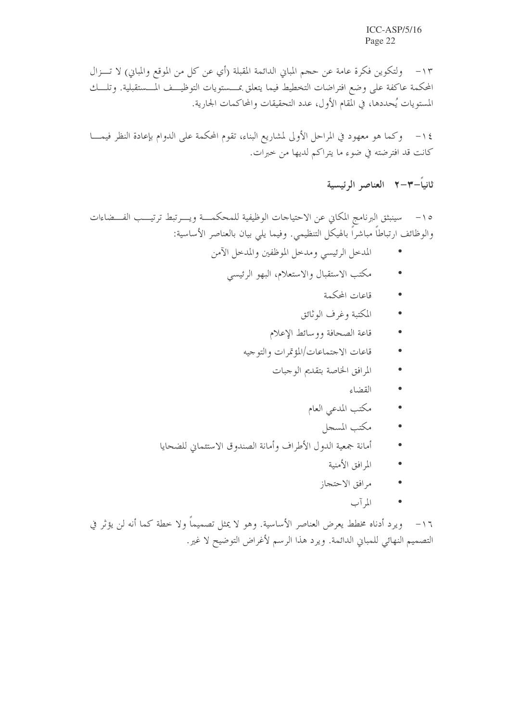١٣ - ولتكوين فكرة عامة عن حجم المباين الدائمة المقبلة (أي عن كل من الموقع والمباين) لا تـــزال المحكمة عاكفة على وضع افتراضات التخطيط فيما يتعلق بمـــستويات التوظيـــف المـــستقبلية. وتلــــك المستويات يُحددها، في المقام الأول، عدد التحقيقات والمحاكمات الجارية.

١٤ – وكما هو معهود في المراحل الأولى لمشاريع البناء، تقوم المحكمة على الدوام بإعادة النظر فيمــــا كانت قد افترضته في ضوء ما يتراكم لديها من خبرات.

ثانياً-٣-٢ العناصر الرئيسية

٥١- سينبثق البرنامج المكاني عن الاحتياجات الوظيفية للمحكمـــة ويــــرتبط ترتيـــب الفـــضاءات والوظائف ارتباطاً مباشراً بالهيكل التنظيمي. وفيما يلي بيان بالعناصر الأساسية:

- المدحل الرئيسي ومدحل الموظفين والمدحل الآمن
	- مكتب الاستقبال والاستعلام، البهو الرئيسي
		- قاعات المحكمة
		- المكتبة وغرف الوثائق
		- قاعة الصحافة ووسائط الإعلام
		- قاعات الاجتماعات/المؤتمرات والتوجيه
			- المرافق الخاصة بتقديم الوجبات
				- القضاء
				- مكتب المدعي العام
					- مكتب المسجل
- أمانة جمعية الدول الأطراف وأمانة الصندوق الاستئماني للضحايا
	- المرافق الأمنية
	- مرافق الاحتجاز
		- المرآب

١٦- ويرد أدناه مخطط يعرض العناصر الأساسية. وهو لا يمثل تصميماً ولا خطة كما أنه لن يؤثر في التصميم النهائي للمباني الدائمة. ويرد هذا الرسم لأغراض التوضيح لا غير.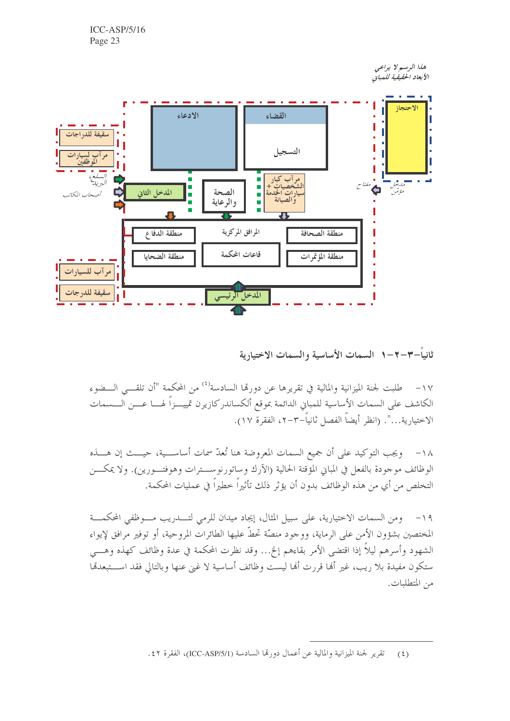> هذا الرسم لا يراعى الأبعاد الحقيقية للمبانى



ثانياً–٢–٢–١ السمات الأساسية والسمات الاختيارية

١٧ – طلبت لجنة الميزانية والمالية في تقريرها عن دورها السادسة<sup>(٤)</sup> من المحكمة "أن تلقــــى الـــضوء الكاشف على السمات الأساسية للمباني الدائمة بموقع ألكساندركازيرن تمييــزاً لهـــا عـــن الـــسمات الاختيارية…". (انظر أيضاً الفصل ثانياً–٣–٢، الفقرة ١٧).

١٨- ويجب التوكيد على أن جميع السمات المعروضة هنا تُعدّ سمات أساســـية، حيـــث إن هــــذه الوظائف موجودة بالفعل في المباين المؤقتة الحالية (الآرك وساتورنوســـترات وهوفتـــورين). ولا يمكـــن التخلص من أي من هذه الوظائف بدون أن يؤثر ذلك تأثيراً خطيراً في عمليات المحكمة.

١٩- ومن السمات الاختيارية، على سبيل المثال، إيجاد ميدان للرمي لتــــدريب مــــوظفي المحكمـــة المختصين بشؤون الأمن على الرماية، ووجود منصَّة تحطُّ عليها الطائرات المروحية، أو توفير مرافق لإيواء الشهود وأسرهم ليلاً إذا اقتضى الأمر بقاءهم إلخ… وقد نظرت المحكمة في عدة وظائف كهذه وهـــي ستكون مفيدة بلا ريب، غير ألها قررت ألها ليست وظائف أساسية لا غين عنها وبالتالي فقد اســـتبعدقما من المتطلبات.

(٤) تقرير لجنة الميزانية والمالية عن أعمال دورتما السادسة (ICC-ASP/5/1)، الفقرة ٤٢.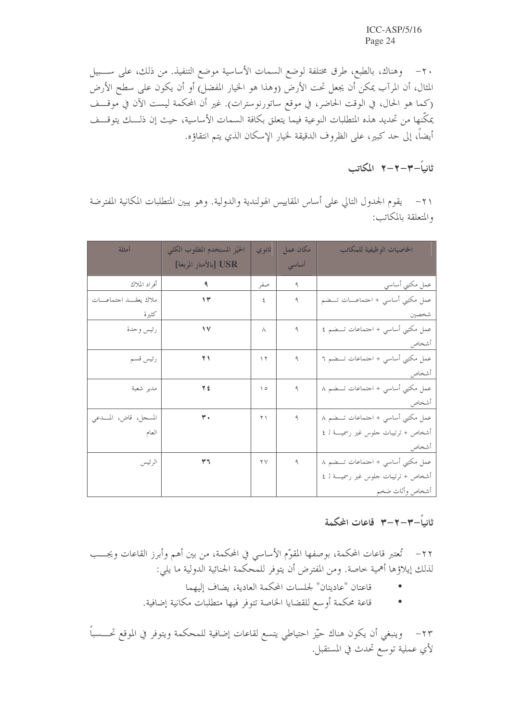٢٠ – وهناك، بالطبع، طرق مختلفة لوضع السمات الأساسية موضع التنفيذ. من ذلك، على ســـبيل المثال، أن المرآب يمكن أن يجعل تحت الأرض (وهذا هو الخيار المفضل) أو أن يكون على سطح الأرض (كما هو الحال، في الوقت الحاضر، في موقع ساتورنوسترات). غير أن المحكمة ليست الآن في موقــف يمكّنها من تحديد هذه المتطلبات النوعية فيما يتعلق بكافة السمات الأساسية، حيث إن ذلـــك يتوقـــف أيضاً، إلى حد كبير، على الظروف الدقيقة لخيار الإسكان الذي يتم انتقاؤه.

$$
+1 - 7 - 7 - 1
$$

٢١– يقوم الجدول التالي على أساس المقاييس الهولندية والدولية. وهو يبين المتطلبات المكانية المفترضة والمتعلقة بالمكاتب:

| أمثلة                | الحيّز المستخدم المطلوب الكلى | ثانوي                   | مكان عمل | الخاصيات الوظيفية للمكاتب            |
|----------------------|-------------------------------|-------------------------|----------|--------------------------------------|
|                      | [بالأمتار المربعة] USR        |                         | أساسى    |                                      |
| أفراد الملاك         |                               | صفر                     | ٩        | عمل مكتبي أساسي                      |
| ملاك يعقسد احتماعسات | ۱۳                            | ٤                       | ٩        | عمل مكتبي أساسي + احتماعـــات تـــضم |
| كثيرة                |                               |                         |          | شخصين                                |
| رئيس وحدة            | $\sqrt{}$                     | Λ                       | ٩        | عمل مكتبي أساسي + احتماعات تـــضم ٤  |
|                      |                               |                         |          | أشخاص                                |
| رئيس قسم             | ۲۱                            | $\gamma$                | ٩        | عمل مكتبي أساسي + احتماعات تــضم ٦   |
|                      |                               |                         |          | أشخاص                                |
| مدير شعبة            | ٣٤                            | ه ۱                     | ٩        | عمل مكتبى أساسى + احتماعات تـــضم ٨  |
|                      |                               |                         |          | أشخاص                                |
| المسجل، قاض، المسدعي | $\mathbf{r}$ .                | ۲۱                      | ٩        | عمل مكتبي أساسي + احتماعات تــضم ٨   |
| العام                |                               |                         |          | أشخاص + ترتيبات حلوس غير رسمية لـ ٤  |
|                      |                               |                         |          | أشخاص                                |
| الرئيس               | ٣٦                            | $\mathsf{Y} \mathsf{Y}$ | ٩        | عمل مكتبي أساسي + احتماعات تـــضم ٨  |
|                      |                               |                         |          | أشخاص + ترتيبات حلوس غير رسمية لـ ٤  |
|                      |                               |                         |          | أشخاص وأثاث ضخم                      |

## ثانياً–٣–٢–٣٪ قاعات المحكمة

٢٢– تُعتبر قاعات المحكمة، بوصفها المقوِّم الأساسي في المحكمة، من بين أهم وأبرز القاعات ويجـــب لذلك إيلاؤها أهمية حاصة. ومن المفترض أن يتوفر للمحكمة الجنائية الدولية ما يلي:

- قاعتان "عاديتان" لجلسات المحكمة العادية، يضاف إليهما
- قاعة محكمة أو سع للقضايا الخاصة تتوفر فيها متطلبات مكانية إضافية.

٢٣– وينبغي أن يكون هناك حيّز احتياطي يتسع لقاعات إضافية للمحكمة ويتوفر في الموقع تحــــسباً لأي عملية توسع تحدث في المستقبل.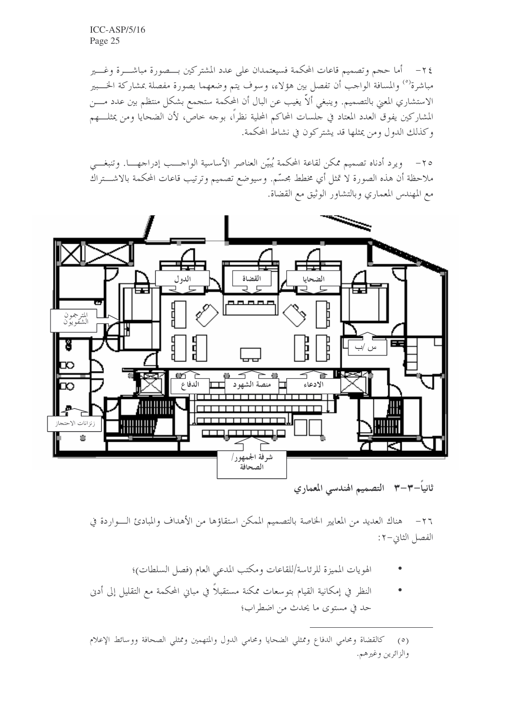٢٤ - أما حجم وتصميم قاعات المحكمة فسيعتمدان على عدد المشتركين بـــصورة مباشـــرة وغـــير مباشرة<sup>(٥)</sup> والمسافة الواحب أن تفصل بين هؤلاء، وسوف يتم وضعهما بصورة مفصلة بمشاركة الخـــبير الاستشاري المعنى بالتصميم. وينبغي ألاَّ يغيب عن البال أن المحكمة ستجمع بشكلٍ منتظم بين عدد مــــن المشاركين يفوق العدد المعتاد في حلسات المحاكم المحلية نظراً، بوحه خاص، لأن الضحايا ومن يمثلـــهم وكذلك الدول ومن يمثلها قد يشتركون في نشاط المحكمة.

٢٥ – ويرد أدناه تصميم ممكن لقاعة المحكمة يُبيّن العناصر الأساسية الواحـــب إدراجهـــا. وتنبغـــي ملاحظة أن هذه الصورة لا تمثل أي مخطط مجسّم. وسيوضع تصميم وترتيب قاعات المحكمة بالاشـــتراك مع المهندس المعماري وبالتشاور الوثيق مع القضاة.



ثانياً–٣–٣٪ التصميم الهندسي المعماري

٢٦– هناك العديد من المعايير الخاصة بالتصميم الممكن استقاؤها من الأهداف والمبادئ الـواردة في الفصل الثاني-٢:

- الهويات المميزة للرئاسة/للقاعات ومكتب المدعي العام (فصل السلطات)؛
- النظر في إمكانية القيام بتوسعات ممكنة مستقبلاً في مباني المحكمة مع التقليل إلى أدنى حد في مستوى ما يحدث من اضطراب؛

<sup>(</sup>٥) كالقضاة ومحامى الدفاع وممثلي الضحايا ومحامى الدول والمتهمين وممثلي الصحافة ووسائط الإعلام والزائرين وغيرهم.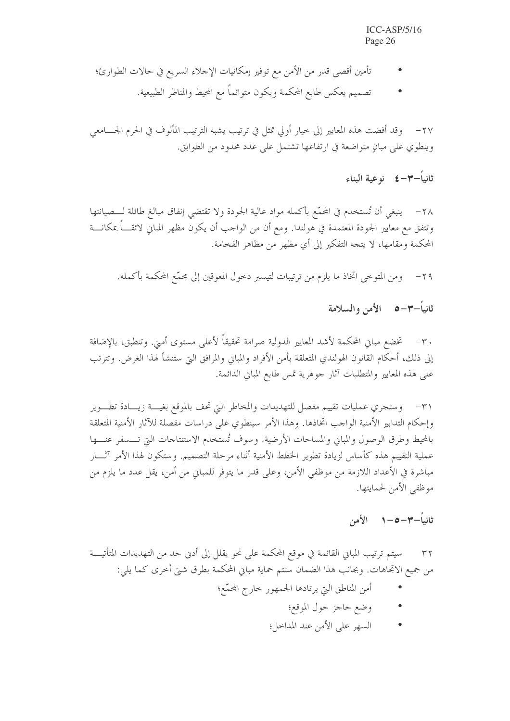- تأمين أقصى قدر من الأمن مع توفير إمكانيات الإحلاء السريع في حالات الطوارئ؛
	- تصميم يعكس طابع المحكمة ويكون متوائماً مع المحيط والمناظر الطبيعية.

٢٧ – وقد أفضت هذه المعايير إلى حيار أولى تمثل في ترتيب يشبه الترتيب المألوف في الحرم الجــــامعي وينطوي على مبانٍ متواضعة في ارتفاعها تشتمل على عدد محدود من الطوابق.

ثانياً–٣–٤٪ نوعية البناء

٢٨ – ينبغي أن تُستخدم في المجمَّع بأكمله مواد عالية الجودة ولا تقتضي إنفاق مبالغ طائلة لــــصيانتها وتتفق مع معايير الجودة المعتمدة في هولندا. ومع أن من الواحب أن يكون مظهر المباني لائقــــاً بمكانــــة المحكمة ومقامها، لا يتجه التفكير إلى أي مظهر من مظاهر الفخامة.

ومن المتوحى اتخاذ ما يلزم من ترتيبات لتيسير دحول المعوقين إلى مجمَّع المحكمة بأكمله.  $-\tau$ 9

ثانياً–٣–٥٪ الأمن والسلامة

٣٠ – تخضع مباني المحكمة لأشد المعايير الدولية صرامة تحقيقاً لأعلى مستوى أمين. وتنطبق، بالإضافة إلى ذلك، أحكام القانون الهولندي المتعلقة بأمن الأفراد والمباني والمرافق التي ستنشأ لهذا الغرض. وتترتب على هذه المعايير والمتطلبات آثار جوهرية تمس طابع المباين الدائمة.

٣١ - وستجري عمليات تقييم مفصل للتهديدات والمخاطر التي تحف بالموقع بغيسة زيسادة تطسوير وإحكام التدابير الأمنية الواجب اتخاذها. وهذا الأمر سينطوي على دراسات مفصلة للآثار الأمنية المتعلقة بالمحيط وطرق الوصول والمبايي والمساحات الأرضية. وسوف تُستخدم الاستنتاجات التي تـــسفر عنــــها عملية التقييم هذه كأساس لزيادة تطوير الخطط الأمنية أثناء مرحلة التصميم. وستكون لهذا الأمر آثـــار مباشرة في الأعداد اللازمة من موظفي الأمن، وعلى قدر ما يتوفر للمباني من أمن، يقل عدد ما يلزم من موظفي الأمن لحمايتها.

ثانياً–٣–٥–١ الأمن

سيتم ترتيب المباني القائمة في موقع المحكمة على نحو يقلل إلى أدن حد من التهديدات المتأتيـــة  $\tau$ من جميع الاتجاهات. وبحانب هذا الضمان ستتم حماية مباني المحكمة بطرق شتى أخرى كما يلي:

- أمن المناطق التي يرتادها الجمهور حارج المجمّع؛
	- وضع حاجز حول الموقع؛
	- السهر على الأمن عند المداخل؛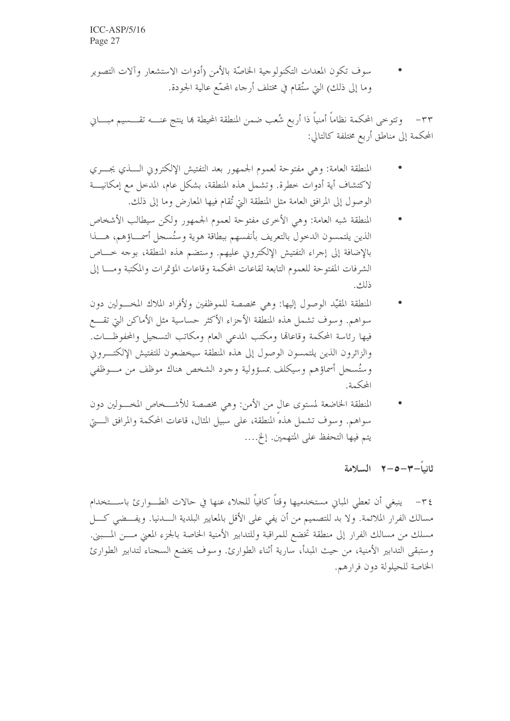سوف تكون المعدات التكنولوجية الخاصَّة بالأمن (أدوات الاستشعار وآلات التصوير وما إلى ذلك) التي ستُقام في مختلف أرجاء المحمَّع عالية الجودة.

٣٣– وتتوخى المحكمة نظاماً أمنياً ذا أربع شُعب ضمن المنطقة المحيطة بما ينتج عنــــه تقــــسيم مبــــاني المحكمة إلى مناطق أربع مختلفة كالتالي:

- المنطقة العامة: وهي مفتوحة لعموم الجمهور بعد التفتيش الإلكتروين الــــذي يجــــري لاكتشاف أية أدوات خطرة. وتشمل هذه المنطقة، بشكل عام، المدخل مع إمكانيـــة الوصول إلى المرافق العامة مثل المنطقة التي تُقام فيها المعارض وما إلى ذلك.
- المنطقة شبه العامة: وهي الأخرى مفتوحة لعموم الجمهور ولكن سيطالب الأشخاص الذين يلتمسون الدحول بالتعريف بأنفسهم ببطاقة هوية وستُسجل أسمـــاؤهم، هــــذا بالإضافة إلى إجراء التفتيش الإلكتروني عليهم. وستضم هذه المنطقة، بوجه حـــاص الشرفات المفتوحة للعموم التابعة لقاعات المحكمة وقاعات المؤتمرات والمكتبة ومسا إلى ذلك.
- المنطقة المقيّد الوصول إليها: وهي مخصصة للموظفين ولأفراد الملاك المخــولين دون سواهم. وسوف تشمل هذه المنطقة الأجزاء الأكثر حساسية مثل الأماكن التي تقـــع فيها رئاسة المحكمة وقاعاقما ومكتب المدعى العام ومكاتب التسجيل والمحفوظـــات. والزائرون الذين يلتمسون الوصول إلى هذه المنطقة سيخضعون للتفتيش الإلكتـــروين وستُسجل أسماؤهم وسيكلف بمسؤولية وجود الشخص هناك موظف من مسوظفي المحكمة.
- المنطقة الخاضعة لمستوى عال من الأمن: وهي مخصصة للأشــخاص المخــولين دون سواهم. وسوف تشمل هذهُ المنطقة، على سبيل المثال، قاعات المحكمة والمرافق الــــتي يتم فيها التحفظ على المتهمين. إلخ....

ثانياً-٣-٥-٢ السلامة

٣٤– ينبغي أن تعطي المباني مستخدميها وقتاً كافياً للحلاء عنها في حالات الطـــوارئ باســـتخدام مسالك الفرار الملائمة. ولا بد للتصميم من أن يفي على الأقل بالمعايير البلدية الــــدنيا. ويفـــضي كــــل مسلك من مسالك الفرار إلى منطقة تخضع للمراقبة وللتدابير الأمنية الخاصة بالجزء المعنى مسن المسبني. وستبقى التدابير الأمنية، من حيث المبدأ، سارية أثناء الطوارئ. وسوف يخضع السجناء لتدابير الطوارئ الخاصة للحيلولة دون فرارهم.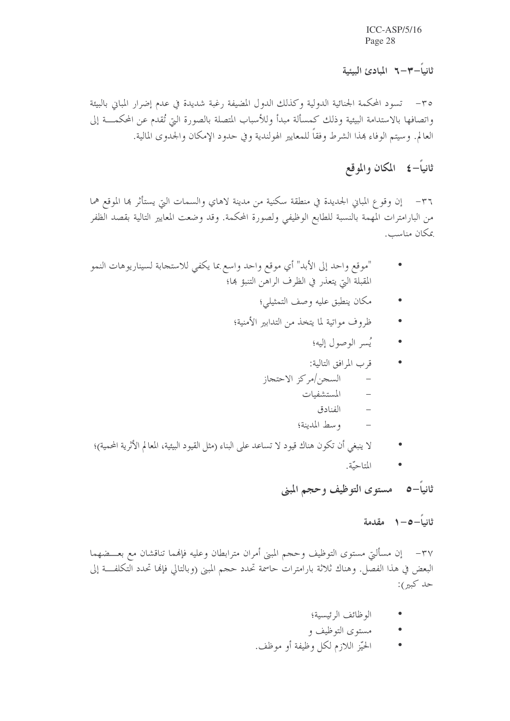ثانىاً–٣–٦ المبادئ البيئية

٣٥- تسود المحكمة الجنائية الدولية وكذلك الدول المضيفة رغبة شديدة في عدم إضرار المباين بالبيئة واتصافها بالاستدامة البيئية وذلك كمسألة مبدأ وللأسباب المتصلة بالصورة التي تُقدم عن المحكمـــة إلى العالم. وسيتم الوفاء هذا الشرط وفقاً للمعايير الهولندية وفي حدود الإمكان والجدوى المالية.

## ثانياً–٤ المكان والموقع

٣٦- إن وقوع المباني الجديدة في منطقة سكنية من مدينة لاهاي والسمات التي يستأثر ها الموقع هما من البارامترات المهمة بالنسبة للطابع الوظيفي ولصورة المحكمة. وقد وضعت المعايير التالية بقصد الظفر بمكان مناسب.

- "موقع واحد إلى الأبد" أي موقع واحد واسع بما يكفي للاستجابة لسيناريوهات النمو المقبلة التي يتعذر في الظرف الراهن التنبؤ ها؛
	- مكان ينطبق عليه وصف التمثيلي؛
	- ظروف مواتية لما يتخذ من التدابير الأمنية؛
		- يسر الوصول إليه؛

### قرب المرافق التالية:

- السجن/مركز الاحتجاز
	- المستشفيات
		- الفنادق
	- وسط المدينة؛
- لا ينبغي أن تكون هناك قيود لا تساعد على البناء (مثل القيود البيئية، المعالم الأثرية المحمية)؛
	- المتاحيّة.  $\bullet$

ثانياً–٥ مستوى التوظيف وحجم المبنى

#### ثانياً—٥—١ مقدمة

٣٧– إن مسألتي مستوى التوظيف وحجم المبني أمران مترابطان وعليه فإنهما تناقشان مع بعـــضهما البعض في هذا الفصل. وهناك ثلاثة بارامترات حاسمة تحدد حجم المبين (وبالتالي فإنها تحدد التكلفــة إلى حد کبير):

- الوظائف الرئيسية؛
- مستوى التوظيف و
- الحيّز اللازم لكلّ وظيفة أو موظف.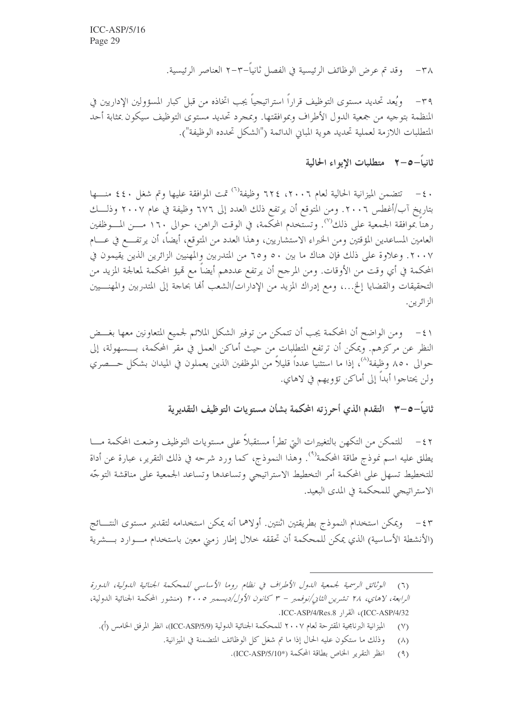وقد تم عرض الوظائف الرئيسية في الفصل ثانياً–٣–٢ العناصر الرئيسية.  $-\tau \wedge$ 

٣٩– ويُعد تحديد مستوى التوظيف قراراً استراتيجياً يجب اتخاذه من قبل كبار المسؤولين الإداريين في المنظمة بتوجيه من جمعية الدول الأطراف وبموافقتها. وبمجرد تحديد مستوى التوظيف سيكون بمثابة أحد المتطلبات اللازمة لعملية تحديد هوية المبانِ الدائمة ("الشكل تحدده الوظيفة").

## ثانياً–٢–٥٪ متطلبات الإيواء الحالية

٠٤ – تتضمن الميزانية الحالية لعام ٢٠٠٦، ٢٢٤ وظيفة<sup>(٦)</sup> تمت الموافقة عليها وتم شغل ٤٤٠ منـــها بتاريخ آب/أغطس ٢٠٠٦. ومن المتوقع أن يرتفع ذلك العدد إلى ٦٧٦ وظيفة في عام ٢٠٠٧ وذلــــك رهناً بموافقة الجمعية على ذلك'''. وتستخدم المحكمة، في الوقت الراهن، حوالي ١٦٠ مـــن المـــوظفين العامين المساعدين المؤقتين ومن الخبراء الاستشاريين، وهذا العدد من المتوقع، أيضاً، أن يرتفـــع في عــــام ٢٠٠٧. وعلاوة على ذلك فإن هناك ما بين ٥٠ و٦٥ من المتدربين والمهنيين الزائرين الذين يقيمون في المحكمة في أي وقت من الأوقات. ومن المرجح أن يرتفع عددهم أيضاً مع تميؤ المحكمة لمعالجة المزيد من التحقيقات والقضايا إلخ...، ومع إدراك المزيد من الإدارات/الشعب ألها بحاحة إلى المتدربين والمهنـــــيين الز ائر يېن.

٤١ – ومن الواضح أن المحكمة يجب أن تتمكن من توفير الشكل الملائم لجميع المتعاونين معها بغـــض النظر عن مركزهم. ويمكن أن ترتفع المتطلبات من حيث أماكن العمل في مقر المحكمة، بــــسهولة، إلى حوالي ٨٥٠ وظيفة'<sup>٨)</sup>، إذا ما استثنياً عدداً قليلاً من الموظفين الذين يعملون في الميدان بشكل حـــصري ولن يحتاجوا أبداً إلى أماكن تؤويهم في لاهاي.

ثانياً–٥–٣ التقدم الذي أحرزته المحكمة بشأن مستويات التوظيف التقديرية

٤٢ – للتمكن من التكهن بالتغييرات التي تطرأ مستقبلاً على مستويات التوظيف وضعت المحكمة مــــا يطلق عليه اسم نموذج طاقة المحكمة<sup>(٩)</sup>. وهذا النموذج، كما ورد شرحه في ذلك التقرير، عبارة عن أداة للتخطيط تسهل على المحكمة أمر التخطيط الاستراتيجي وتساعدها وتساعد الجمعية على مناقشة التوجّه الاستراتيجي للمحكمة في المدى البعيد.

٤٣ - ويمكن استخدام النموذج بطريقتين اثنتين. أولاهما أنه يمكن استخدامه لتقدير مستوى النتـــائج (الأنشطة الأساسية) الذي يمكن للمحكمة أن تحققه خلال إطار زمني معين باستخدام مــوارد بـــشرية

- الميزانية البرنامجية المقترحة لعام ٢٠٠٧ للمحكمة الجنائية الدولية (ICC-ASP/5/9)، انظر المرفق الخامس (أ).  $(Y)$ 
	- وذلك ما ستكون عليه الحال إذا ما تم شغل كل الوظائف المتضمنة في الميزانية.  $(\wedge)$ 
		- انظر التقرير الخاص بطاقة المحكمة (\*ICC-ASP/5/10).  $(9)$

الوثائق الرسمية لجيمعية اللهول الأطراف في نظام روما الأساسي للمحكمة الجنائية اللهولية، اللهورة  $(7)$ *الرابعة، لاهاي، ٢٨ تشرين الثاني/نوفمبر - ٣ كانون الأول/ديسمبر ٢٠٠٥* (منشور المحكمة الجنائية الدولية، ICC-ASP/4/32)، القرار ICC-ASP/4/Res.8.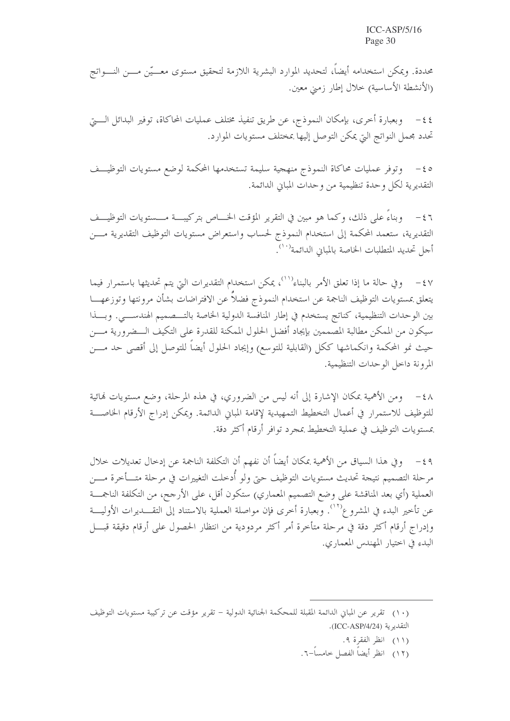محددة. ويمكن استخدامه أيضاً، لتحديد الموارد البشرية اللازمة لتحقيق مستوى معـــيّن مـــن النـــواتج (الأنشطة الأساسية) خلال إطار زمني معين.

٤٤ – وبعبارة أخرى، بإمكان النموذج، عن طريق تنفيذ مختلف عمليات المحاكاة، توفير البدائل الـــــيّ تحدد محمل النواتج التي يمكن التوصل إليها بمختلف مستويات الموارد.

وتوفر عمليات محاكاة النموذج منهجية سليمة تستخدمها المحكمة لوضع مستويات التوظيــف  $-\xi$  o التقديرية لكل وحدة تنظيمية من وحدات المباين الدائمة.

٤٦ - وبناءً على ذلك، وكما هو مبين في التقرير المؤقت الخــــاص بتركيبـــة مـــــستويات التوظيــــف التقديرية، ستعمد المحكمة إلى استخدام النموذج لحساب واستعراض مستويات التوظيف التقديرية مـــن أجل تحديد المتطلبات الخاصة بالمباني الدائمة<sup>(١٠)</sup>.

٤٧ – وفي حالة ما إذا تعلق الأمر بالبناء''')، يمكن استخدام التقديرات التي يتم تحديثها باستمرار فيما يتعلق بمستويات التوظيف الناجمة عن استخدام النموذج فضلاً عن الافتراضات بشأن مرونتها وتوزعهـــا بين الوحدات التنظيمية، كناتج يستخدم في إطار المنافسة الدولية الخاصة بالتـــصميم الهندســــي. وبـــذا سيكون من الممكن مطالبة المصممين بإيجاد أفضل الحلول الممكنة للقدرة على التكيف الـــضرورية مـــن حيث نمو المحكمة وانكماشها ككل (القابلية للتوسع) وإيجاد الحلول أيضاً للتوصل إلى أقصى حد مــــن المرونة داخل الوحدات التنظيمية.

٤٨ – ومن الأهمية بمكان الإشارة إلى أنه ليس من الضروري، في هذه المرحلة، وضع مستويات لهائية للتوظيف للاستمرار في أعمال التخطيط التمهيدية لإقامة المباين الدائمة. ويمكن إدراج الأرقام الخاصـــة بمستويات التوظيف في عملية التخطيط بمجرد توافر أرقام أكثر دقة.

٤٩ - وفي هذا السياق من الأهمية بمكان أيضاً أن نفهم أن التكلفة الناجمة عن إدخال تعديلات خلال مرحلة التصميم نتيجة تحديث مستويات التوظيف حتى ولو أدخلت التغييرات في مرحلة متـــأخرة مــــن العملية (أي بعد المناقشة على وضع التصميم المعماري) ستكون أقل، على الأرجح، من التكلفة الناجمـــة عن تأخير البدء في المشروع''''. وبعبارة أخرى فإن مواصلة العملية بالاستناد إلى التقـــديرات الأوليـــة وإدراج أرقام أكثر دقة في مرحلة متأخرة أمر أكثر مردودية من انتظار الحصول على أرقام دقيقة قبـــل البدء في اختيار المهندس المعماري.

(١٢) انظر أيضاً الفصل حامساً–٦.

<sup>(</sup>١٠) تقرير عن المباني الدائمة المقبلة للمحكمة الجنائية الدولية – تقرير مؤقت عن تركيبة مستويات التوظيف التقديرية (ICC-ASP/4/24).

<sup>(</sup>١١) انظر الفقرة ٩.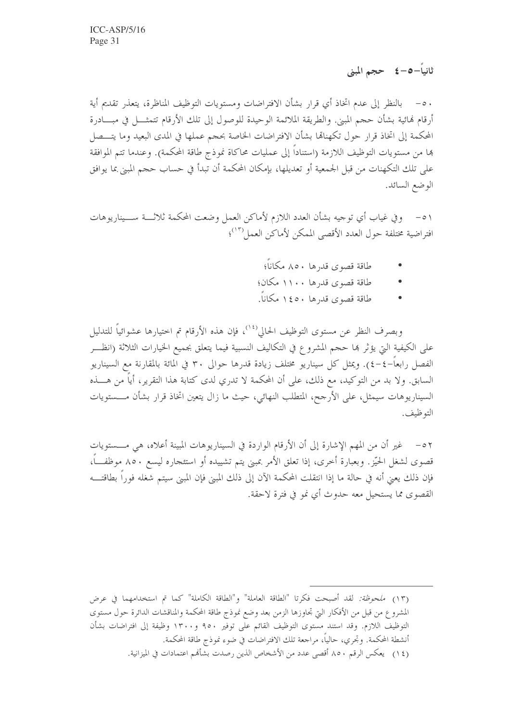ثانياً–٥–٤ حجم المبنى

• ٥- بالنظر إلى عدم اتخاذ أي قرار بشأن الافتراضات ومستويات التوظيف المناظرة، يتعذر تقديم أية أرقام فمائية بشأن حجم المبني. والطريقة الملائمة الوحيدة للوصول إلى تلك الأرقام تتمثـــل في مبــــادرة المحكمة إلى اتخاذ قرار حول تكهناهما بشأن الافتراضات الخاصة بحجم عملها في المدى البعيد وما يتـــصل ها من مستويات التوظيف اللازمة (استناداً إلى عمليات محاكاة نموذج طاقة المحكمة). وعندما تتم الموافقة على تلك التكهنات من قبل الجمعية أو تعديلها، بإمكان المحكمة أن تبدأ في حساب حجم المبيِّ بما يوافق الوضع السائد.

٥١ – وفي غياب أي توجيه بشأن العدد اللازم لأماكن العمل وضعت المحكمة ثلاثــة ســـيناريوهات افتراضية مختلفة حول العدد الأقصى الممكن لأماكن العمل<sup>(١٣)</sup>؛

- طاقة قصوى قدرها ٨٥٠ مكاناً؛
- طاقة قصوى قدرها ١١٠٠ مكان؛
- طاقة قصوى قدرها ١٤٥٠ مكاناً.

وبصرف النظر عن مستوى التوظيف الحالي<sup>(٢٤</sup>، فإن هذه الأرقام تم اختيارها عشوائياً للتدليل على الكيفية التي يؤثر ها حجم المشروع في التكاليف النسبية فيما يتعلق بجميع الخيارات الثلاثة (انظـــر الفصل رابعاً–٤–٤). ويمثل كل سيناريو مختلف زيادة قدرها حوالي ٣٠ في المائة بالمقارنة مع السيناريو السابق. ولا بد من التوكيد، مع ذلك، على أن المحكمة لا تدري لدى كتابة هذا التقرير، أياً من هــــذه السيناريوهات سيمثل، على الأرجح، المتطلب النهائي، حيث ما زال يتعين اتخاذ قرار بشأن مـــستويات التوظيف.

٥٢ – ﴿ غير أن من المهم الإشارة إلى أن الأرقام الواردة في السيناريوهات المبينة أعلاه، هي مـــستويات قصوى لشغل الحيّز. وبعبارة أخرى، إذا تعلق الأمر بمبنى يتم تشييده أو استئجاره ليسع ٨٥٠ موظفـــاً، فإن ذلك يعني أنه في حالة ما إذا انتقلت المحكمة الآن إلى ذلك المبنى فإن المبنى سيتم شغله فوراً بطاقتـــه القصوى مما يستحيل معه حدوث أي نمو في فترة لاحقة.

<sup>(</sup>١٣) م*لحوظة:* لقد أصبحت فكرتا "الطاقة العاملة" و"الطاقة الكاملة" كما تم استخدامهما في عرض المشروع من قبل من الأفكار التي تجاوزها الزمن بعد وضع نموذج طاقة المحكمة والمناقشات الدائرة حول مستوى التوظيف اللازم. وقد استند مستوى التوظيف القائم على توفير ٩٥٠ و١٣٠٠ وظيفة إلى افتراضات بشأن أنشطة المحكمة. وتحري، حالياً، مراجعة تلك الافتراضات في ضوء نموذج طاقة المحكمة.

<sup>(</sup>١٤) \_ يعكس الرقم ٨٥٠ أقصى عدد من الأشخاص الذين رصدت بشأهُم اعتمادات في الميزانية.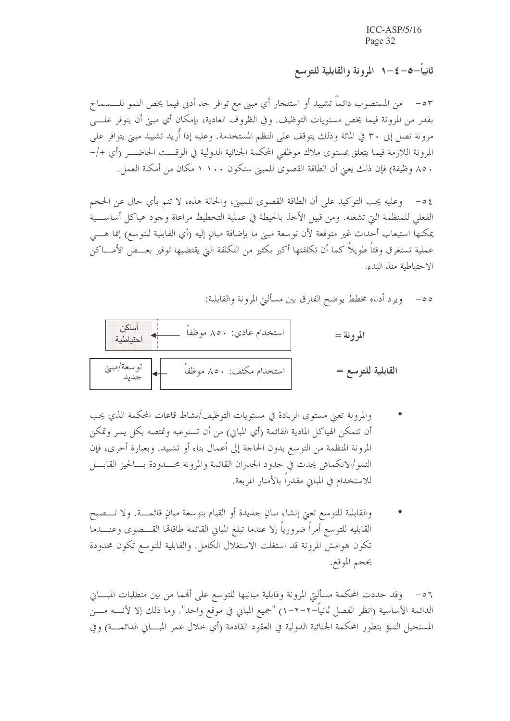ثانياً–0–٤–١ المرونة والقابلية للتوسع

٥٣ – من المستصوب دائماً تشييد أو استئجار أي مبنى مع توافر حد أدنى فيما يخص النمو للــــسماح بقدرٍ من المرونة فيما يخص مستويات التوظيف. وفي الظروف العادية، بإمكان أي مبنى أن يتوفر علــــى مرونة تصل إلى ٣٠ في المائة وذلك يتوقف على النظم المستخدمة. وعليه إذا أُريد تشييد مبنى يتوافر على المرونة اللازمة فيما يتعلق بمستوى ملاك موظفى المحكمة الجنائية الدولية في الوقــت الحاضـــر (أي +/– ٨٥٠، وظيفة) فإن ذلك يعني أن الطاقة القصوى للمبين ستكون ١١٠٠ مكان من أمكنة العمل.

٤ ٥- وعليه يجب التوكيد على أن الطاقة القصوى للمبين، والحالة هذه، لا تنم بأي حال عن الحجم الفعلى للمنظمة التي تشغله. ومن قبيل الأخذ بالحيطة في عملية التخطيط مراعاة وجود هياكل أساســـية يمكنها استيعاب أحداث غير متوقعة لأن توسعة مبنى ما بإضافة مبانٍ إليه (أي القابلية للتوسع) إنما هــــي عملية تستغرق وقتاً طويلاً كما أن تكلفتها أكبر بكثير من التكلفة التي يقتضيها توفير بعـــض الأمــــاكن الاحتياطية منذ البدء.

> ويرد أدناه مخطط يوضح الفارق بين مسألتي المرونة والقابلية:  $-\circ \circ$



- والمرونة تعني مستوى الزيادة في مستويات التوظيف/نشاط قاعات المحكمة الذي يجب أن تتمكن الهياكل المادية القائمة (أي المبايي) من أن تستوعبه وتمتصه بكل يسر وتمكن المرونة المنظمة من التوسع بدون الحاجة إلى أعمال بناء أو تشييد. وبعبارة أحرى، فإن النمو/الانكماش يحدث في حدود الجدران القائمة والمرونة محـــدودة بـــالحيز القابــــل للاستخدام في المباين مقدرًا بالأمتار المربعة.
- والقابلية للتوسع تعني إنشاء مبانٍ حديدة أو القيام بتوسعة مبانٍ قائمــــة. ولا تــــصبح القابلية للتوسع أمراً ضرورياً إلا عندما تبلغ المبايي القائمة طاقاقما القـــصوى وعنــــدما تكون هوامش المرونة قد استغلت الاستغلال الكامل. والقابلية للتوسع تكون محدودة بحجم الموقع.

٥٦ – وقد حددت المحكمة مسألتي المرونة وقابلية مبانيها للتوسع على أفمما من بين متطلبات المبـــاني الدائمة الأساسية (انظر الفصل ثانياً–٢–٦–١) "جميع المباني في موقع واحد". وما ذلك إلا لأنــــه مــــن المستحيل التنبؤ بتطور المحكمة الجنائية الدولية في العقود القادمة (أي خلال عمر المبــــاني الدائمــــة) وفي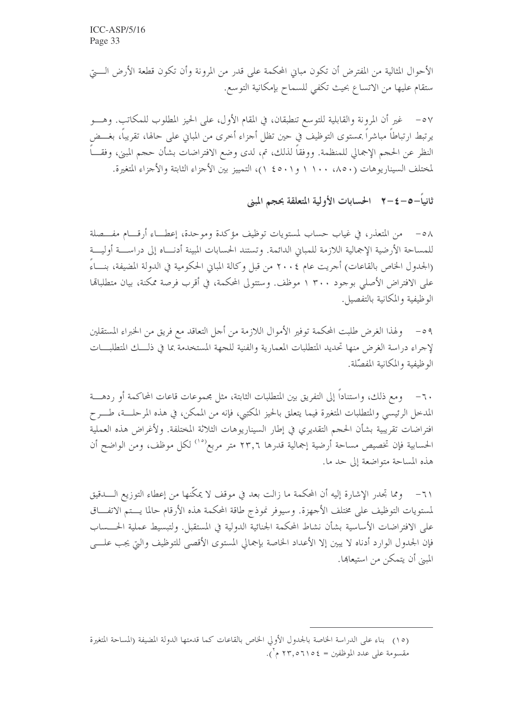الأحوال المثالية من المفترض أن تكون مبايي المحكمة على قدرٍ من المرونة وأن تكون قطعة الأرض الـــــتي ستقام عليها من الاتساع بحيث تكفي للسماح بإمكانية التوسع.

٥٧ – غير أن المرونة والقابلية للتوسع تنطبقان، في المقام الأول، على الحيز المطلوب للمكاتب. وهـــو يرتبط ارتباطاً مباشراً بمستوى التوظيف في حين تظل أجزاء أخرى من المباني على حالها، تقريباً، بغـــض النظر عن الحجم الإجمالي للمنظمة. ووفقاً لذلك، تم، لدى وضع الافتراضات بشأن حجم المبني، وفقـــاً لمختلف السيناريوهات (٨٥٠، ١١٠٠ و٤٥٠١)، التمييز بين الأجزاء الثابتة والأجزاء المتغيرة.

ثانياً−٥−٤−٢ الحسابات الأولية المتعلقة بحجم المبنى

٥٨ – من المتعذر، في غياب حساب لمستويات توظيف مؤكدة وموحدة، إعطــاء أرقـــام مفـــصلة للمساحة الأرضية الإجمالية اللازمة للمباني الدائمة. وتستند الحسابات المبينة أدنـــاه إلى دراســـة أوليـــة (الجدول الخاص بالقاعات) أجريت عام ٢٠٠٤ من قبل وكالة المباني الحكومية في الدولة المضيفة، بنـــاءً على الافتراض الأصلي بوجود ٣٠٠ ١ موظف. وستتولى المحكمة، في أقرب فرصة ممكنة، بيان متطلبالها الوظيفية والمكانية بالتفصيل.

٥٩ – ولهذا الغرض طلبت المحكمة توفير الأموال اللازمة من أجل التعاقد مع فريق من الخبراء المستقلين لإجراء دراسة الغرض منها تحديد المتطلبات المعمارية والفنية للجهة المستخدمة بما في ذلـــك المتطلبـــات الوظيفية والمكانية المفصّلة.

٦٠– ومع ذلك، واستناداً إلى التفريق بين المتطلبات الثابتة، مثل مجموعات قاعات المحاكمة أو ردهــــة المدخل الرئيسي والمتطلبات المتغيرة فيما يتعلق بالحيز المكتبي، فإنه من الممكن، في هذه المرحلـــة، طــــرح افتراضات تقريبية بشأن الحجم التقديري في إطار السيناريوهات الثلاثة المختلفة. ولأغراض هذه العملية الحسابية فإن تخصيص مساحة أرضية إجمالية قدرها ٢٣٫٦ متر مربع<sup>(١٥)</sup> لكل موظف، ومن الواضح أن هذه المساحة متواضعة إلى حد ما.

٦١– ومما تجدر الإشارة إليه أن المحكمة ما زالت بعد في موقف لا يمكَّنها من إعطاء التوزيع الــــدقيق لمستويات التوظيف على مختلف الأجهزة. وسيوفر نموذج طاقة المحكمة هذه الأرقام حالما يستم الاتفــاق على الافتراضات الأساسية بشأن نشاط المحكمة الجنائية الدولية في المستقبل. ولتبسيط عملية الحــــساب فإن الجدول الوارد أدناه لا يبين إلا الأعداد الخاصة بإجمالي المستوى الأقصى للتوظيف والتي يجب علـــي المبيّ أن يتمكَّن من استيعاهما.

<sup>(</sup>١٥) بناء على الدراسة الخاصة بالجدول الأولى الخاص بالقاعات كما قدمتها الدولة المضيفة (المساحة المتغيرة مقسومة على عدد الموظفين = ١٥٤٥م م م أ).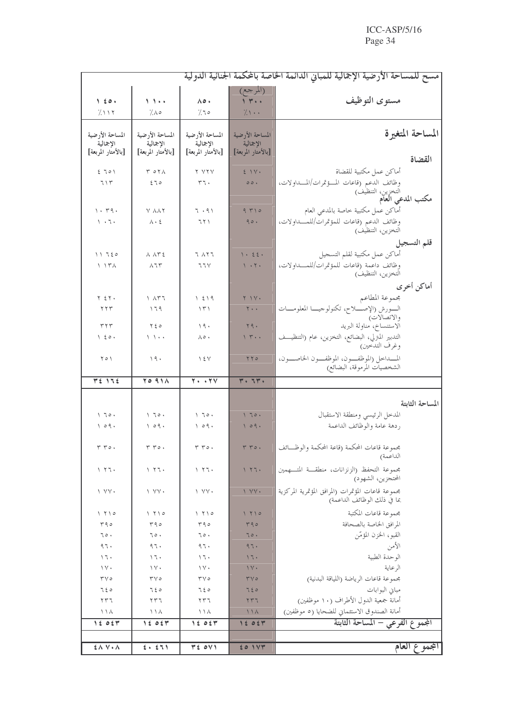| مسح للمساحة الأرضية الإجمالية للمباني الدائمة الخاصة بالمكمة الجنائية الدولية |                                                    |                                         |                                                                          |                                                                                      |
|-------------------------------------------------------------------------------|----------------------------------------------------|-----------------------------------------|--------------------------------------------------------------------------|--------------------------------------------------------------------------------------|
| 160.                                                                          | 1.1                                                | ۵٥.                                     | (المرجع)<br>1.7                                                          | مستوى التوظيف                                                                        |
| 7.117                                                                         | 7.10                                               | 7.70                                    | 7.1                                                                      |                                                                                      |
| المساحة الأرضية                                                               | المساحة الأرضية                                    | المساحة الأرضية                         | المساحة الأرضية                                                          | المساحة المتغيرة                                                                     |
| الإجمالية                                                                     | الإجمالية                                          | الإجمالية                               | الإجمالية                                                                |                                                                                      |
| [بالأمتار المربعة]                                                            | [بالأمتار المربعة]                                 | [بالأمتار المربعة]                      | [بالأمتار المربعة]                                                       | القضاة                                                                               |
| 5701                                                                          | $T O T \Lambda$                                    | Y Y Y Y                                 | $2 \vee$                                                                 | أماكن عمل مكتبية للقضاة                                                              |
| 715                                                                           | 270                                                | rr.                                     | $\circ \circ \cdot$                                                      | وظائف الدعم (قاعات المسؤتمرات/المسداولات،                                            |
|                                                                               |                                                    |                                         |                                                                          | التخزين، التنظيف)<br><b>مكتب المدعي العام</b>                                        |
| $\eta$ . $\tau q$ .                                                           | Y AAY                                              | 7.91                                    | 9710                                                                     | أماكن عمل مكتبية خاصة بالمدعى العام                                                  |
| $\mathcal{N} \rightarrow \mathcal{N} \rightarrow$                             | $\wedge \cdot \; \xi$                              | 771                                     | 90.                                                                      | وظائف الدعم (قاعات للمؤتمرات/للمـــداولات،                                           |
|                                                                               |                                                    |                                         |                                                                          | التخزين، التنظيف)                                                                    |
|                                                                               |                                                    |                                         |                                                                          | قلم التسجيل                                                                          |
| 11720                                                                         | ハ ハドミ                                              | て ハヤて                                   | $\setminus \cdot \quad \xi \ \xi \ .$<br>$\mathcal{N} \cdot \mathcal{N}$ | أماكن عمل مكتبية لقلم التسجيل<br>وظائف داعمة رقاعات للمؤتمرات/للمسداولات،            |
| $\setminus \quad \setminus \tau \wedge$                                       | $\wedge$ 7 $\Upsilon$                              | 77V                                     |                                                                          | التخزين، التنظيف)                                                                    |
|                                                                               |                                                    |                                         |                                                                          | أماكن أخرى                                                                           |
| $Y \Sigma Y$                                                                  | ۲ ۸۳٦                                              | 1219                                    | $Y$ $\vee$                                                               | مجموعة المطاعم                                                                       |
| ۲۲۳                                                                           | ۱٦٩                                                | ۱۳۱                                     | $Y \cdot \cdot$                                                          | السورش (الإصلاح، تكنولوجيــا المعلومـــات                                            |
| ۳۲۳                                                                           | $Y \xi o$                                          | 19.                                     | $\Upsilon$ q.                                                            | والاتصالات)<br>الاستنساخ، مناولة البريد                                              |
| $\left  \right $ $\left  \right $ $\circ$ .                                   | 1 )・・                                              | ٨٥.                                     | $\gamma$ $\mu$ .                                                         | التدبير المترلي، البضائع، التخزين، عام (التنظيــف                                    |
|                                                                               |                                                    |                                         |                                                                          | وغرف التدَّحين)                                                                      |
| ۲٥۱                                                                           | ۱۹۰                                                | $\frac{1}{2}$                           | YY0                                                                      | المسداحل (الموظفون، الموظفون الخاصون،<br>الشخصيات المرموقة، البضائع)                 |
| どき りつき                                                                        | <b>TO 911</b>                                      | $\overline{\tau \cdot \cdot \tau \vee}$ | $Y \cdot T Y \cdot$                                                      |                                                                                      |
|                                                                               |                                                    |                                         |                                                                          |                                                                                      |
|                                                                               |                                                    |                                         |                                                                          | المساحة الثابتة                                                                      |
| $\setminus \top o$ .                                                          | $\setminus \top o$ .                               | 170.                                    | 170.                                                                     | المدحل الرئيسي ومنطقة الاستقبال                                                      |
| 109.                                                                          | 109.                                               | 109.                                    | 109.                                                                     | ردهة عامة والوظائف الداعمة                                                           |
|                                                                               |                                                    |                                         |                                                                          |                                                                                      |
| $r r \circ$ .                                                                 | $r r \circ$ .                                      | $r r \circ$ .                           | $T T$ .                                                                  | مجموعة قاعات المحكمة (قاعة المحكمة والوظــائف<br>الداعمة)                            |
| 177.                                                                          | 177.                                               | ۱ ۲٦۰                                   | 177.                                                                     | مجموعة التحفظ (الزنزانات، منطقة المتسهمين                                            |
|                                                                               |                                                    |                                         |                                                                          | المحتجزين، الشهود)                                                                   |
| $\vee$ $\vee$ $\vee$                                                          | $\vee$ $\vee$ $\vee$                               | $\vee$ $\vee$ $\vee$                    | 1 VV .                                                                   | مجموعة قاعات المؤتمرات (المرافق المؤتمرية المركزية                                   |
|                                                                               |                                                    |                                         |                                                                          | بما في ذلك الوظائف الداعمة)                                                          |
| $\frac{1}{2}$                                                                 | $\left  \right $ $\left  \right $ $\left  \right $ | ۱ ۲۱۰                                   | 110                                                                      | مجموعة قاعات المكتبة                                                                 |
| ۳۹۰<br>٦٥.                                                                    | ۳۹٥<br>70.                                         | ۳۹٥<br>70.                              | 490<br>70.                                                               | المرافق الخاصة بالصحافة<br>القبو، الخزن المؤمّن                                      |
| ٩٦.                                                                           | 97.                                                | 97.                                     | 97.                                                                      | الأمن                                                                                |
| $\setminus \mathcal{I}$                                                       | $\setminus \mathcal{I}$                            | 17.                                     | 17.                                                                      | الوحدة الطبية                                                                        |
| $\setminus \vee \cdot$                                                        | $\setminus \vee$                                   | $\vee$ $\vee$                           | $\gamma \vee \cdot$                                                      | الرعاية                                                                              |
| $\mathbf{r} \mathbf{v}$                                                       | $\mathbf{r} \vee \mathbf{0}$                       | $\mathbf{r} \vee \mathbf{0}$            | $\mathbf{r} \vee \mathbf{0}$                                             | بحموعة قاعات الرياضة (اللياقة البدنية)                                               |
| 720                                                                           | 750                                                | 750                                     | 720                                                                      | مباني البوابات                                                                       |
| ٢٣٦<br>ハハ                                                                     | ۲۳٦<br>ノノハ                                         | ۲۳٦<br>ノノハ                              | 577<br>$11\lambda$                                                       | أمانة جمعية الدول الأطراف (١٠ موظفين)<br>أمانة الصندوق الاستئماني للضحايا (٥ موظفين) |
| 15054                                                                         | 1505                                               | 15054                                   | 15054                                                                    | المجموع الفرعي – المساحة الثابتة                                                     |
|                                                                               |                                                    |                                         |                                                                          |                                                                                      |
| $\mathbf{\hat{z}} \wedge \mathbf{V} \cdot \mathbf{A}$                         | 2.51                                               | TE OVI                                  | 201V                                                                     | المجموع العام                                                                        |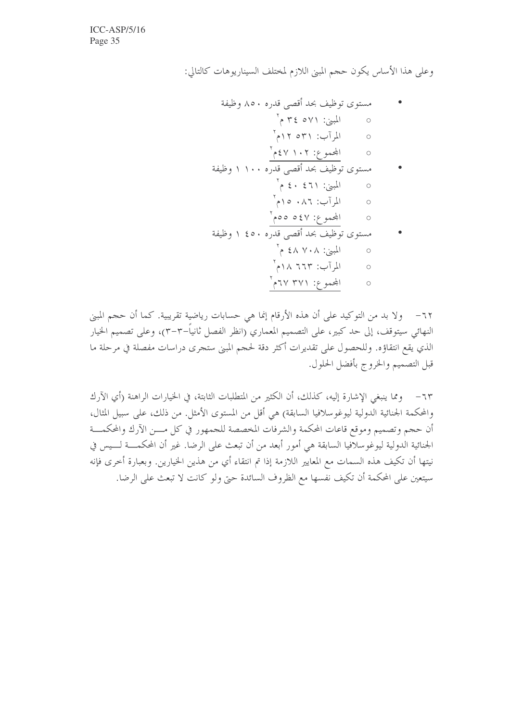وعلى هذا الأساس يكون حجم المبيّ اللازم لمختلف السيناريوهات كالتالي:

٦٢– و لا بد من التوكيد على أن هذه الأرقام إنما هي حسابات رياضية تقريبية. كما أن حجم المبيِّ النهائي سيتوقف، إلى حد كبير، على التصميم المعماري (انظر الفصل ثانياً–٣–٣)، وعلى تصميم الخيار الذي يقع انتقاؤه. وللحصول على تقديرات أكثر دقة لحجم المبني ستجرى دراسات مفصلة في مرحلة ما قبل التصميم والخروج بأفضل الحلول.

٦٣– ومما ينبغي الإشارة إليه، كذلك، أن الكثير من المتطلبات الثابتة، في الخيارات الراهنة (أي الآرك والمحكمة الجنائية الدولية ليوغوسلافيا السابقة) هي أقل من المستوى الأمثل. من ذلك، على سبيل المثال، أن حجم وتصميم وموقع قاعات المحكمة والشرفات المخصصة للجمهور في كل مسن الآرك والمحكمسة الجنائية الدولية ليوغوسلافيا السابقة هي أمور أبعد من أن تبعث على الرضا. غير أن المحكمـــة لــــيس في نيتها أن تكيف هذه السمات مع المعايير اللازمة إذا تم انتقاء أي من هذين الخيارين. وبعبارة أخرى فإنه سيتعين على المحكمة أن تكيف نفسها مع الظروف السائدة حتى ولو كانت لا تبعث على الرضا.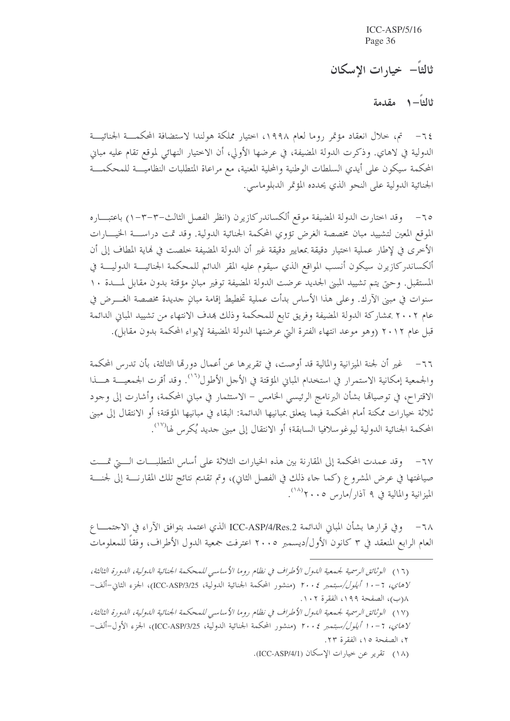ثالثاً– خيارات الاسكان

ثالثاً— ١ مقدمة

٦٤– تم، خلال انعقاد مؤتمر روما لعام ١٩٩٨، اختيار مملكة هولندا لاستضافة المحكمـــة الجنائيـــة الدولية في لاهاي. وذكرت الدولة المضيفة، في عرضها الأولى، أن الاختيار النهائي لموقع تقام عليه مباني المحكمة سيكون على أيدي السلطات الوطنية والمحلية المعنية، مع مراعاة المتطلبات النظاميـــة للمحكمـــة الجنائية الدولية على النحو الذي يحدده المؤتمر الدبلوماسي.

٦٥– وقد اختارت الدولة المضيفة موقع ألكساندركازيرن (انظر الفصل الثالث–٣–٣–١) باعتبـــاره الموقع المعين لتشييد مبان مخصصة الغرض تؤوي المحكمة الجنائية الدولية. وقد تمت دراســـة الخيــــارات الأخرى في لإطار عملية اختيار دقيقة بمعايير دقيقة غير أن الدولة المضيفة خلصت في نماية المطاف إلى أن ألكساندر كازيرن سيكون أنسب المواقع الذي سيقوم عليه المقر الدائم للمحكمة الجنائيـــة الدوليــــة في المستقبل. وحتى يتم تشييد المبني الجديد عرضت الدولة المضيفة توفير مبانٍ مؤقتة بدون مقابل لمسدة ١٠ سنوات في مبني الآرك. وعلى هذا الأساس بدأت عملية تخطيط إقامة مبانٍ جديدة مخصصة الغــــرض في عام ٢٠٠٢ بمشاركة الدولة المضيفة وفريق تابع للمحكمة وذلك بمدف الانتهاء من تشييد المباني الدائمة قبل عام ٢٠١٢ (وهو موعد انتهاء الفترة التي عرضتها الدولة المضيفة لإيواء المحكمة بدون مقابل).

٦٦– غير أن لجنة الميزانية والمالية قد أوصت، في تقريرها عن أعمال دورقما الثالثة، بأن تدرس المحكمة والجمعية إمكانية الاستمرار في استخدام المباني المؤقتة في الأحل الأطول<sup>(١٦)</sup>. وقد أقرت الجمعيـــة هـــذا الاقتراح، في توصيالها بشأن البرنامج الرئيسي الخامس – الاستثمار في مباني المحكمة، وأشارت إلى وحود ثلاثة خيارات ممكنة أمام المحكمة فيما يتعلق بمبانيها الدائمة: البقاء في مبانيها المؤقتة؛ أو الانتقال إلى مبنى المحكمة الجنائية الدولية ليوغوسلافيا السابقة؛ أو الانتقال إلى مبني جديد يُكرس لها<sup>(١٧</sup>).

٦٧– وقد عمدت المحكمة إلى المقارنة بين هذه الخيارات الثلاثة على أساس المتطلبـــات الــــتي تمـــت صياغتها في عرض المشروع (كما حاء ذلك في الفصل الثاني)، وتم تقديم نتائج تلك المقارنـــة إلى لجنـــة الميزانية والمالية في ٩ آذار /مارس ٢٠٠٥ .

٦٨ – وفي قرارها بشأن المباني الدائمة ICC-ASP/4/Res.2 الذي اعتمد بتوافق الآراء في الاحتمــــا ع العام الرابع المنعقد في ٣ كانون الأول/ديسمبر ٢٠٠٥ اعترفت جمعية الدول الأطراف، وفقاً للمعلومات

(١٨) تقرير عن خيارات الإسكان (ICC-ASP/4/1).

<sup>(</sup>١٦) الوثائق الرسمية لجمعية الدول الأطراف في نظام روما الأساسي للمحكمة الجنائية الدولية، الدورة الثالثة، لاهاي، 7- • ا أيلول/سبتمبر ٢٠٠٤ (منشور المحكمة الجنائية الدولية، ICC-ASP/3/25)، الجزء الثاني-ألف-٨(ب)، الصفحة ١٩٩، الفقرة ١٠٢. (١٧) الوثائق الرسمية لجمعية الدول الأطراف في نظام روما الأساسي للمحكمة الجنائية الدولية، الدورة الثالثة، لاهاي، 7- • ا أيلول/سبتمبر ٢٠٠٤ (منشور المحكمة الجنائية الدولية، ICC-ASP/3/25)، الجزء الأول-ألف-٢، الصفحة ١٥، الفقرة ٢٣.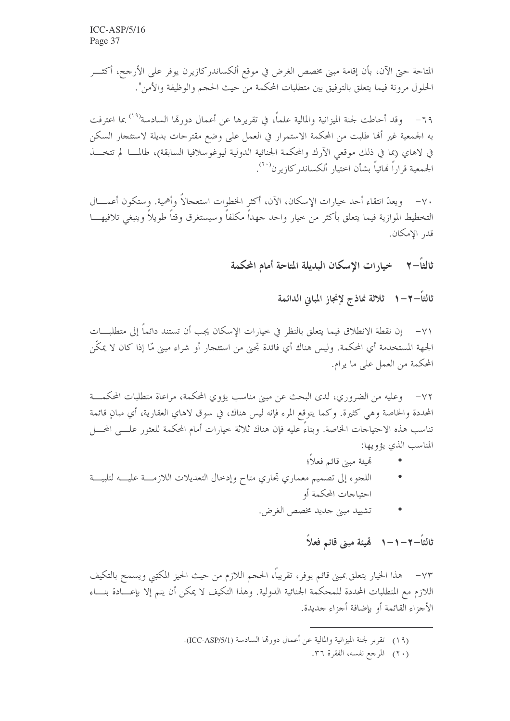المتاحة حيّ الآن، بأن إقامة مبيّ مخصص الغرض في موقع ألكساندر كازيرن يوفر على الأرجح، أكثـــر الحلول مرونة فيما يتعلق بالتوفيق بين متطلبات المحكمة من حيث الحجم والوظيفة والأمن".

٦٩– وقد أحاطت لجنة الميزانية والمالية علماً، في تقريرها عن أعمال دورهّا السادسة'<sup>٩٩)</sup> بما اعترفت به الجمعية غير ألها طلبت من المحكمة الاستمرار في العمل على وضع مقترحات بديلة لاستئجار السكن في لاهاي (بما في ذلك موقعي الآرك والمحكمة الجنائية الدولية ليوغوسلافيا السابقة)، طالمـــا لم تتخـــذ الجمعية قراراً لهائياً بشأن اختيار ألكساندر كازير ن<sup>(٢٠)</sup>.

٧٠– ويعدّ انتقاء أحد حيارات الإسكان، الآن، أكثر الخطوات استعجالاً وأهمية. وستكون أعمــــال التخطيط الموازية فيما يتعلق بأكثر من حيار واحد جهداً مكلفاً وسيستغرق وقتاً طويلاً وينبغي تلافيهـــا قدر الإمكان.

> خيارات الإسكان البديلة المتاحة أمام المحكمة ثالثاً– ۲

> > ثالثاً—٢—١- ثلاثة نماذج لإنجاز المباني الدائمة

٧١– إن نقطة الانطلاق فيما يتعلق بالنظر في حيارات الإسكان يجب أن تستند دائماً إلى متطلبـــات الجهة المستخدمة أي المحكمة. وليس هناك أي فائدة تجنى من استئجارٍ أو شراء مبنى مّا إذا كان لا يمكّن المحكمة من العمل على ما يرام.

٧٢– وعليه من الضروري، لدى البحث عن مبنى مناسب يؤوي المحكمة، مراعاة متطلبات المحكمـــة المحددة والخاصة وهي كثيرة. وكما يتوقع المرء فإنه ليس هناك، في سوق لاهاي العقارية، أي مبانٍ قائمة تناسب هذه الاحتياجات الخاصة. وبناءَ عليه فإن هناك ثلاثة حيارات أمام المحكمة للعثور علـــي المحـــل المناسب الذي يؤويها:

- تميئة مبين قائم فعلاً؛
- اللجوء إلى تصميم معماري تجاري متاح وإدخال التعديلات اللازمـــة عليـــه لتلبيـــة احتياجات المحكمة أو
	- تشييد مبن جديد مخصص الغرض.  $\bullet$

ثالثاً — ٢ — ١ — ٨ — هّيئة مبنى قائم فعلاً

٧٣– هذا الخيار يتعلق بمبنى قائم يوفر، تقريباً، الحجم اللازم من حيث الحيز المكتبى ويسمح بالتكيف اللازم مع المتطلبات المحددة للمحكمة الجنائية الدولية. وهذا التكيف لا يمكن أن يتم إلا بإعــــادة بنــــاء الأجزاء القائمة أو بإضافة أجزاء جديدة.

- (١٩) تقرير لجنة الميزانية والمالية عن أعمال دورهّا السادسة (ICC-ASP/5/1).
	- (٢٠) المرجع نفسه، الفقرة ٣٦.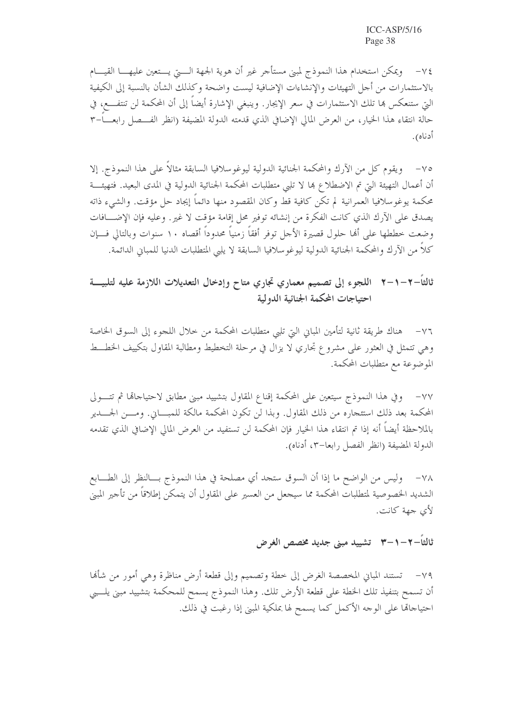٧٤ – ويمكن استخدام هذا النموذج لمبنى مستأجر غير أن هوية الجهة الــــتي يـــتعين عليهــــا القيــــام بالاستثمارات من أجل التهيئات والإنشاءات الإضافية ليست واضحة وكذلك الشأن بالنسبة إلى الكيفية التي ستنعكس ها تلك الاستثمارات في سعر الإيجار. وينبغي الإشارة أيضاً إلى أن المحكمة لن تنتفــــع، في حالة انتقاء هذا الخيار، من العرض المالي الإضافي الذي قدمته الدولة المضيفة (انظر الفـــصل رابعــــاً–٣ أدناه).

٧٥– ويقوم كل من الآرك والمحكمة الجنائية الدولية ليوغوسلافيا السابقة مثالاً على هذا النموذج. إلا أن أعمال التهيئة التي تم الاضطلاع ها لا تلبي متطلبات المحكمة الجنائية الدولية في المدى البعيد. فتهيئــــة محكمة يوغوسلافيا العمرانية لم تكن كافية قط وكان المقصود منها دائماً إيجاد حل مؤقت. والشيء ذاته يصدق على الآرك الذي كانت الفكرة من إنشائه توفير محل إقامة مؤقت لا غير . وعليه فإن الإضـــافات وضعت خططها على ألها حلول قصيرة الأجل توفر أفقاً زمنياً محدوداً أقصاه ١٠ سنوات وبالتالي فـــإن كلاً من الآرك والمحكمة الجنائية الدولية ليوغو سلافيا السابقة لا يليي المتطلبات الدنيا للمباني الدائمة.

## ثالثاً–٢–١–٢٪ اللجوء إلى تصميم معماري تجاري متاح وإدخال التعديلات اللازمة عليه لتلبيــــة احتياجات المحكمة الجنائية الدولية

٧٦– هناك طريقة ثانية لتأمين المبابي التي تلبي متطلبات المحكمة من خلال اللجوء إلى السوق الخاصة وهي تتمثل في العثور على مشروع تجاري لا يزال في مرحلة التخطيط ومطالبة المقاول بتكييف الخطــط الموضوعة مع متطلبات المحكمة.

٧٧– وفي هذا النموذج سيتعين على المحكمة إقناع المقاول بتشييد مبني مطابق لاحتياحالها ثم تتـــولى المحكمة بعد ذلك استئجاره من ذلك المقاول. وبذا لن تكون المحكمة مالكة للمبـــاين. ومـــن الجــــدير بالملاحظة أيضاً أنه إذا تم انتقاء هذا الخيار فإن المحكمة لن تستفيد من العرض المالي الإضافي الذي تقدمه الدولة المضيفة (انظر الفصل رابعا–٣، أدناه).

٧٨ - وليس من الواضح ما إذا أن السوق ستجد أي مصلحة في هذا النموذج بـــالنظر إلى الطــــابع الشديد الخصوصية لمتطلبات المحكمة مما سيجعل من العسير على المقاول أن يتمكن إطلاقاً من تأجير المبني لأي جهة كانت.

## ثالثاً–۲–۱–۳٪ تشييد مبنى جديد مخصص الغرض

٧٩- تستند المباين المخصصة الغرض إلى خطة وتصميم وإلى قطعة أرض مناظرة وهي أمور من شأها أن تسمح بتنفيذ تلك الخطة على قطعة الأرض تلك. وهذا النموذج يسمح للمحكمة بتشييد مبني يلــبي احتياجالها على الوجه الأكمل كما يسمح لها بملكية المبني إذا رغبت في ذلك.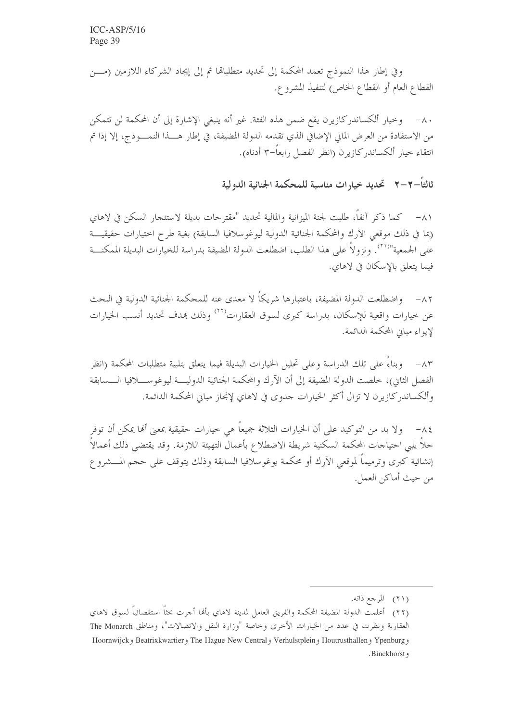وفي إطار هذا النموذج تعمد المحكمة إلى تحديد متطلباها ثم إلى إيجاد الشركاء اللازمين (مـــز القطاع العام أو القطاع الخاص) لتنفيذ المشروع.

٨٠– وخيار ألكساندركازيرن يقع ضمن هذه الفئة. غير أنه ينبغي الإشارة إلى أن المحكمة لن تتمكن من الاستفادة من العرض المالي الإضافي الذي تقدمه الدولة المضيفة، في إطار هـــذا النمــــوذج، إلا إذا تم انتقاء حيار ألكساندركازيرن (انظر الفصل رابعاً–٣ أدناه).

ثالثاً–٢–٢٪ تحديد خيارات مناسبة للمحكمة الجنائية الدولية

٨١– كما ذكر آنفاً، طلبت لجنة الميزانية والمالية تحديد "مقترحات بديلة لاستئجار السكن في لاهاي (بما في ذلك موقعي الآرك والمحكمة الجنائية الدولية ليوغوسلافيا السابقة) بغية طرح اختيارات حقيقيـــة على الجمعية"```. ونزولاً على هذا الطلب، اضطلعت الدولة المضيفة بدراسة للخيارات البديلة المكنــــة فيما بتعلق بالاسكان في لاهاي.

٨٢– واضطلعت الدولة المضيفة، باعتبارها شريكاً لا معدى عنه للمحكمة الجنائية الدولية في البحث عن خيارات واقعية للإسكان، بدراسة كيرى لسوق العقارات<sup>(٢٢)</sup> وذلك بمدف تحديد أنسب الخيارات لإيواء مباين المحكمة الدائمة.

٨٣ – وبناءَ على تلك الدراسة وعلى تحليل الخيارات البديلة فيما يتعلق بتلبية متطلبات المحكمة (انظر الفصل الثاني)، خلصت الدولة المضيفة إلى أن الآرك والمحكمة الجنائية الدوليــــة ليوغوســـــلافيا الــــسابقة وألكساندر كازيرن لا تزال أكثر الخيارات جدوى في لاهاى لإنجاز مباني المحكمة الدائمة.

٨٤– ولا بد من التوكيد على أن الخيارات الثلاثة جميعاً هي حيارات حقيقية بمعنى ألها يمكن أن توفر حلاً يلبي احتياحات المحكمة السكنية شريطة الاضطلاع بأعمال التهيئة اللازمة. وقد يقتضي ذلك أعمالاً إنشائية كبرى وترميماً لموقعي الآرك أو محكمة يوغوسلافيا السابقة وذلك يتوقف على حجم المـــشروع من حيث أماكن العمل.

<sup>(</sup>٢١) المرجع ذاته.

<sup>(</sup>٢٢) أعلمت الدولة المضيفة المحكمة والفريق العامل لمدينة لاهاي بألها أجرت بحثاً استقصائياً لسوق لاهاي العقارية ونظرت في عدد من الخيارات الأحرى وحاصة "وزارة النقل والاتصالات"، ومناطق The Monarch و Ypenburg و Houtrusthallen و Verhulstplein و The Hague New Central و Beatrixkwartier و Hoornwijck .Binckhorst,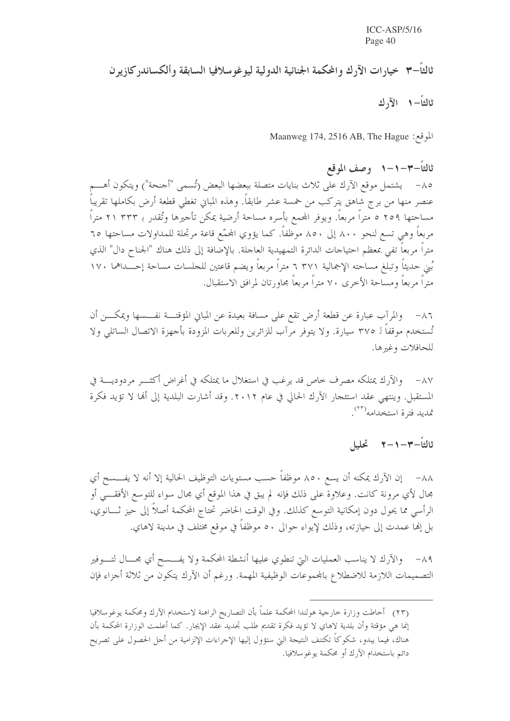ثالثاً–٣ خيارات الآرك والمحكمة الجنائية الدولية ليوغوسلافيا السابقة وألكساندركازيرن ثالثاً– ١ الآ, ك

Maanweg 174, 2516 AB, The Hague :بلوقع:

ثالثاً–٣–١–١ وصف الموقع ٨٥– يشتمل موقع الآرك على ثلاث بنايات متصلة ببعضها البعض (تُسمى "أحنحة") ويتكون أهــــم عنصر منها من برج شاهق يتركب من خمسة عشر طابقاً. وهذه المباني تغطى قطعة أرض بكاملها تقريباً مساحتها ٢٥٩ ٥ متراً مربعاً. ويوفر المحمع بأسره مساحة أرضية يمكن تأجيرها وتُقدر بـ ٢٣٣ ٢١ متراً مربعاً وهي تسع لنحو ٨٠٠ إلى ٨٥٠ موظفاً. كما يؤوي المحمّع قاعة مرتجلة للمداولات مساحتها ٦٥ متراً مربعاً تفي بمعظم احتياجات الدائرة التمهيدية العاجلة. بالإضافة إلى ذلك هناك "الجناح دال" الذي بُني حديثاً وتبلغ مساحته الإجمالية ٣٧١ ٦ متراً مربعاً ويضم قاعتين للجلسات مساحة إحـــداهما ١٧٠ متراً مربعاً ومساحة الأخرى ٧٠ متراً مربعاً مجاورتان لمرافق الاستقبال.

٨٦ \_ والمرآب عبارة عن قطعة أرض تقع على مسافة بعيدة عن المبايي المؤقتـــة نفـــسها ويمكــــن أن تُستخدم موقفاً لـ ٣٧٥ سيارة. ولا يتوفر مرآب للزائرين وللعربات المزودة بأجهزة الاتصال الساتلي ولا للحافلات وغيرها.

٨٧– والآرك يمتلكه مصرف حاص قد يرغب في استغلال ما يمتلكه في أغراض أكثــــر مردوديــــة في المستقبل. وينتهي عقد استئجار الآرك الحالي في عام ٢٠١٢. وقد أشارت البلدية إلى ألها لا تؤيد فكرة تمديد فترة استخدامه<sup>(٢٣)</sup>.

ثالثاً–٣–١–٢٪ تحليل

٨٨– إن الآرك يمكنه أن يسع ٨٥٠ موظفاً حسب مستويات التوظيف الحالية إلا أنه لا يفــــسح أي مجال لأي مرونة كانت. وعلاوة على ذلك فإنه لم يبق في هذا الموقع أي مجال سواء للتوسع الأفقــــى أو الرأسي مما يحول دون إمكانية التوسع كذلك. وفي الوقت الحاضر تحتاج المحكمة أصلاً إلى حيز ثـــانوي، بل إنها عمدت إلى حيازته، وذلك لإيواء حوالي ٥٠ موظفاً في موقع مختلف في مدينة لاهاي.

٨٩- والآرك لا يناسب العمليات التي تنطوي عليها أنشطة المحكمة ولا يفــــسح أي مجــــال لتــــوفير التصميمات اللازمة للاضطلاع بالمحموعات الوظيفية المهمة. ورغم أن الآرك يتكون من ثلاثة أجزاء فإن

(٢٣) أحاطت وزارة خارجية هولندا المحكمة علماً بأن التصاريح الراهنة لاستخدام الآرك ومحكمة يوغوسلافيا إنما هي مؤقتة وأن بلدية لاهاي لا تؤيد فكرة تقديم طلب تجديد عقد الإيجار. كما أعلمت الوزارة المحكمة بأن هناك، فيما يبدو، شكوكاً تكتنف النتيجة التي ستؤول إليها الإجراءات الإلزامية من أجل الحصول على تصريح دائم باستخدام الآرك أو محكمة يوغو سلافيا.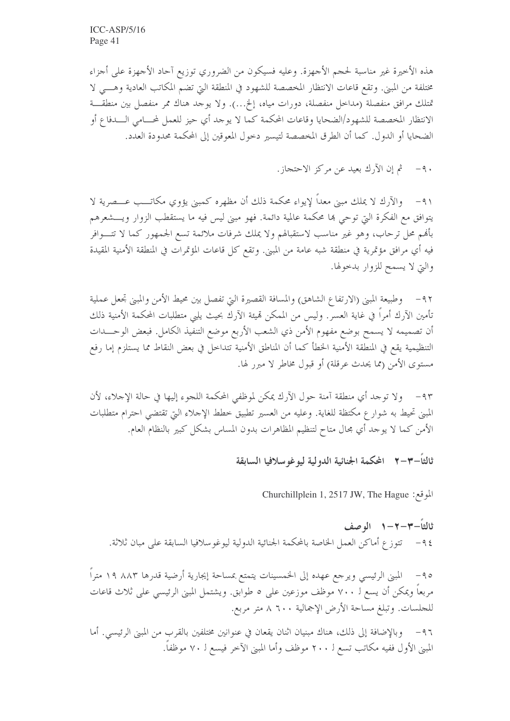هذه الأخيرة غير مناسبة لحجم الأجهزة. وعليه فسيكون من الضروري توزيع آحاد الأجهزة على أجزاء مختلفة من المبني. وتقع قاعات الانتظار المخصصة للشهود في المنطقة التي تضم المكاتب العادية وهـــي لا تمتلك مرافق منفصلة (مداخل منفصلة، دورات مياه، إلخ...). ولا يوجد هناك ممر منفصل بين منطقـــة الانتظار المخصصة للشهود/الضحايا وقاعات المحكمة كما لا يوجد أي حيز للعمل لمحامي السدفاع أو الضحايا أو الدول. كما أن الطرق المخصصة لتيسير دخول المعوقين إلى المحكمة محدودة العدد.

> ثم إن الآرك بعيد عن مركز الاحتجاز .  $-9.$

٩١- والآرك لا يملك مبين معداً لإيواء محكمة ذلك أن مظهره كمبين يؤوي مكاتـــب عـــصرية لا يتوافق مع الفكرة التي توحي بما محكمة عالمية دائمة. فهو مبني ليس فيه ما يستقطب الزوار ويــــشعرهم بأفمم محل ترحاب، وهو غير مناسب لاستقبالهم ولا يملك شرفات ملائمة تسع الجمهور كما لا تتـــوافر فيه أي مرافق مؤتمرية في منطقة شبه عامة من المبني. وتقع كل قاعات المؤتمرات في المنطقة الأمنية المقيدة والتي لا يسمح للزوار بدحولها.

٩٢– وطبيعة المبنى (الارتفاع الشاهق) والمسافة القصيرة التي تفصل بين محيط الأمن والمبني تجعل عملية تأمين الآرك أمراً في غاية العسر . وليس من الممكن تميئة الآرك بحيث يلبي متطلبات المحكمة الأمنية ذلك أن تصميمه لا يسمح بوضع مفهوم الأمن ذي الشعب الأربع موضع التنفيذ الكامل. فبعض الوحـــدات التنظيمية يقع في المنطقة الأمنية الحظأ كما أن المناطق الأمنية تتداخل في بعض النقاط مما يستلزم إما رفع مستوى الأمن (مما يحدث عرقلة) أو قبول مخاطر لا مبرر لها.

٩٣– ولا توحد أي منطقة آمنة حول الآرك يمكن لموظفي المحكمة اللجوء إليها في حالة الإحلاء، لأن المبني تحيط به شوارع مكتظة للغاية. وعليه من العسير تطبيق حطط الإحلاء التي تقتضي احترام متطلبات الأمن كما لا يوحد أي مجال متاح لتنظيم المظاهرات بدون المساس بشكل كبير بالنظام العام.

ثالثاً—٣—٢ المحكمة الجنائية الدولية ليوغو سلافيا السابقة

Churchillplein 1, 2517 JW, The Hague: الموقع:

ثالثاً–٣–٢–١ الوصف ٩٤ – تتوزع أماكن العمل الخاصة بالمحكمة الجنائية الدولية ليوغو سلافيا السابقة على مبان ثلاثة.

٩٥– المبنى الرئيسي ويرجع عهده إلى الخمسينات يتمتع بمساحة إيجارية أرضية قدرها ٨٨٣ ١٩ متراً مربعاً ويمكن أن يسع لـ ٧٠٠ موظف موزعين على ٥ طوابق. ويشتمل المبني الرئيسي على ثلاث قاعات للجلسات. وتبلغ مساحة الأرض الإجمالية ٨٦٠٠ متر مربع.

٩٦ – وبالإضافة إلى ذلك، هناك مبنيان اثنان يقعان في عنوانين مختلفين بالقرب من المبني الرئيسي. أما المبنى الأول ففيه مكاتب تسع لـ ٢٠٠ موظف وأما المبنى الآخر فيسع لـ ٧٠ موظفاً.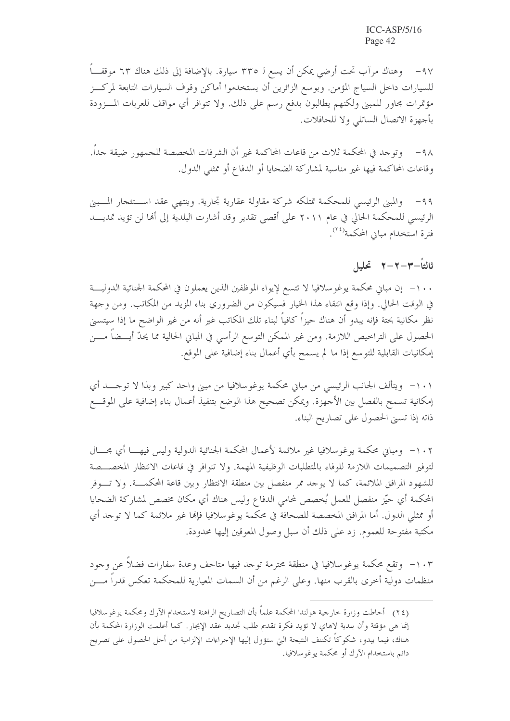٩٧ – وهناك مرآب تحت أرضى يمكن أن يسع لـ ٣٣٥ سيارة. بالإضافة إلى ذلك هناك ٦٣ موقفً للسيارات داخل السياج المؤمن. وبوسع الزائرين أن يستخدموا أماكن وقوف السيارات التابعة لمركـــز مؤتمرات مجاور للمبنى ولكنهم يطالبون بدفع رسم على ذلك. ولا تتوافر أي مواقف للعربات المسزودة بأجهزة الاتصال الساتلي ولا للحافلات.

٩٨ - وتوجد في المحكمة ثلاث من قاعات المحاكمة غير أن الشرفات المخصصة للجمهور ضيقة جداً. وقاعات المحاكمة فيها غير مناسبة لمشاركة الضحايا أو الدفاع أو ممثلي الدول.

والمبني الرئيسي للمحكمة تمتلكه شركة مقاولة عقارية تجارية. وينتهي عقد استئعجار المسبني  $-99$ الرئيسي للمحكمة الحالي في عام ٢٠١١ على أقصى تقدير وقد أشارت البلدية إلى أَهَا لن تؤيد تمديـــد فترة استخدام مبايي المحكمة<sup>(٢٤</sup>).

### ثالثاً–٣–٢–٢ تحليل

١٠٠ – إن مباني محكمة يوغوسلافيا لا تتسع لإيواء الموظفين الذين يعملون في المحكمة الجنائية الدوليــــة في الوقت الحالي. وإذا وقع انتقاء هذا الخيار فسيكون من الضروري بناء المزيد من المكاتب. ومن وجهة نظر مكانية بحتة فإنه يبدو أن هناك حيزاً كافياً لبناء تلك المكاتب غير أنه من غير الواضح ما إذا سيتسنى الحصول على التراخيص اللازمة. ومن غير الممكن التوسع الرأسي في المباني الحالية مما يحدُّ أيـــضاً مــــن إمكانيات القابلية للتوسع إذا ما لم يسمح بأي أعمال بناء إضافية على الموقع.

١٠١- ويتألف الجانب الرئيسي من مباني محكمة يوغوسلافيا من مبنى واحد كبير وبذا لا توحـــد أي إمكانية تسمح بالفصل بين الأجهزة. ويمكن تصحيح هذا الوضع بتنفيذ أعمال بناء إضافية على الموقـــع ذاته إذا تسبى الحصول على تصاريح البناء.

١٠٢- ومباني محكمة يوغوسلافيا غير ملائمة لأعمال المحكمة الجنائية الدولية وليس فيهـــا أي مجـــال لتوفير التصميمات اللازمة للوفاء بالمتطلبات الوظيفية المهمة. ولا تتوافر في قاعات الانتظار المخصـــصة للشهود المرافق الملائمة، كما لا يوجد ممر منفصل بين منطقة الانتظار وبين قاعة المحكمـــة. ولا تــــوفر المحكمة أي حيّز منفصل للعمل يُخصص لمحامي الدفاع وليس هناك أي مكان مخصص لمشاركة الضحايا أو ممثلي الدول. أما المرافق المخصصة للصحافة في محكمة يوغو سلافيا فإنها غير ملائمة كما لا توجد أي مكتبة مفتوحة للعموم. زد على ذلك أن سبل وصول المعوقين إليها محدودة.

١٠٣ - وتقع محكمة يوغوسلافيا في منطقة محترمة توجد فيها متاحف وعدة سفارات فضلاً عن وجود منظمات دولية أخرى بالقرب منها. وعلى الرغم من أن السمات المعيارية للمحكمة تعكس قدراً مــــن

(٢٤) أحاطت وزارة خارجية هولندا المحكمة علماً بأن التصاريح الراهنة لاستخدام الآرك ومحكمة يوغوسلافيا إنما هي مؤقتة وأن بلدية لاهاي لا تؤيد فكرة تقديم طلب تجديد عقد الإيجار. كما أعلمت الوزارة المحكمة بأن هناك، فيما يبدو، شكوكاً تكتنف النتيجة التي ستؤول إليها الإجراءات الإلزامية من أجل الحصول على تصريح دائم باستخدام الآرك أو محكمة يوغو سلافيا.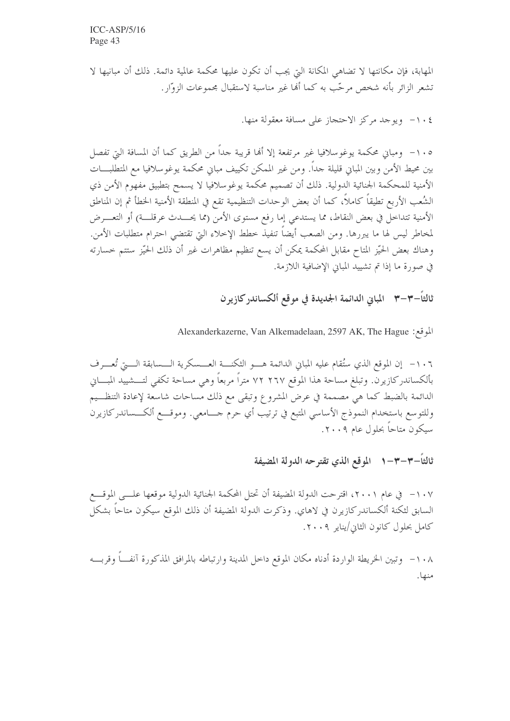المهابة، فإن مكانتها لا تضاهي المكانة التي يجب أن تكون عليها محكمة عالمية دائمة. ذلك أن مبانيها لا تشعر الزائر بأنه شخص مرحّب به كما ألها غير مناسبة لاستقبال مجموعات الزوّار.

٤ . ١- ويوجد مركز الاحتجاز على مسافة معقولة منها.

١٠٥ - ومباني محكمة يوغوسلافيا غير مرتفعة إلا أنها قريبة جداً من الطريق كما أن المسافة التي تفصل بين محيط الأمن وبين المبابي قليلة جداً. ومن غير الممكن تكييف مبابي محكمة يوغوسلافيا مع المتطلبـــات الأمنية للمحكمة الجنائية الدولية. ذلك أن تصميم محكمة يوغوسلافيا لا يسمح بتطبيق مفهوم الأمن ذي الشُعب الأربع تطيقاً كاملاً، كما أن بعض الوحدات التنظيمية تقع في المنطقة الأمنية الحخطأ ثم إن المناطق الأمنية تتداخل في بعض النقاط، مما يستدعى إما رفع مستوى الأمن (مما يحـــدث عرقلـــة) أو التعــــرض لمخاطر ليس لها ما يبررها. ومن الصعب أيضاً تنفيذ خطط الإخلاء التي تقتضي احترام متطلبات الأمن. وهناك بعض الحيّز المتاح مقابل المحكمة يمكن أن يسع تنظيم مظاهرات غير أن ذلك الحيّز ستتم حسارته في صورة ما إذا تم تشييد المبايي الإضافية اللازمة.

ثالثاً–٣–٣٪ المباني الدائمة الجديدة في موقع ألكساندر كازيرن

Alexanderkazerne, Van Alkemadelaan, 2597 AK, The Hague : الموقع:

١٠٦- إن الموقع الذي ستُقام عليه المباني الدائمة هـــو الثكنـــة العـــسكرية الـــسابقة الـــج تُعـــرف بألكساندركازيرن. وتبلغ مساحة هذا الموقع ٢٦٧ ٢٢ متراً مربعاً وهي مساحة تكفي لتـــشييد المبـــاني الدائمة بالضبط كما هي مصممة في عرض المشروع وتبقى مع ذلك مساحات شاسعة لإعادة التنظـــيم وللتوسع باستخدام النموذج الأساسي المتبع في ترتيب أي حرم حـــامعي. وموقـــع ألكـــساندركازيرن سيكون متاحاً بحلول عام ٢٠٠٩.

ثالثاً–٣–٣–١٪ الموقع الذي تقترحه الدولة المضيفة

١٠٧ - في عام ٢٠٠١، اقترحت الدولة المضيفة أن تحتل المحكمة الجنائية الدولية موقعها علـــي الموقـــع السابق لثكنة ألكساندر كازيرن في لاهاي. وذكرت الدولة المضيفة أن ذلك الموقع سيكون متاحاً بشكل كامل بحلول كانون الثاني/يناير ٢٠٠٩.

١٠٨– وتبين الخريطة الواردة أدناه مكان الموقع داحل المدينة وارتباطه بالمرافق المذكورة آنفـــاً وقربــــه منها.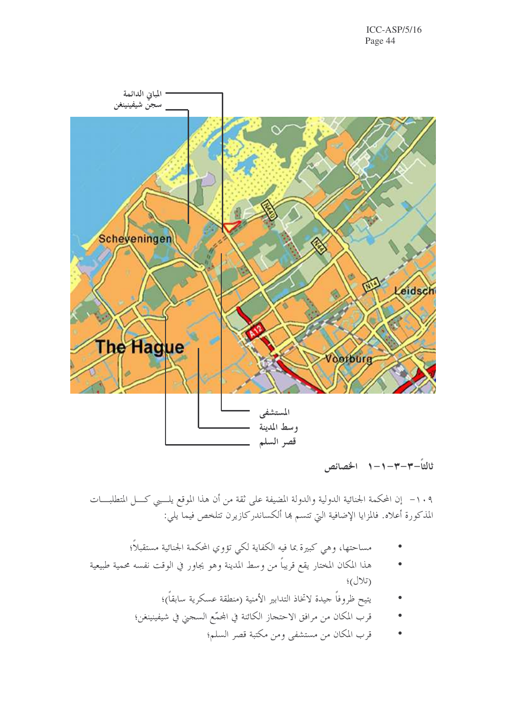$ICC-ASP/5/16$ Page 44



ثالثاً–٣–٣–١–١ الخصائص

١٠٩- إن المحكمة الجنائية الدولية والدولة المضيفة على ثقة من أن هذا الموقع يلــبي كـــل المتطلبــــات المذكورة أعلاه. فالمزايا الإضافية التي تتسم هما ألكساندركازيرن تتلخص فيما يلي:

- مساحتها، وهي كبيرة بما فيه الكفاية لكي تؤوي المحكمة الجنائية مستقبلاً؛
- هذا المكان المختار يقع قريباً من وسط المدينة وهو يجاور في الوقت نفسه محمية طبيعية  $\mathfrak{t}(\mathcal{U})$ 
	- يتيح ظروفاً حيدة لاتخاذ التدابير الأمنية (منطقة عسكرية سابقاً)؛
	- قرب المكان من مرافق الاحتجاز الكائنة في المحمّع السجني في شيفينينغن؛
		- قرب المكان من مستشفى ومن مكتبة قصر السلم؛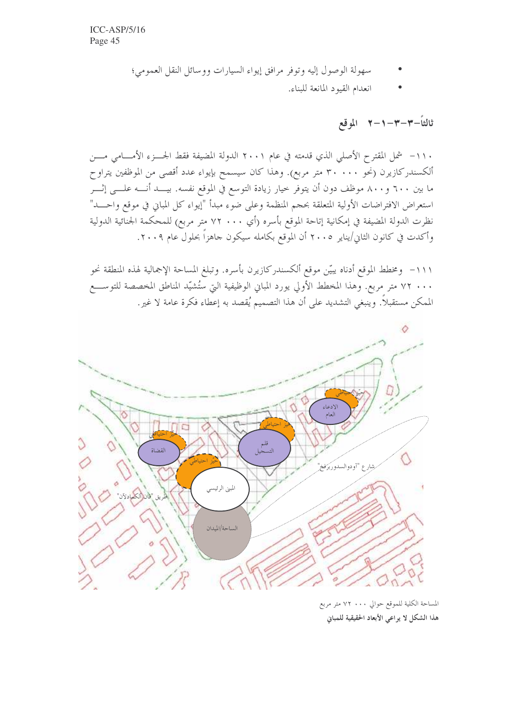- سهولة الوصول إليه وتوفر مرافق إيواء السيارات ووسائل النقل العمومي؛
	- انعدام القيود المانعة للبناء.

ثالثاً–٣–٣–٢– ٦ الموقع

١١٠- شمل المقترح الأصلي الذي قدمته في عام ٢٠٠١ الدولة المضيفة فقط الجسـزء الأمـــامي مــــن ألكسندركازيرن (نحو ٣٠٠٠٠ متر مربع). وهذا كان سيسمح بإيواء عدد أقصى من الموظفين يتراوح ما بين ٦٠٠ و٨٠٠ موظف دون أن يتوفر حيار زيادة التوسع في الموقع نفسه. بيـــد أنــــه علـــي إثــــر استعراض الافتراضات الأولية المتعلقة بحجم المنظمة وعلى ضوء مبدأ "إيواء كل المباني في موقع واحـــد" نظرت الدولة المضيفة في إمكانية إتاحة الموقع بأسره (أي ٧٠٠ ٢٧ متر مربع) للمحكمة الجنائية الدولية وأكدت في كانون الثاني/يناير ٢٠٠٥ أن الموقع بكامله سيكون حاهزاً بحلول عام ٢٠٠٩.

١١١– ومخطط الموقع أدناه يبيّن موقع ألكسندركازيرن بأسره. وتبلغ المساحة الإجمالية لهذه المنطقة نحو ٧٢ ٠٠٠ متر مربع. وهذا المخطط الأولى يورد المباني الوظيفية التي ستُشيّد المناطق المخصصة للتوســـع الممكن مستقبلاً. وينبغي التشديد على أن هذا التصميم يُقصد به إعطاء فكرة عامة لا غير.



المساحة الكلية للموقع حوالي ٧٠٠ ٧٢ متر مربع هذا الشكل لا يراعي الأبعاد الحقيقية للمباني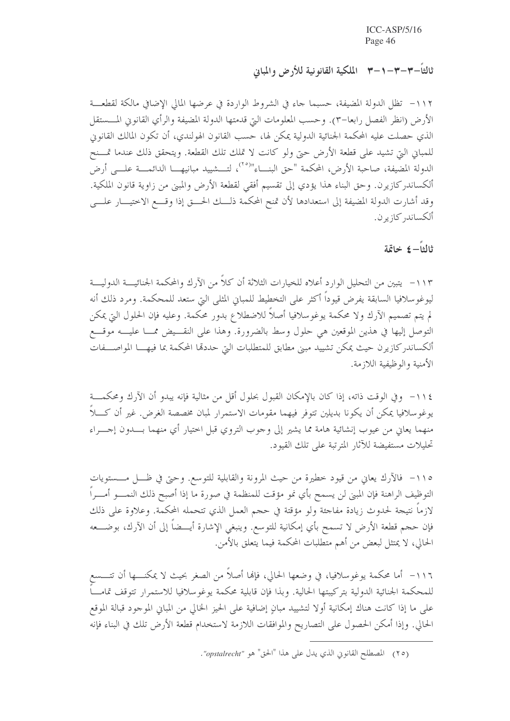ثالثاً–٣–٣–١–٣ الملكية القانونية للأرض والمباني

١١٢– تظل الدولة المضيفة، حسبما حاء في الشروط الواردة في عرضها المالي الإضافي مالكة لقطعـــة الأرض (انظر الفصل رابعا–٣). وحسب المعلومات التي قدمتها الدولة المضيفة والرأي القانوني المسستقل الذي حصلت عليه المحكمة الجنائية الدولية يمكن لها، حسب القانون الهولندي، أن تكون المالك القانوين للمبانِ التي تشيد على قطعة الأرض حتى ولو كانت لا تملك تلك القطعة. ويتحقق ذلك عندما تمسنح الدولة المضيفة، صاحبة الأرض، المحكمة "حق البنـــاء"<sup>(٢٥</sup>)، لتـــشييد مبانيهــــا الدائمــــة علــــى أرض ألكساندركازيرن. وحق البناء هذا يؤدي إلى تقسيم أفقي لقطعة الأرض والمبنى من زاوية قانون الملكية. وقد أشارت الدولة المضيفة إلى استعدادها لأن تمنح المحكمة ذلــك الحـــق إذا وقــــع الاختيــــار علــــي ألكساند, كازير ن

ثالثاً– ٤ خاتمة

١١٣ - يتبين من التحليل الوارد أعلاه للخيارات الثلاثة أن كلاً من الآرك والمحكمة الجنائيــــة الدوليــــة ليوغو سلافيا السابقة يفرض قيوداً أكثر على التخطيط للمباني المثلي التي ستعد للمحكمة. ومرد ذلك أنه لم يتم تصميم الآرك ولا محكمة يوغوسلافيا أصلاً للاضطلاع بدور محكمة. وعليه فإن الحلول التي يمكن التوصل إليها في هذين الموقعين هي حلول وسط بالضرورة. وهذا على النقـــيض ممـــا عليــــه موقــــع ألكساندر كازيرن حيث يمكن تشييد مبيّ مطابق للمتطلبات التي حددها المحكمة بما فيهــــا المواصـــفات الأمنية والوظيفية اللازمة.

١١٤ - وفي الوقت ذاته، إذا كان بالإمكان القبول بحلول أقل من مثالية فإنه يبدو أن الآرك ومحكمــــة يوغوسلافيا يمكن أن يكونا بديلين تتوفر فيهما مقومات الاستمرار لمبان مخصصة الغرض. غير أن كــــلاً منهما يعاني من عيوب إنشائية هامة مما يشير إلى وجوب التروى قبل احتيار أي منهما بــــــــدون إجـــــراء تحليلات مستفيضة للآثار المترتبة على تلك القيود.

١١٥- فالآرك يعانٍ من قيود خطيرة من حيث المرونة والقابلية للتوسع. وحتى في ظـل مـــستويات التوظيف الراهنة فإن المبنى لن يسمح بأي نمو مؤقت للمنظمة في صورة ما إذا أصبح ذلك النمــــو أمــــراً لازماً نتيجة لحدوث زيادة مفاجئة ولو مؤقتة في حجم العمل الذي تتحمله المحكمة. وعلاوة على ذلك فإن حجم قطعة الأرض لا تسمح بأي إمكانية للتوسع. وينبغي الإشارة أيـــضاً إلى أن الآرك، بوضــــعه الحالي، لا يمتثل لبعض من أهم متطلبات المحكمة فيما يتعلق بالأمن.

١١٦– أما محكمة يوغوسلافيا، في وضعها الحالي، فإنما أصلاً من الصغر بحيث لا يمكنــــها أن تتــــسع للمحكمة الجنائية الدولية بتركيبتها الحالية. وبذا فإن قابلية محكمة يوغوسلافيا للاستمرار تتوقف تمامـــاً على ما إذا كانت هناك إمكانية أولا لتشييد مبانٍ إضافية على الحيز الخالي من المباني الموجود قبالة الموقع الحالي. وإذا أمكن الحصول على التصاريح والموافقات اللازمة لاستخدام قطعة الأرض تلك في البناء فإنه

<sup>(</sup>٢٥) المصطلح القانوني الذي يدل على هذا "الحق" هو "opstalrecht".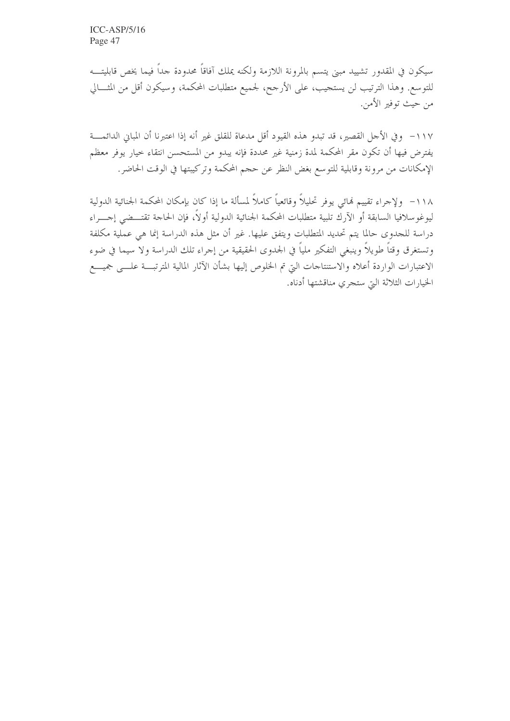سيكون في المقدور تشييد مبني يتسم بالمرونة اللازمة ولكنه يملك آفاقاً محدودة جداً فيما يخص قابليتــــه للتوسع. وهذا الترتيب لن يستجيب، على الأرجح، لجميع متطلبات المحكمة، وسيكون أقل من المثـــالي من حيث توفير الأمن.

١١٧ – وفي الأحل القصير، قد تبدو هذه القيود أقل مدعاة للقلق غير أنه إذا اعتبرنا أن المباني الدائمــــة يفترض فيها أن تكون مقر المحكمة لمدة زمنية غير محددة فإنه يبدو من المستحسن انتقاء خيار يوفر معظم الإمكانات من مرونة وقابلية للتوسع بغض النظر عن حجم المحكمة وتركيبتها في الوقت الحاضر.

١١٨ - ولإجراء تقييم لهائي يوفر تحليلاً وقائعياً كاملاً لمسألة ما إذا كان بإمكان المحكمة الجنائية الدولية ليوغو سلافيا السابقة أو الآرك تلبية متطلبات المحكمة الجنائية الدولية أولاً، فإن الحاجة تقتـــضى إجـــراء دراسة للجدوى حالما يتم تحديد المتطلبات ويتفق عليها. غير أن مثل هذه الدراسة إنما هي عملية مكلفة وتستغرق وقتاً طويلاً وينبغي التفكير ملياً في الجدوى الحقيقية من إجراء تلك الدراسة ولا سيما في ضوء الاعتبارات الواردة أعلاه والاستنتاجات التي تم الخلوص إليها بشأن الآثار المالية المترتبسة علسى جميسع الخيارات الثلاثة التي ستجري مناقشتها أدناه.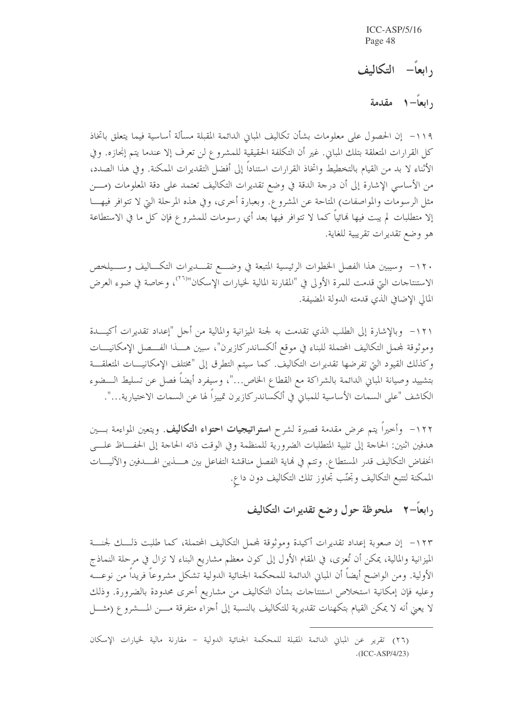رابعاً– التكاليف

دابعاً 1-1 مقدمة

١١٩– إن الحصول على معلومات بشأن تكاليف المباين الدائمة المقبلة مسألة أساسية فيما يتعلق باتخاذ كل القرارات المتعلقة بتلك المباني. غير أن التكلفة الحقيقية للمشروع لن تعرف إلا عندما يتم إنحازه. وفي الأثناء لا بد من القيام بالتخطيط واتخاذ القرارات استناداً إلى أفضل التقديرات الممكنة. وفي هذا الصدد، من الأساسي الإشارة إلى أن درجة الدقة في وضع تقديرات التكاليف تعتمد على دقة المعلومات (مـــن مثل الرسومات والمواصفات) المتاحة عن المشروع. وبعبارة أُخرى، وفي هذه المرحلة التي لا تتوافر فيهـــا إلا متطلبات لم يبت فيها نمائياً كما لا تتوافر فيها بعد أي رسومات للمشروع فإن كل ما في الاستطاعة هو وضع تقديرات تقريبية للغاية.

١٢٠- وسيبين هذا الفصل الخطوات الرئيسية المتبعة في وضـــع تقــــديرات التكـــاليف وســـيلخص الاستنتاجات التي قدمت للمرة الأولى في "المقارنة المالية لخيارات الإسكان"<sup>(٢٦)</sup>، وخاصة في ضوء العرض المالي الإضافي الذي قدمته الدولة المضيفة.

١٢١ - وبالإشارة إلى الطلب الذي تقدمت به لجنة الميزانية والمالية من أجل "إعداد تقديرات أكيـــدة وموثوقة لمحمل التكاليف المحتملة للبناء في موقع ألكساندر كازيرن"، سبين هـــذا الفـــصل الإمكانيـــات وكذلك القيود التي تفرضها تقديرات التكاليف. كما سيتم التطرق إلى "مختلف الإمكانيـــات المتعلقـــة بتشييد وصيانة المبابي الدائمة بالشراكة مع القطاع الخاص..."، وسيفرد أيضاً فصل عن تسليط الـــضوء الكاشف "على السمات الأساسية للمباني في ألكساندركازيرن تمييزاً لها عن السمات الاختيارية…".

١٢٢ - وأحيراً يتم عرض مقدمة قصيرة لشرح ا**ستراتيجيات احتواء التكاليف**. ويتعين المواءمة بـــين هدفين اثنين: الحاجة إلى تلبية المتطلبات الضرورية للمنظمة وفي الوقت ذاته الحاجة إلى الحفـــاظ علــــي انخفاض التكاليف قدر المستطاع. وتتم في نماية الفصل مناقشة التفاعل بين هــــذين الهـــدفين والآليــــات الممكنة لتتبع التكاليف وتحنّب تحاوز تلك التكاليف دون داع.

### <sub>د</sub>ابعاً–۲ ملحوظة حول وضع تقديرات التكاليف

١٢٣– إن صعوبة إعداد تقديرات أكيدة وموثوقة لمحمل التكاليف المحتملة، كما طلبت ذلـــك لحنــــة الميزانية والمالية، يمكن أن تُعزى، في المقام الأول إلى كون معظم مشاريع البناء لا تزال في مرحلة النماذج الأولية. ومن الواضح أيضاً أن المباني الدائمة للمحكمة الجنائية الدولية تشكل مشروعاً فريداً من نوعــــه وعليه فإن إمكانية استخلاص استنتاجات بشأن التكاليف من مشاريع أخرى محدودة بالضرورة. وذلك لا يعني أنه لا يمكن القيام بتكهنات تقديرية للتكاليف بالنسبة إلى أجزاء متفرقة مـــن المـــشروع (مثـــل

<sup>(</sup>٢٦) تقرير عن المباني الدائمة المقبلة للمحكمة الجنائية الدولية – مقارنة مالية لخيارات الإسكان  $\cdot$ (ICC-ASP/4/23)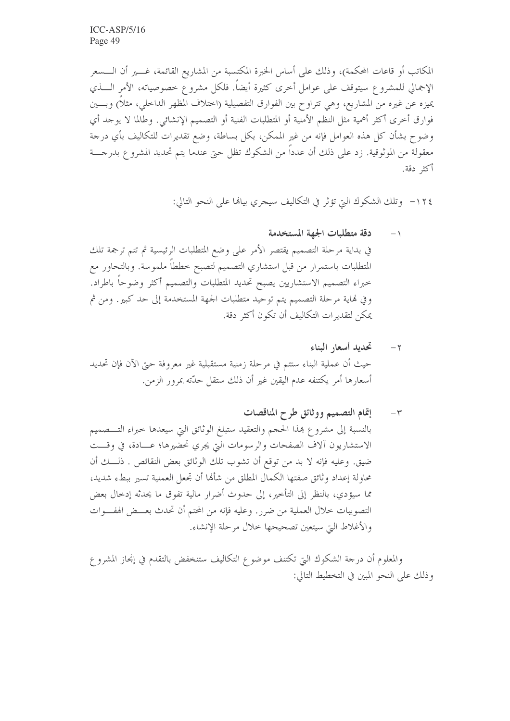المكاتب أو قاعات المحكمة)، وذلك على أساس الخبرة المكتسبة من المشاريع القائمة، غـــــير أن الـــــسعر الإجمالي للمشروع سيتوقف على عوامل أخرى كثيرة أيضاً. فلكل مشروع خصوصياته، الأمر الــــذي يميزه عن غيره من المشاريع، وهي تتراوح بين الفوارق التفصيلية (اختلاف المظهر الداخلي، مثلاً) وبسين فوارق أخرى أكثر أهمية مثل النظم الأمنية أو المتطلبات الفنية أو التصميم الإنشائي. وطالما لا يوحد أي وضوح بشأن كل هذه العوامل فإنه من غير الممكن، بكل بساطة، وضع تقديرات للتكاليف بأي درجة معقولة من الموثوقية. زد على ذلك أن عدداً من الشكوك تظل حتى عندما يتم تحديد المشرو ع بدرجــــة أكثر دقة.

١٢٤ - وتلك الشكوك التي تؤثر في التكاليف سيجري بيالها على النحو التالي:

- دقة متطلبات الجهة المستخدمة  $\rightarrow$ في بداية مرحلة التصميم يقتصر الأمر على وضع المتطلبات الرئيسية ثم تتم ترجمة تلك المتطلبات باستمرار من قبل استشاري التصميم لتصبح خططاً ملموسة. وبالتحاور مع خبراء التصميم الاستشاريين يصبح تحديد المتطلبات والتصميم أكثر وضوحاً باطراد. وفي نهاية مرحلة التصميم يتم توحيد متطلبات الجهة المستخدمة إلى حد كبير. ومن ثم يمكن لتقديرات التكاليف أن تكون أكثر دقة.
- تحديد أسعار البناء  $-\gamma$ حيث أن عملية البناء ستتم في مرحلة زمنية مستقبلية غير معروفة حيّ الآن فإن تحديد أسعارها أمر يكتنفه عدم اليقين غير أن ذلك ستقل حدَّته بمرور الزمن.
- إتمام التصميم ووثائق طرح المناقصات  $-\tau$ بالنسبة إلى مشروع هذا الحجم والتعقيد ستبلغ الوثائق التي سيعدها حبراء التـــصميم الاستشاريون آلاف الصفحات والرسومات التي يجري تحضيرها؛ عـــادة، في وقـــت ضيق. وعليه فإنه لا بد من توقع أن تشوب تلك الوثائق بعض النقائص . ذلـــك أن محاولة إعداد وثائق صفتها الكمال المطلق من شألها أن تجعل العملية تسير ببطء شديد، مما سيؤدي، بالنظر إلى التأخير، إلى حدوث أضرار مالية تفوق ما يحدثه إدخال بعض التصويبات خلال العملية من ضرر . وعليه فإنه من المحتم أن تحدث بعـــض الهفـــوات والأغلاط التي سيتعين تصحيحها خلال مرحلة الإنشاء.

والمعلوم أن درجة الشكوك التي تكتنف موضوع التكاليف ستنخفض بالتقدم في إنجاز المشروع وذلك على النحو المبين في التخطيط التالي: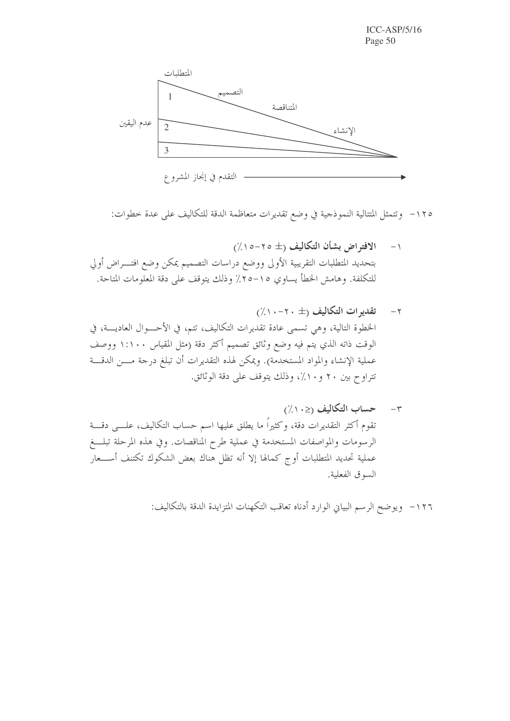

١٢٥ - وتتمثل المتتالية النموذجية في وضع تقديرات متعاظمة الدقة للتكاليف على عدة خطوات:

- الافتراض بشأن التكاليف (± ٢٥-١٥//)  $-1$ بتحديد المتطلبات التقريبية الأولى ووضع دراسات التصميم يمكن وضع افتـــراض أولي للتكلفة. وهامش الخطأ يساوي ١٥–٢٥٪ وذلك يتوقف على دقة المعلومات المتاحة.
- ٢- تقديرات التكاليف (± ٢٠-١٠٪) الخطوة التالية، وهي تسمى عادة تقديرات التكاليف، تتم، في الأحـــوال العاديــــة، في الوقت ذاته الذي يتم فيه وضع وثائق تصميم أكثر دقة (مثل المقياس ١:١٠٠ ووصف عملية الإنشاء والمواد المستخدمة). ويمكن لهذه التقديرات أن تبلغ درجة مـــن الدقـــة تتراوح بين ٢٠ و١٠٪، وذلك يتوقف على دقة الوثائق.

١٢٦- ويوضح الرسم البياني الوارد أدناه تعاقب التكهنات المتزايدة الدقة بالتكاليف: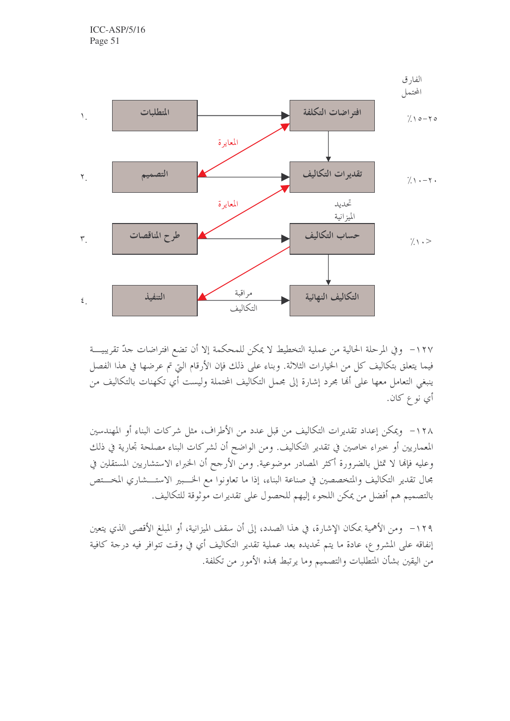

١٢٧– وفي المرحلة الحالية من عملية التخطيط لا يمكن للمحكمة إلا أن تضع افتراضات حدّ تقريبيـــة فيما يتعلق بتكاليف كل من الحيارات الثلاثة. وبناء على ذلك فإن الأرقام التي تم عرضها في هذا الفصل ينبغي التعامل معها على ألها مجرد إشارة إلى مجمل التكاليف المحتملة وليست أي تكهنات بالتكاليف من أي نوع كان.

١٢٨ - ويمكن إعداد تقديرات التكاليف من قبل عدد من الأطراف، مثل شركات البناء أو المهندسين المعماريين أو حبراء حاصين في تقدير التكاليف. ومن الواضح أن لشركات البناء مصلحة تجارية في ذلك وعليه فإلها لا تمثل بالضرورة أكثر المصادر موضوعية. ومن الأرجح أن الخبراء الاستشاريين المستقلين في مجال تقدير التكاليف والمتخصصين في صناعة البناء، إذا ما تعاونوا مع الخـــبير الاستـــشاري المخـــتص بالتصميم هم أفضل من يمكن اللجوء إليهم للحصول على تقديرات موثوقة للتكاليف.

١٢٩– ومن الأهمية بمكان الإشارة، في هذا الصدد، إلى أن سقف الميزانية، أو المبلغ الأقصى الذي يتعين إنفاقه على المشروع، عادة ما يتم تحديده بعد عملية تقدير التكاليف أي في وقت تتوافر فيه درجة كافية من اليقين بشأن المتطلبات والتصميم وما يرتبط هذه الأمور من تكلفة.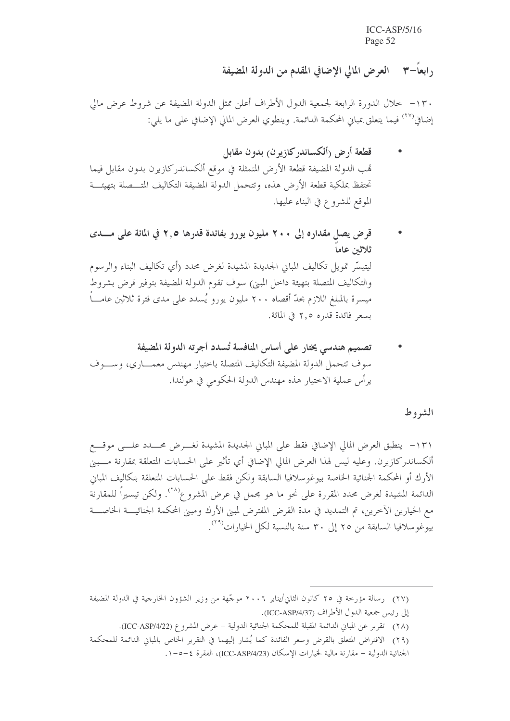, ابعاً – ٣ العرض المالي الإضافي المقدم من الدولة المضيفة

١٣٠ – خلال الدورة الرابعة لجمعية الدول الأطراف أعلن ممثل الدولة المضيفة عن شروط عرض مالي إضافي<sup>(٢٧)</sup> فيما يتعلق بمبانٍ المحكمة الدائمة. وينطوي العرض المالي الإضافي على ما يلي:

- قطعة أرض (ألكساندركازيرن) بدون مقابل تمب الدولة المضيفة قطعة الأرض المتمثلة في موقع ألكساندر كازيرن بدون مقابل فيما تحتفظ بملكية قطعة الأرض هذه، وتتحمل الدولة المضيفة التكاليف المتـــصلة بتهيئــــة الموقع للشروع في البناء عليها.
- قرض يصل مقداره إلى ٢٠٠ مليون يورو بفائدة قدرها ٢,٥ في المائة على مـــدى ثلاثين عاما ليتيسَّر تمويل تكاليف المباين الجديدة المشيدة لغرض محدد (أي تكاليف البناء والرسوم والتكاليف المتصلة بتهيئة داخل المبنى) سوف تقوم الدولة المضيفة بتوفير قرض بشروط ميسرة بالمبلغ اللازم بحدّ أقصاه ٢٠٠ مليون يورو يُسدد على مدى فترة ثلاثين عامــــا بسعر فائدة قدره ٢.٥ في المائة.
- تصميم هندسي يختار على أساس المنافسة تُسدد أجرته الدولة المضيفة سوف تتحمل الدولة المضيفة التكاليف المتصلة باحتيار مهندس معمــــاري، وســــوف يرأس عملية الاختيار هذه مهندس الدولة الحكومي في هولندا.

الشروط

١٣١- ينطبق العرض المالي الإضافي فقط على المباني الجديدة المشيدة لغـــرض محـــدد علــــي موقــــع ألكساندر كازيرن. وعليه ليس لهذا العرض المالي الإضافي أي تأثير على الحسابات المتعلقة بمقارنة مـــبين الأرك أو المحكمة الجنائية الخاصة بيوغوسلافيا السابقة ولكن فقط على الحسابات المتعلقة بتكاليف المباين الدائمة المشيدة لغرض محدد المقررة على نحوٍ ما هو مجملٍ في عرض المشروع ب<sup>(٢٨</sup>). ولكن تيسيراً للمقارنة مع الخيارين الآخرين، تم التمديد في مدة القرض المفترض لمبيِّن الأرك ومبيِّن المحكمة الجنائيــــة الخاصــــة بيوغوسلافيا السابقة من ٢٥ إلى ٣٠ سنة بالنسبة لكل الخيارات<sup>(٢٩)</sup>.

(٢٨) تقرير عن المباني الدائمة المقبلة للمحكمة الجنائية الدولية – عرض المشروع (ICC-ASP/4/22).

<sup>(</sup>٢٧) رسالة مؤرخة في ٢٥ كانون الثاني/يناير ٢٠٠٦ موجّهة من وزير الشؤون الخارجية في الدولة المضيفة إلى رئيس جمعية الدول الأطراف (ICC-ASP/4/37).

<sup>(</sup>٢٩) الافتراض المتعلق بالقرض وسعر الفائدة كما يُشار إليهما في التقرير الخاص بالمباني الدائمة للمحكمة

الجنائية الدولية − مقارنة مالية لخيارات الإسكان (ICC-ASP/4/23)، الفقرة ٤−٥−١.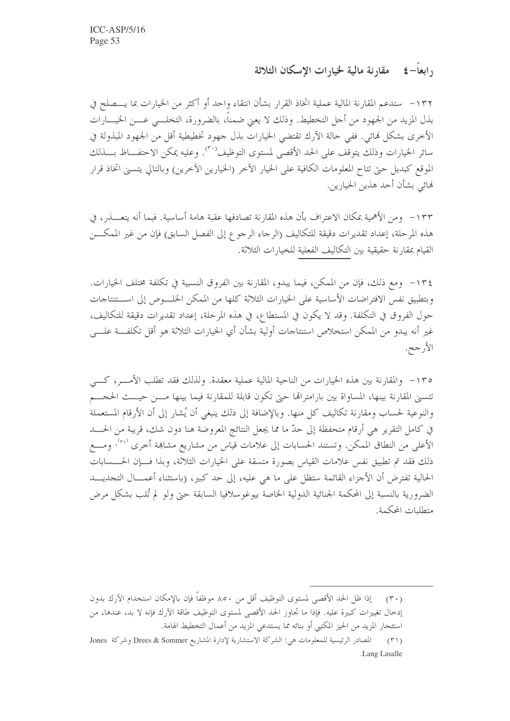رابعاً– ٤ - مقارنة مالية لخيارات الاسكان الثلاثة

١٣٢ – ستدعم المقارنة المالية عملية اتخاذ القرار بشأن انتقاء واحد أو أكثر من الخيارات بما يــــصلح في بذل المزيد من الجهود من أجل التخطيط. وذلك لا يعني ضمناً، بالضرورة، التخلـــي عـــن الخيــــارات الأخرى بشكل لهائي. ففي حالة الآرك تقتضي الخيارات بذل جهود تخطيطية أقل من الجهود المبذولة في سائر الخيارات وذلك يتوقف على الحد الأقصى لمستوى التوظيف<sup>٬۳۰</sup>٬ وعليه يمكن الاحتفــاظ بـــذلك الموقع كبديل حبيّ تتاح المعلومات الكافية على الخيار الآخر (الخيارين الآخرين) وبالتالي يتسبى اتخاذ قرار لهائي بشأن أحد هذين الخيارين.

١٣٣ - ومن الأهمية بمكان الاعتراف بأن هذه المقارنة تصادفها عقبة هامة أساسية. فبما أنه يتعـــذر، في هذه المرحلة، إعداد تقديرات دقيقة للتكاليف (الرحاء الرحوع إلى الفصل السابق) فإن من غير الممكـــن القيام بمقارنة حقيقية بين التكاليف الفعلية للخيارات الثلاثة.

١٣٤ - ومع ذلك، فإن من الممكن، فيما يبدو، المقارنة بين الفروق النسبية في تكلفة مختلف الخيارات. وبتطبيق نفس الافتراضات الأساسية على الخيارات الثلاثة كلها من الممكن الخلـــوص إلى اســـتنتاجات حول الفروق في التكلفة. وقد لا يكون في المستطاع، في هذه المرحلة، إعداد تقديرات دقيقة للتكاليف، غير أنه يبدو من الممكن استخلاص استنتاجات أولية بشأن أي الخيارات الثلاثة هو أقل تكلفــة علـــي الأرجح.

١٣٥- والمقارنة بين هذه الخيارات من الناحية المالية عملية معقدة. ولذلك فقد تطلب الأمـــر، كـــي تتسنى المقارنة بينها، المساواة بين بارامتراقما حتى تكون قابلة للمقارنة فيما بينها مسن حيست الحجسم والنوعية لحساب ومقارنة تكاليف كل منها. وبالإضافة إلى ذلك ينبغي أن يُشار إلى أن الأرقام المستعملة في كامل التقرير هي أرقام متحفظة إلى حدّ ما مما يجعل النتائج المعروضة هنا دون شك، قريبة من الحـــد الأعلى من النطاق الممكن. وتستند الحسابات إلى علامات قياس من مشاريع مشاهة أخرى <sup>٣١٠)</sup>. ومـــع ذلك فقد تم تطبيق نفس علامات القياس بصورة متسقة على الخيارات الثلاثة، وبذا فسإن الحسسابات الحالية تفترض أن الأجزاء القائمة ستظل على ما هي عليه، إلى حد كبير، (باستثناء أعمـــال التجديــــد الضرورية بالنسبة إلى المحكمة الجنائية الدولية الحاصة بيوغوسلافيا السابقة حبى ولو لم تُلب بشكل مرض متطلبات المحكمة

<sup>(</sup>٣٠) \_ إذا ظل الحد الأقصى لمستوى التوظيف أقل من ٨٥٠ موظفاً فإن بالإمكان استخدام الآرك بدون إدخال تغييرات كبيرة عليه. فإذا ما تجاوز الحد الأقصى لمستوى التوظيف طاقة الآرك فإنه لا بد، عندها، من استئجار المزيد من الحيز المكتبي أو بنائه مما يستدعى المزيد من أعمال التخطيط الهامة.

المصادر الرئيسية للمعلومات هي: الشركة الاستشارية لإدارة المشاريع Drees & Sommer وشركة Jones  $(\uparrow')$ .Lang Lasalle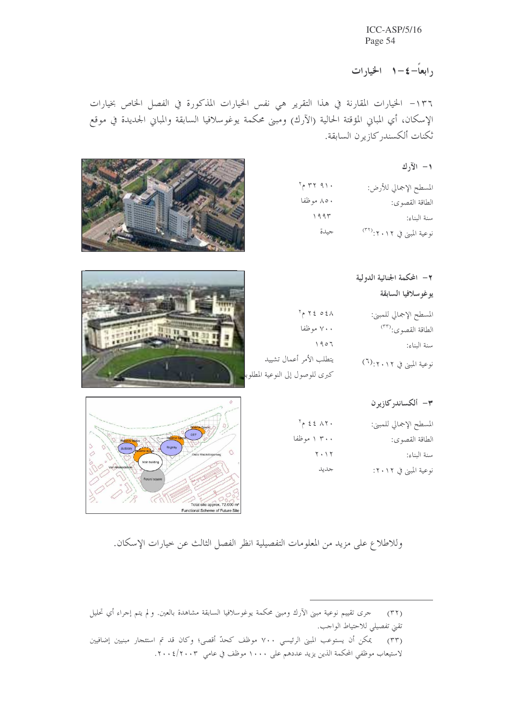۱ ابعاً–٤–١ - الخيارات

١٣٦- الخيارات المقارنة في هذا التقرير هي نفس الخيارات المذكورة في الفصل الخاص بخيارات الإسكان، أي المباني المؤقتة الحالية (الآرك) ومبنى محكمة يوغوسلافيا السابقة والمباني الجديدة في موقع ثكنات ألكسندركازيرن السابقة.

 $\mathcal{L}$  الآرك

| $5 - 7791$ | المسطح الإجمالي للأرض:                |
|------------|---------------------------------------|
| ۸۵۰ موظفا  | الطاقة القصوى:                        |
| 1995       | سنة البناء:                           |
| جيدة       | نوعية المبنى في ٢٠١٢: <sup>(٣٢)</sup> |



|                                  | ٢ – المحكمة الجنائية الدولية         |
|----------------------------------|--------------------------------------|
|                                  | يوغوسلافيا السابقة                   |
| $5 - 72021$                      | المسطح الإجمالي للمبني:              |
| ۷۰۰ موظفا                        | الطاقة القصوى:(٣٣)                   |
| 1907                             | سنة البناء:                          |
| يتطلب الأمر أعمال تشييد          | نوعية المبنى في ٢٠١٢:( <sup>٦)</sup> |
| كبرى للوصول إلى النوعية المطلوبا |                                      |

#### ۳- ألكساندركازيرن

| المسطح الإجمالي للمبني: | $5 - 23 - 9$                  |
|-------------------------|-------------------------------|
| الطاقة القصوى:          | ۳۰۰ ۱ موظفا                   |
| سنة البناء:             | $\mathbf{y} \cdot \mathbf{y}$ |
| نوعية المبني في ١٢٠١٢:  | جديد                          |



وللاطلاع على مزيد من المعلومات التفصيلية انظر الفصل الثالث عن حيارات الإسكان.

(٣٢) – حرى تقييم نوعية مبنى الآرك ومبنى محكمة يوغوسلافيا السابقة مشاهدة بالعين. ولم يتم إجراء أي تحليل تقني تفصيلي للاحتياط الواحب. (٣٣) \_ يمكن أن يستوعب المبني الرئيسي ٧٠٠ موظف كحدّ أقصى؛ وكان قد تم استئجار مبنيين إضافيين لاستيعاب موظفي المحكمة الذين يزيد عددهم على ١٠٠٠ موظف في عامي ٢٠٠٤/٢٠٠٣.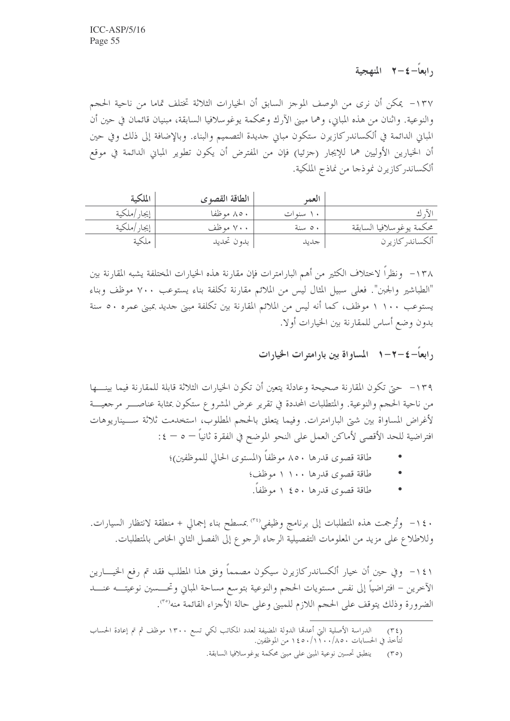11 - £ - المنهجية V - £

١٣٧– يمكن أن نرى من الوصف الموحز السابق أن الخيارات الثلاثة تختلف تماما من ناحية الحجم والنوعية. واثنان من هذه المباين، وهما مبين الآرك ومحكمة يوغوسلافيا السابقة، مبنيان قائمان في حين أن المباني الدائمة في ألكساندركازيرن ستكون مباني جديدة التصميم والبناء. وبالإضافة إلى ذلك وفي حين أن الخيارين الأوليين هما للإيجار (حزئيا) فإن من المفترض أن يكون تطوير المباني الدائمة في موقع ألكساندر كازيرن نموذجا من نماذج الملكية.

| الملكية      | الطاقة القصوى | العما    |                          |
|--------------|---------------|----------|--------------------------|
| إيجار /ملكية | ۸۰ موظفا      | ۱۰ سنوات |                          |
| إيجار /ملكية | ۷۰۰ موظف      | ۰ ٥ سنة  | محكمة يوغوسلافيا السابقة |
| ملكية        | بدو ن تحديد   | جديد     | ألكساندر كازيرن          |

١٣٨ - ونظراً لاختلاف الكثير من أهم البارامترات فإن مقارنة هذه الخيارات المختلفة يشبه المقارنة بين "الطباشير والجبن". فعلى سبيل المثال ليس من الملائم مقارنة تكلفة بناء يستوعب ٧٠٠ موظف وبناء يستوعب ١١٠٠ موظف، كما أنه ليس من الملائم المقارنة بين تكلفة مبنى حديد بمبنى عمره ٥٠ سنة بدون وضع أساس للمقارنة بين الخيارات أولا.

, ایعاً–٤–٢–١ للساواة بین بارامترات الخیارات

١٣٩ – حتى تكون المقارنة صحيحة وعادلة يتعين أن تكون الخيارات الثلاثة قابلة للمقارنة فيما بينــــها من ناحية الحجم والنوعية. والمتطلبات المحددة في تقرير عرض المشروع ستكون بمثابة عناصـــر مرجعيـــة لأغراض المساواة بين شيّ البارامترات. وفيما يتعلق بالحجم المطلوب، استخدمت ثلاثة ســـيناريوهات افتراضية للحد الأقصى لأماكن العمل على النحو الموضح في الفقرة ثانياً – ٥ – ٤:

- طاقة قصوى قدرها ٨٥٠ موظفاً (المستوى الحالي للموظفين)؛
	- طاقة قصوى قدرها ۱۰۰ موظف؛
	- طاقة قصوى قدرها ٥٠٤ ١ موظفا.  $\bullet$

١٤٠ - وتُرجمت هذه المتطلبات إلى برنامج وظيفي' ٢٤، بمسطح بناء إجمالي + منطقة لانتظار السيارات. وللاطلاع على مزيد من المعلومات التفصيلية الرجاء الرجوع إلى الفصل الثاني الخاص بالمتطلبات.

١٤١ – وفي حين أن حيار ألكساندركازيرن سيكون مصمماً وفق هذا المطلب فقد تم رفع الخيــــارين الآخرين – افتراضياً إلى نفس مستويات الحجم والنوعية بتوسع مساحة المباني وتحـــسين نوعيتــــه عنـــــد الضرورة وذلك يتوقف على الحجم اللازم للمبني وعلى حالة الأجزاء القائمة منه<sup>(٣٠</sup>).

الدراسة الأصلية التي أعدقما الدولة المضيفة لعدد المكاتب لكي تسع ١٣٠٠ موظف ثم تم إعادة الحساب  $(T \xi)$ لْتَأْخِذْ فِي الحِسابَاتِ ٨٥٠/١٠٠/١٤٥٠ مِن الموظفين.

ينطبق تحسين نوعية المبني على مبني محكمة يوغوسلافيا السابقة.  $(\Gamma \circ)$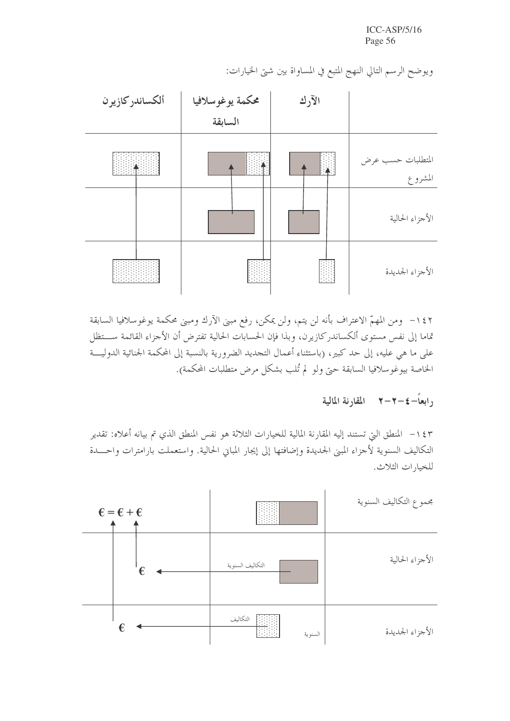| ألكساندركازيرن | محكمة يوغوسلافيا<br>السابقة | الآرك |                              |
|----------------|-----------------------------|-------|------------------------------|
|                |                             |       | المتطلبات حسب عرض<br>المشروع |
|                |                             |       | الأجزاء الحالية              |
|                |                             |       | الأجزاء الجديدة              |

ويوضح الرسم التالي النهج المتبع في المساواة بين شتى الخيارات:

١٤٢ - ومن المهمّ الاعتراف بأنه لن يتم، ولن يمكن، رفع مبنى الأرك ومبنى محكمة يوغوسلافيا السابقة تماما إلى نفس مستوى ألكساندركازيرن، وبذا فإن الحسابات الحالية تفترض أن الأجزاء القائمة ســـتظل على ما هي عليه، إلى حد كبير، (باستثناء أعمال التجديد الضرورية بالنسبة إلى المحكمة الجنائية الدوليـــة الخاصة بيوغوسلافيا السابقة حتى ولو لم تُلب بشكل مرض متطلبات المحكمة).

## رابعاً–٤–٢–٢ للقارنة المالية

١٤٣ – المنطق التي تستند إليه المقارنة المالية للخيارات الثلاثة هو نفس المنطق الذي تم بيانه أعلاه: تقدير التكاليف السنوية لأجزاء المبنى الجديدة وإضافتها إلى إيجار المباني الحالية. واستعملت بارامترات واحـــدة للخبارات الثلاث.

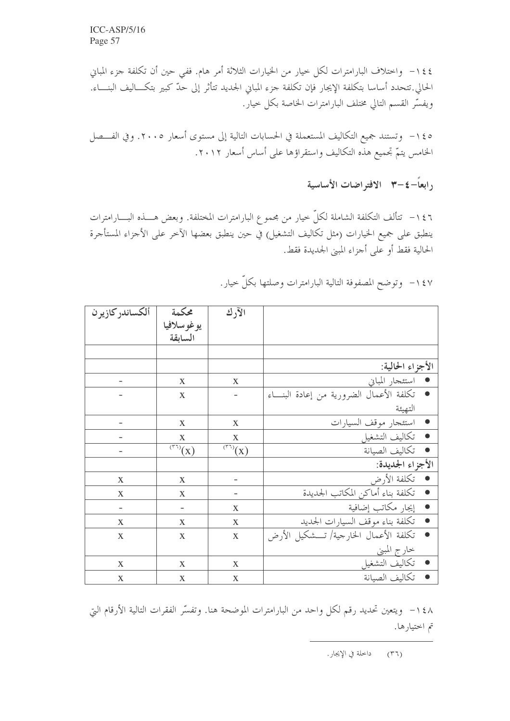١٤٤ - واحتلاف البارامترات لكل حيار من الخيارات الثلاثة أمر هام. ففي حين أن تكلفة جزء المباين الحالي.تتحدد أساسا بتكلفة الإيجار فإن تكلفة جزء المباني الجديد تتأثر إلى حدّ كبير بتكـــاليف البنــــاء. ويفسِّر القسم التالي مختلف البارامترات الخاصة بكل حيار.

١٤٥ - وتستند جميع التكاليف المستعملة في الحسابات التالية إلى مستوى أسعار ٢٠٠٥. وفي الفـــصل الخامس يتمّ تجميع هذه التكاليف واستقراؤها على أساس أسعار ٢٠١٢.

رابعاً–٤–٣ الافتراضات الأساسية

١٤٦ – تتألف التكلفة الشاملة لكلِّ حيار من مجموع البارامترات المختلفة. وبعض هــــذه البــــارامترات ينطبق على جميع الخيارات (مثل تكاليف التشغيل) في حين ينطبق بعضها الآخر على الأجزاء المستأجرة الحالية فقط أو على أجزاء المبني الجديدة فقط.

| ألكساندر كازيرن | محكمة                                 | الآرك                            |                                                     |
|-----------------|---------------------------------------|----------------------------------|-----------------------------------------------------|
|                 | يوغوسلافيا                            |                                  |                                                     |
|                 | السابقة                               |                                  |                                                     |
|                 |                                       |                                  |                                                     |
|                 |                                       |                                  | الأجزاء الحالية:                                    |
|                 | X                                     | X                                | • استئجار المباين                                   |
|                 | X                                     |                                  | تكلفة الأعمال الضرورية من إعادة البنــاء            |
|                 |                                       |                                  | التهيئة                                             |
|                 | X                                     | $\mathbf X$                      | استئجار موقف السيارات                               |
|                 | X                                     | X                                | تكاليف التشغيل<br>$\bullet$                         |
|                 | $\overline{(\mathbf{r})}(\mathbf{X})$ | $\overline{(\overline{r_1})}(x)$ | تكاليف الصيانة<br>$\bullet$                         |
|                 |                                       |                                  | الأجزاء الجديدة:                                    |
| X               | X                                     |                                  | تكلفة الأرض<br>$\bullet$                            |
| X               | X                                     |                                  | تكلفة بناء أماكن المكاتب الجديدة<br>$\bullet$       |
|                 |                                       | X                                | إيجار مكاتب إضافية<br>$\bullet$                     |
| $\mathbf X$     | X                                     | $\mathbf X$                      | تكلفة بناء موقف السيارات الجديد<br>$\bullet$        |
| X               | X                                     | $\mathbf X$                      | تكلفة الأعمال الخارجية/ تـــشكيل الأرض<br>$\bullet$ |
|                 |                                       |                                  | <u>خارج المبني</u>                                  |
| X               | X                                     | $\mathbf X$                      | تكاليف التشغيل                                      |
| $\mathbf X$     | $\mathbf X$                           | $\mathbf X$                      | تكاليف الصيانة                                      |

١٤٧- وتوضح المصفوفة التالية البارامترات وصلتها بكلِّ حيارٍ.

١٤٨ - ويتعين تحديد رقم لكل واحد من البارامترات الموضحة هنا. وتفسَّر الفقرات التالية الأرقام التي تم اختيارها.

> داحلة في الإيجار .  $(\uparrow \uparrow)$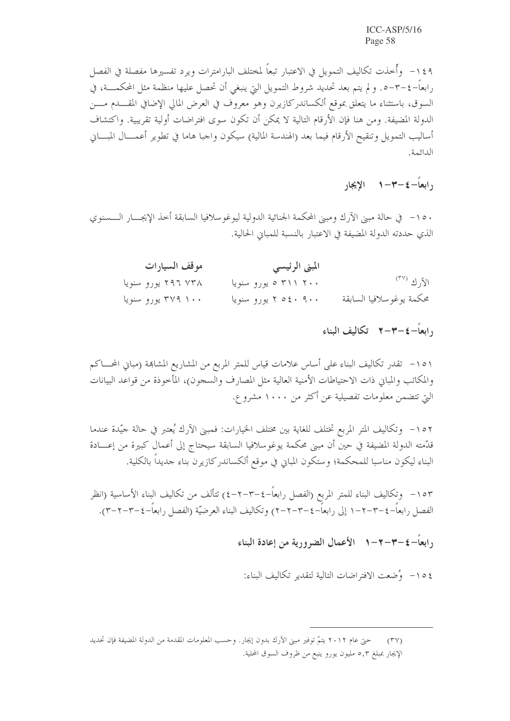١٤٩ - وأُحذت تكاليف التمويل في الاعتبار تبعاً لمختلف البارامترات ويرد تفسيرها مفصلة في الفصل رابعاً–٤–٣–٥. و لم يتم بعد تحديد شروط التمويل التي ينبغي أن تحصل عليها منظمة مثل المحكمــــة، في السوق، باستثناء ما يتعلق بموقع ألكساندركازيرن وهو معروف في العرض المالي الإضافي المقـــدم مــــن الدولة المضيفة. ومن هنا فإن الأرقام التالية لا يمكن أن تكون سوى افتراضات أولية تقريبية. واكتشاف أساليب التمويل وتنقيح الأرقام فيما بعد (الهندسة المالية) سيكون واجبا هاما في تطوير أعمــــال المبــــاني الدائمة.

, ابعاً–٤–٣–١ الإيجار

١٥٠ – في حالة مبين الآرك ومبين المحكمة الجنائية الدولية ليوغو سلافيا السابقة أحذ الإيجـــار الــــسنوي الذي حددته الدولة المضيفة في الاعتبار بالنسبة للمباني الحالية.

| موقف السيارات      | المبني الرئيسي         |                          |
|--------------------|------------------------|--------------------------|
| ۲۹۶ ۷۳۸ یورو سنویا | ۲۰۰ ۳۱۱ ۵ یورو سنویا   | الآر ك <sup>(٣٧</sup> )  |
| ۳۷۹ ۱۰۰ یورو سنویا | ۹۰۰ ۲ ۵ م ۲ یورو سنویا | محكمة يوغوسلافيا السابقة |

١٥١- تقدر تكاليف البناء على أساس علامات قياس للمتر المربع من المشاريع المشاهِمة (مباني المحساكم والمكاتب والمباين ذات الاحتياطات الأمنية العالية مثل المصارف والسجون)، المأخوذة من قواعد البيانات التي تتضمن معلومات تفصيلية عن أكثر من ١٠٠٠ مشروع.

١٥٢ - وتكاليف المتر المربع تختلف للغاية بين مختلف الخيارات: فمبنى الآرك يُعتبر في حالة جيّدة عندما قدّمته الدولة المضيفة في حين أن مبني محكمة يوغوسلافيا السابقة سيحتاج إلى أعمال كبيرة من إعـــادة البناء ليكون مناسبا للمحكمة؛ وستكون المبايي في موقع ألكساندر كازيرن بناء حديداً بالكلية.

١٥٣ - وتكاليف البناء للمتر المربع (الفصل رابعاً–٤–٢–٢) تتألف من تكاليف البناء الأساسية (انظر الفصل , ابعاً–٤–٣–٦–١ إلى , ابعاً–٤–٣–٢–٢) وتكاليف البناء العرضيّة (الفصل , ابعاً–٤–٣–٣–٣).

رابعاً–٤–٣–٦–١٪ الأعمال الضرورية من إعادة البناء

١٥٤ - وُضعت الافتراضات التالية لتقدير تكاليف البناء:

حتى عام ٢٠١٢ يتمّ توفير مبني الآرك بدون إيجار. وحسب المعلومات المقدمة من الدولة المضيفة فإن تحديد  $(\Upsilon \vee)$ الإيجار بمبلغ ٥,٣ مليون يورو ينبع من ظروف السوق المحلية.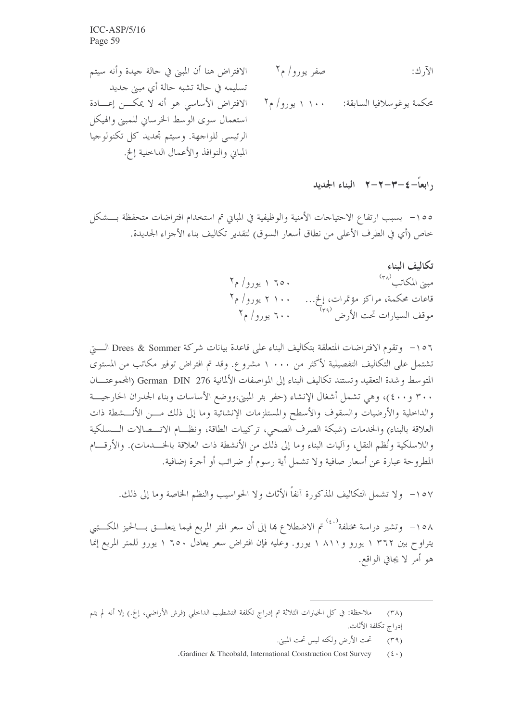١٠ العاً – ٤ –٣ –٣ –٣ – البناء الجلايل

١٥٥ - بسبب ارتفاع الاحتياجات الأمنية والوظيفية في المبايي تم استخدام افتراضات متحفظة بـــشكل خاص (أي في الطرف الأعلى من نطاق أسعار السوق) لتقدير تكاليف بناء الأجزاء الجديدة.

> تكالىف البناء مبني المكاتب (٣٨  $\mathcal{F}_{\mathcal{P}}/g_{\mathcal{P}}$ ۱ 70۰ قاعات محکمة، مراکز مؤتمرات، إلخ… ۲ ۱۰۰ یورو/ م۲<br>موقف السیارات تحت الأرض <sup>(۳۹)</sup>

١٥٦- وتقوم الافتراضات المتعلقة بتكاليف البناء على قاعدة بيانات شركة Drees & Sommer الــــيّ تشتمل على التكاليف التفصيلية لأكثر من ١٠٠٠ مشروع. وقد تم افتراض توفير مكاتب من المستوى المتوسط وشدة التعقيد وتستند تكاليف البناء إلى المواصفات الألمانية 276 German DIN (المحموعتـــان ٣٠٠ و٤٠٠)، وهي تشمل أشغال الإنشاء (حفر بئر المبني،ووضع الأساسات وبناء الجدران الخارجيـــة والداحلية والأرضيات والسقوف والأسطح والمستلزمات الإنشائية وما إلى ذلك مـــن الأنـــشطة ذات العلاقة بالبناء) والخدمات (شبكة الصرف الصحى، تركيبات الطاقة، ونظـــام الاتــــصالات الــــسلكية واللاسلكية ونُظم النقل، وآليات البناء وما إلى ذلك من الأنشطة ذات العلاقة بالخـــدمات). والأرقــــام المطروحة عبارة عن أسعار صافية ولا تشمل أية رسوم أو ضرائب أو أجرة إضافية.

١٥٧- ولا تشمل التكاليف المذكورة آنفاً الأثاث ولا الحواسيب والنظم الخاصة وما إلى ذلك.

١٥٨– وتشير دراسة مختلفة<sup>(٤٠)</sup> تم الاضطلاع بما إلى أن سعر المتر المربع فيما يتعلـــق بــــالحيز المكــــتبي يتراوح بين ٢٦٢ ١ يورو و٨١١ ١ يورو. وعليه فإن افتراض سعر يعادل ٦٥٠ ١ يورو للمتر المربع إنما هو أمر لا يجافي الواقع.

ملاحظة: في كل الحيارات الثلاثة تم إدراج تكلفة التشطيب الداخلي (فرش الأراضي، إلخ.) إلا أنه لم يتم  $(\Upsilon \wedge)$ إدراج تكلفة الأثاث.

تحت الأرض ولكنه ليس تحت المبين.  $(\uparrow \uparrow \uparrow)$ 

<sup>.</sup>Gardiner & Theobald, International Construction Cost Survey  $(5 \cdot)$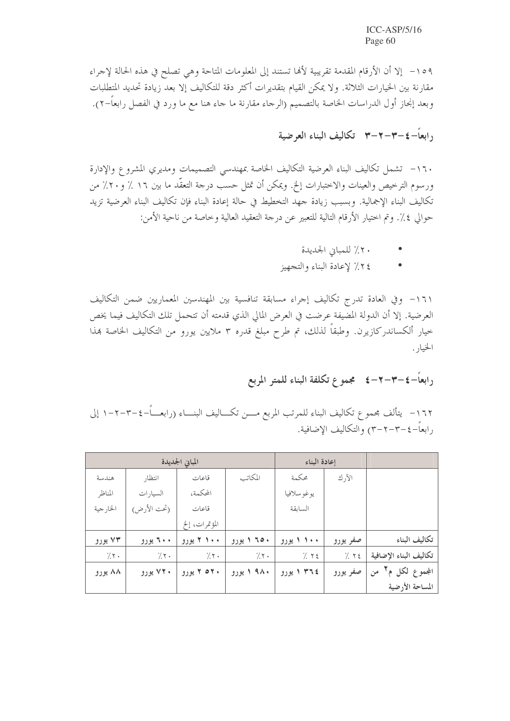١٥٩- إلا أن الأرقام المقدمة تقريبية لألها تستند إلى المعلومات المتاحة وهي تصلح في هذه الحالة لإجراء مقارنة بين الخيارات الثلاثة. ولا يمكن القيام بتقديرات أكثر دقة للتكاليف إلا بعد زيادة تحديد المتطلبات وبعد إنجاز أول الدراسات الخاصة بالتصميم (الرجاء مقارنة ما جاء هنا مع ما ورد في الفصل رابعاً–٢).

<sub>د ا</sub>بعاً–٤–٣–٣–٣ تكاليف البناء العرضية

١٦٠- تشمل تكاليف البناء العرضية التكاليف الخاصة بمهندسي التصميمات ومديري المشروع والإدارة ورسوم الترخيص والعينات والاختبارات إلخ. ويمكن أن تمثل حسب درجة التعقُّد ما بين ١٦ ٪ و٢٠٪ من تكاليف البناء الإجمالية. وبسبب زيادة حهد التخطيط في حالة إعادة البناء فإن تكاليف البناء العرضية تزيد حوالي ٤٪. وتم اختيار الأرقام التالية للتعبير عن درجة التعقيد العالية وخاصة من ناحية الأمن:

- ٢٠٪ للمباني الجديدة
- ٢٤٪ لإعادة البناء والتجهيز  $\bullet$

١٦١- وفي العادة تدرج تكاليف إجراء مسابقة تنافسية بين المهندسين المعماريين ضمن التكاليف العرضية. إلا أن الدولة المضيفة عرضت في العرض المالي الذي قدمته أن تتحمل تلك التكاليف فيما يخص خيار ألكساندركازيرن. وطبقاً لذلك، تم طرح مبلغ قدره ٣ ملايين يورو من التكاليف الخاصة بمذا الخيار .

### رابعاً–٤–٢–٢–٤ مجموع تكلفة البناء للمتر المربع

١٦٢ - يتألف بحموع تكاليف البناء للمرتب المربع مــــن تكــــاليف البنــــاء (رابعــــاً–٤–٢–٢–١ إلى , ابعاً–٤–٣–٢–٣) والتكاليف الاضافية.

|                        |          | إعادة البناء | المباني الجديدة |                |             |          |
|------------------------|----------|--------------|-----------------|----------------|-------------|----------|
|                        | الآرك    | محكمة        | المكاتب         | قاعات          | انتظار      | هندسة    |
|                        |          | يوغوسلافيا   |                 | المحكمة،       | السيارات    | المناظر  |
|                        |          | السابقة      |                 | قاعات          | (تحت الأرض) | الخارجية |
|                        |          |              |                 | المؤتمرات، إلخ |             |          |
| تكاليف البناء          | صفر يورو | ۱۰۰ ۱ يورو   | ۱ ۹۵۰ ا يورو    | ۱۰۰ ۲ یورو     | ۲۰۰ یورو    | ۷۳ يورو  |
| تكاليف البناء الإضافية | 7.72     | 7.72         | 7.7.            | 7.7.           | 7.7.        | 7.7.     |
| المجموع لکل م۲<br>من   | صفر يورو | ٢٣٦٤ ١ يورو  | ۹۸۰ ۱ یورو      | ۲ ۵۲۰ یورو     | ۷۲۰ یورو    | ۸۸ يورو  |
| المساحة الأرضية        |          |              |                 |                |             |          |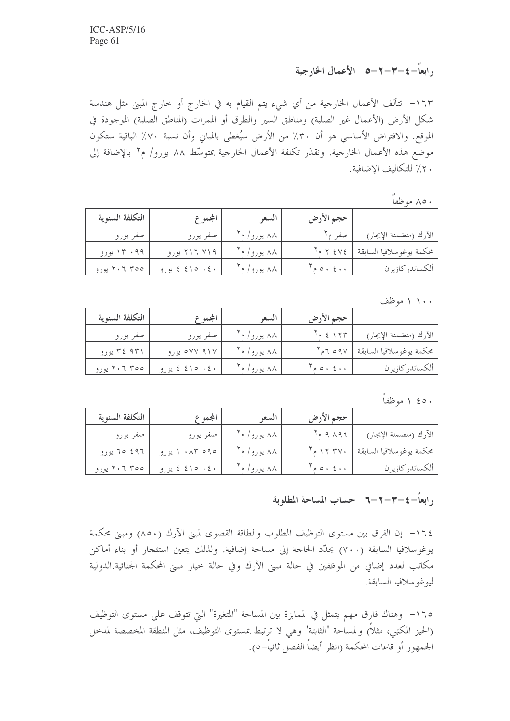<sub>د</sub>ابعاً-٤-٣-٢-٥ الأعمال الخارجية

١٦٣– تتألف الأعمال الخارجية من أي شيء يتم القيام به في الخارج أو خارج المبني مثل هندسة شكل الأرض (الأعمال غير الصلبة) ومناطق السير والطرق أو الممرات (المناطق الصلبة) الموجودة في الموقع. والافتراض الأساسي هو أن ٣٠٪ من الأرض سيُغطى بالمباني وأن نسبة ٧٠٪ الباقية ستكون موضع هذه الأعمال الخارجية. وتقدَّر تكلفة الأعمال الخارجية بمتوسِّط ٨٨ يورو/ م٢ بالإضافة إلى ٢٠٪ للتكاليف الاضافية.

#### ۸۰ ۸ موظفاً

| التكلفة السنوية | المجموع              | السعو        | حجم الأرض                     |                           |
|-----------------|----------------------|--------------|-------------------------------|---------------------------|
| صفر يورو        | صفر يورو             | ۸۸ یورو/ م۲  | صفر م۲                        | الآرك (متضمنة الإيجار)    |
| ۱۳۰۹۹ یورو      | ۲۱۶ ۱۷۱۹ یورو        | ۸۸ يورو/ م۲  | $Y_{P}$ $Y$ $\leq$ $Y$ $\leq$ | محكمة يوغو سلافيا السابقة |
| ۲۰۶ ۳۰۰ پورو    | $9.942 \pm 210 + 24$ | ۸۸ یورو/ م آ | $Y_{p,0}$ , $\epsilon$ ,,     | ألكساندر كازيرن           |

۱۰۰ ۱ موظف

| التكلفة السنوية | المجموع         | السعو                  | حجم الأرض               |                             |
|-----------------|-----------------|------------------------|-------------------------|-----------------------------|
| صفر يورو        | صفر يورو        | ۸۸ یورو/ م ۲ $\lambda$ | $T_{P}$ { $\sqrt{TT}$   | الآرك (متضمنة الإيجار)      |
| ۳٤ ۹۳۱ پورو     | ۹۱۷ ۹۱۷ یورو    | ۸۸ یورو/ م۲            | $Y_{\rho}$ 7 09 $Y$     | محكمة يوغو سلافيا السابقة ا |
| ۲۰۶ ۲۰۲ یورو    | ٤٠ - ٤١٥ ٤ يورو | ۸۸ يورو/ م             | $T_{\rho}$ o $\epsilon$ | ألكساندر كازيرن             |

۱ ٤٥٠ موظفاً

| التكلفة السنوية | المجموع             | السعو       | حجم الأرض                                            |                           |
|-----------------|---------------------|-------------|------------------------------------------------------|---------------------------|
| صفر يورو        | صفر يورو            | ۸۸ یورو/ م' | $Y_{P}$ 9 $\Lambda$ 97                               | الآرك (متضمنة الإيجار)    |
| ۶۹۶ ۲۵ یورو     | ۹۵ ۸۳ ۱۰ پورو       | ۸۸ یورو/ م' | $T_{e}$ $\gamma$ $\gamma$ $\gamma$ $\gamma$ $\gamma$ | محكمة يوغو سلافيا السابقة |
| ۲۰۶ ۲۰۲ یورو    | $9$ ، خ ۱۵ کیورو (و | ۸۸ یورو/ م  |                                                      | ألكساندر كازيرن           |

### <sub>(</sub>ابعاً-٤-٣-٦-٦ حساب المساحة المطلوبة

١٦٤– إن الفرق بين مستوى التوظيف المطلوب والطاقة القصوى لمبني الآرك (٨٥٠) ومبني محكمة يوغوسلافيا السابقة (٧٠٠) يحدَّد الحاجة إلى مساحة إضافية. ولذلك يتعين استئجارٍ أو بناء أماكن مكاتب لعدد إضافي من الموظفين في حالة مبنى الآرك وفي حالة خيار مبنى المحكمة الجنائية.الدولية ليوغو سلافيا السابقة.

١٦٥- وهناك فارق مهم يتمثل في الممايزة بين المساحة "المتغيرة" التي تتوقف على مستوى التوظيف (الحيز المكتبي، مثلاً) والمساحة "الثابتة" وهي لا ترتبط بمستوى التوظيف، مثل المنطقة المخصصة لمدحل الجمهور أو قاعات المحكمة (انظر أيضاً الفصل ثانياً–٥).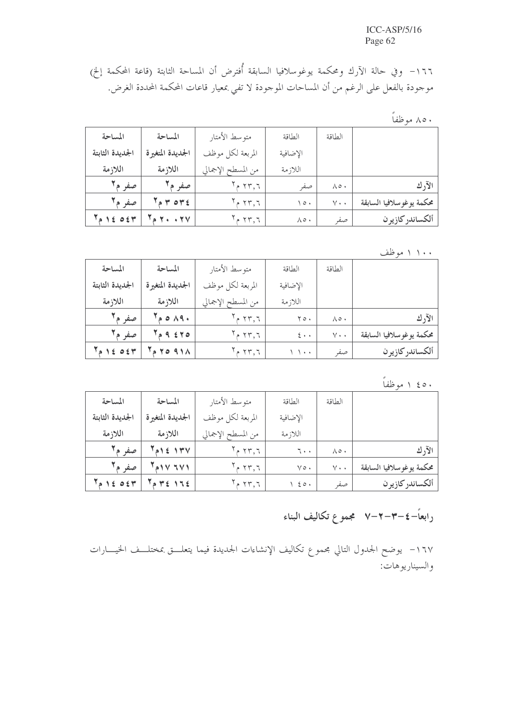١٦٦- وفي حالة الآرك ومحكمة يوغوسلافيا السابقة أُفترض أن المساحة الثابتة (قاعة المحكمة إلخ) موجودة بالفعل على الرغم من أن المساحات الموجودة لا تفي بمعيار قاعات المحكمة المحددة الغرض.

# ۸۵۰ موظفاً

| المساحة                            | المساحة                          | متوسط الأمتار      | الطاقة               | الطاقة               |                           |
|------------------------------------|----------------------------------|--------------------|----------------------|----------------------|---------------------------|
| الجديدة الثابتة                    | الجديدة المتغيرة                 | المربعة لكل موظف   | الإضافية             |                      |                           |
| اللازمة                            | اللازمة                          | من المسطح الإجمالي | اللاز مة             |                      |                           |
| صفر م'                             | صفر مآ                           | $^{\circ}$ ٢٣,٦    | صفر                  | $\wedge \circ \cdot$ | الآرك                     |
| صفہ م'                             | $\mathbf{F} \circ \mathbf{r}$    | $^7$ ۲۳٫۶ م        | $\sqrt{Q}$           | $V \cdot \cdot$      | محكمة يوغو سلافيا السابقة |
| $A$ ) $\leq$ 0 $\leq$ $\mathsf{Y}$ | $\mathbf{y}$ . $\mathbf{y}$<br>Δ | 577,7              | $\wedge \circ \cdot$ | صفر                  | ألكساندر كازيرن           |

۱۰۰ ۱ موظف

| المساحة         | المساحة                   | متوسط الأمتار                  | الطاقة                 | الطاقة               |                          |
|-----------------|---------------------------|--------------------------------|------------------------|----------------------|--------------------------|
| الجديدة الثابتة | الجديدة المتغيرة          | المربعة لكل موظف               | الإضافية               |                      |                          |
| اللازمة         | اللازمة                   | من المسطح الإجمالي             | اللاز مة               |                      |                          |
| صفر مآ          | $\sim$ 0 $\land$ 9 $\sim$ | $\mathbf{Y}$ م ۲۳٫۶            | $Y \circ \cdot$        | $\wedge \circ \cdot$ | الآرك                    |
| صفہ م۲          | A 9 570                   | $\mathbf{Y}_{\mathsf{P}}$ ۲۳٫۶ | $\epsilon \cdot \cdot$ | $V \cdot \cdot$      | محكمة يوغوسلافيا السابقة |
| 12051           | <b>TO 911</b><br>á.       | $\gamma$ 7 م آ $\gamma$        | $\lambda$              | صفر                  | ألكساندر كازيرن          |

٤٥٠ ١ موظفاً

| المساحة                | المساحة          | متوسط الأمتار                   | الطاقة             | الطاقة                |                           |
|------------------------|------------------|---------------------------------|--------------------|-----------------------|---------------------------|
| الجديدة الثابتة        | الجديدة المتغيرة | المربعة لكل موظف                | الإضافية           |                       |                           |
| اللازمة                | اللازمة          | من المسطح الإجمالي              | اللاز مة           |                       |                           |
| صفہ م۲                 | $A$ and $A$      | $^7$ ۲۳٫۶ م                     | 7.1                | $\Lambda \circ \cdot$ | الآرك                     |
| صفہ م۲                 | $Y_{A}YYYY$      | $\mathbf{Y}_{\mathsf{P}}$ ۲۳, ٦ | $\vee \circ \cdot$ | $V \cdot \cdot$       | محكمة يوغو سلافيا السابقة |
| $T_{\rho}$ 1 { 0 { $T$ | $P Y \le 175$    | $^7$ ۲۳, م ۲                    | $\rightarrow$ 20.  | صفر                   | ألكساندركازيرن            |

## رابعاً–٤–٣–٢–٧٪ مجموع تكاليف البناء

١٦٧– يوضح الجدول التالي مجموع تكاليف الإنشاءات الجديدة فيما يتعلـــق بمختلـــف الخيــــارات والسيناريوهات: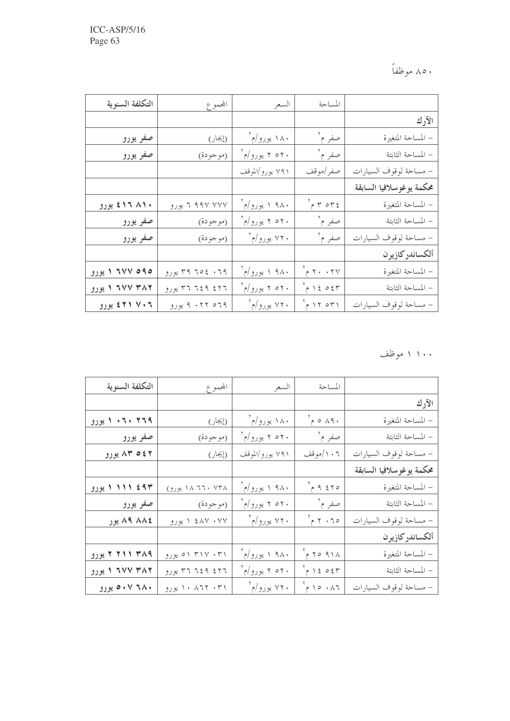۸۵۰ موظفاً

| التكلفة السنوية    | المجموع         | السعر                    | المساحة                     |                          |
|--------------------|-----------------|--------------------------|-----------------------------|--------------------------|
|                    |                 |                          |                             | الآرك                    |
| صفر يورو           | (إيجار)         | ۱۸۰ یورو/م`              | صفر م ٢                     | – المساحة المتغيرة       |
| صفر يورو           | (موجودة)        | ۲۰م ۲ یورو/م`            | صفر م آ                     | – المساحة الثابتة        |
|                    |                 | ۷۹۱ يورو/الموقف          | صفر  موقف                   | – مساحة لوقوف السيارات   |
|                    |                 |                          |                             | محكمة يوغوسلافيا السابقة |
| ۱۹۸۱۰ کا یورو      | ۳۷۷ ۹۹۷ ۲ یورو  | ۰۹۸۰ <sub>۱ یورو/م</sub> | $\gamma$ or $\gamma$        | – المساحة المتغيرة       |
| صفو يورو           | (موجودة)        | ۲۰م ۲ یورو/م             | صفر م <sup>۲</sup>          | – المساحة الثابتة        |
| صفر يورو           | (موجودة)        | ۷۲۰ يورو/م`              | صفر م ٢                     | – مساحة لوقوف السيارات   |
|                    |                 |                          |                             | ألكساندر كازير ن         |
| ۲۷۷ ۵۹۵ ایورو      | ۳۹ ۲۰ د ۳۹ پورو | ۹۸۰ ۱ یورو/م             | $5 + 17 + 17$               | – المساحة المتغيرة       |
| ۲۸۲ ۲۷۷ ۱ یورو     | ۳۶ ۲۱ ۱٤۹ پورو  | ۲۰م ۲ یورو/م             | $\gamma$ 30 $31$ م $\gamma$ | – المساحة الثابتة        |
| ۲۱ ۷۰۶ <u>نورو</u> | ۹۰۲۲ ۵۶۹ یورو   | ۲۲۰ یورو/م <sup>۲</sup>  | $\gamma$ ۲ ۱۲ م $\gamma$    | – مساحة لوقوف السيارات   |

۱۱۰۰ موظف

| التكلفة السنوية | المجموع          | السعر                     | المساحة                                                                                                                                         |                          |
|-----------------|------------------|---------------------------|-------------------------------------------------------------------------------------------------------------------------------------------------|--------------------------|
|                 |                  |                           |                                                                                                                                                 | الآرك                    |
| ۲۶۹ ۲۰۲۰ ا يورو | (إيجار)          | ۱۸۰ یورو/م`               | $\gamma$ 0 $\land$ 9 $\cdot$                                                                                                                    | – المساحة المتغيرة       |
| صفر يورو___     | (موجودة)         | ۲۰م ۲ یورو/م              | صفر م ۲                                                                                                                                         | – المساحة الثابتة        |
| ۸۳ ۵٤۲ یورو     | (إيجار)          | ۷۹۱ يورو/الموقف           | ۰٦ / /موقف                                                                                                                                      | – مساحة لوقوف السيارات   |
|                 |                  |                           |                                                                                                                                                 | محكمة يوغوسلافيا السابقة |
| ۱۱۱۱ (۱۹۳       | ۱۸ ۲۲۰ ۱۸ یورو)  | ۹۸۰ ۱ یورو/م              | $P_{P}$ ۹ ٤٢٥                                                                                                                                   | – المساحة المتغيرة       |
| صفر يورو        | (موجودة)         | ۲۰م ۲ یورو/م <sup>۲</sup> | صفر م ٢                                                                                                                                         | – المساحة الثابتة        |
| ۸۹ ۸۸٤ يور      | ۱ ٤٨٧ ۰۷۷ پورو   | ۲۲۰ يورو/م                | $5 + 7 - 70$                                                                                                                                    | – مساحة لوقوف السيارات   |
|                 |                  |                           |                                                                                                                                                 | ألكساندر كازير ن         |
| ۳۸۹ ۲۱۱ ۲ یورو  | ۰۳۱ میورو        | ۹۸۰ ایورو/م $\frac{1}{2}$ | $Y_{P}$ 70 91 $\Lambda$                                                                                                                         | – المساحة المتغيرة       |
| ۲۸۲ ۲۷۷ ۱ یورو  | ۳۶ ۶۱۹ پورو      | ۲۰م ۲ یورو/م              | $\begin{array}{c} \n\begin{array}{ccc} \n\end{array} & \n\begin{array}{ccc} \n\end{array} & \n\begin{array}{ccc} \n\end{array} & \n\end{array}$ | – المساحة الثابتة        |
| ۲۸۰ ۰۷ بورو     | ۰۳۱ - ۱۰ ۱۰ یورو | ۷۲۰ يورو/م`               | $\gamma$ 10.17                                                                                                                                  | – مساحة لوقوف السيارات   |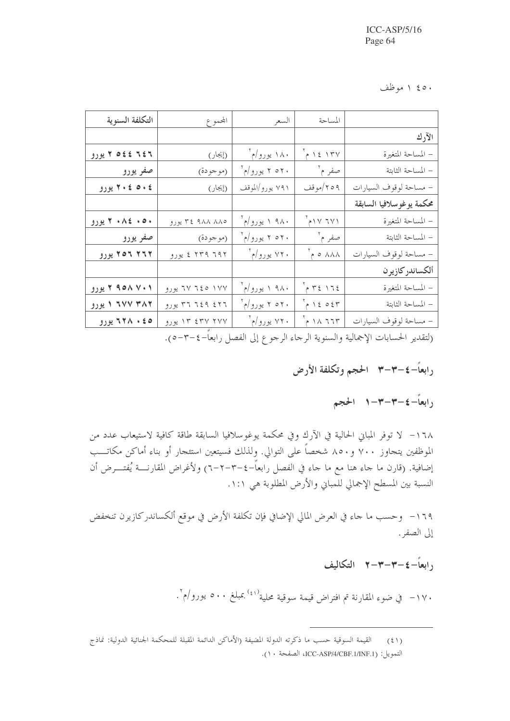۱ ٤٥٠ موظف

| التكلفة السنوية                                                        | المجموع         | السعر           | المساحة                                                                                                                                         |                           |  |  |
|------------------------------------------------------------------------|-----------------|-----------------|-------------------------------------------------------------------------------------------------------------------------------------------------|---------------------------|--|--|
|                                                                        |                 |                 |                                                                                                                                                 | الآرك                     |  |  |
| ٢٥٤٤ ٢٤٢ يورو                                                          | (إيجار)         | ۱۸۰ یورو/م`     | $\gamma$ 12 1 ٣٧                                                                                                                                | – المساحة المتغيرة        |  |  |
| صفر يورو                                                               | (موجودة)        | ۲۰م ۲ یورو/م    | صفر م ۲                                                                                                                                         | – المساحة الثابتة         |  |  |
| ٢٠٤ ٥٠٤ يورو                                                           | (إيجار)         | ۷۹۱ يورو/الموقف | ۲٥۹/موقف                                                                                                                                        | – مساحة لوقوف السيارات    |  |  |
|                                                                        |                 |                 |                                                                                                                                                 | محكمة يوغو سلافيا السابقة |  |  |
| ۰۰۰ ۸٤ ۲۰ يورو                                                         | ۹۸۸ ۸۸۵ ۳٤ يورو | ۹۸۰ ۱ یورو/م    | $\gamma$ ۱۷ ۲۷۱                                                                                                                                 | – المساحة المتغيرة        |  |  |
| صفر يورو                                                               | (موجودة)        | ۲۰م ۲ یورو/م    | صفر م آ                                                                                                                                         | – المساحة الثابتة         |  |  |
| ۲۲۲ ۲۵۲ یورو                                                           | ۲۳۹ ۶ ۲۳۹ میورو | ۲۲۰ يورو/م`     | $\lambda$ ۸۸۸ مم                                                                                                                                | – مساحة لوقوف السيارات    |  |  |
|                                                                        |                 |                 |                                                                                                                                                 | ألكساندر كازيرن           |  |  |
| ۲ ۹۵۸ ۷۰۱ یورو                                                         | ۱۷۷ ۲٤٥ تورو    | ۹۸۰ ۱ یورو/م    | $\gamma$ +2 172                                                                                                                                 | – المساحة المتغيرة        |  |  |
| ۲۸۲ ۲۷۷ ۱ یورو                                                         | ۳۶ ۶۱۹ پورو     | ۲۰م ۲ یورو/م    | $\begin{array}{c} \n\begin{array}{ccc} \n\end{array} & \n\begin{array}{ccc} \n\end{array} & \n\begin{array}{ccc} \n\end{array} & \n\end{array}$ | – المساحة الثابتة         |  |  |
| ۵ ٤ ۸ ٦٢٨ يورو                                                         | ۱۳ ٤٣٧ ٢٧٧ يورو | ۲۲۰ یورو/م`     | $\gamma$ $\land$ $\gamma$ $\gamma$                                                                                                              | – مساحة لوقوف السيارات    |  |  |
| حاستان المراسل الحج التربيلات باترال والملاحظ المناطقة المرادع بعوده م |                 |                 |                                                                                                                                                 |                           |  |  |

(لتقدير الحسابات الإجمالية والسنوية الرجاء الرجوع إلى الفصل رابعا–٤–٥-٥).

رابعاً-٤-٣-٣ الحجم وتكلفة الأرض

<sub>(</sub>ابعاً-٤-٣-٣-١ الحجم

١٦٨ – لا توفر المباني الحالية في الآرك وفي محكمة يوغوسلافيا السابقة طاقة كافية لاستيعاب عدد من الموظفين يتجاوز ٧٠٠ و٨٥٠ شخصاً على التوالي. ولذلك فسيتعين استئجار أو بناء أماكن مكاتــب إضافية. (قارن ما جاء هنا مع ما جاء في الفصل رابعاً–٤–٣–٦-٦) ولأغراض المقارنــــة يُفتــــرض أن النسبة بين المسطح الإجمالي للمباني والأرض المطلوبة هي ١:١.

١٦٩– وحسب ما حاء في العرض المالي الإضافي فإن تكلفة الأرض في موقع ألكساندركازيرن تنخفض إلى الصفر .

### 11ابعاً-٤-٣-٣-٣ التكاليف

۱۷۰– في ضوء المقارنة تم افتراض قيمة سوقية محلية<sup>(٤١)</sup>.عبلغ ٥٠٠ يورو/م<sup>٠</sup>.

القيمة السوقية حسب ما ذكرته الدولة المضيفة (الأماكن الدائمة المقبلة للمحكمة الجنائية الدولية: نماذج  $(\xi)$ التمويل: ICC-ASP/4/CBF.1/INF.1) الصفحة ١٠).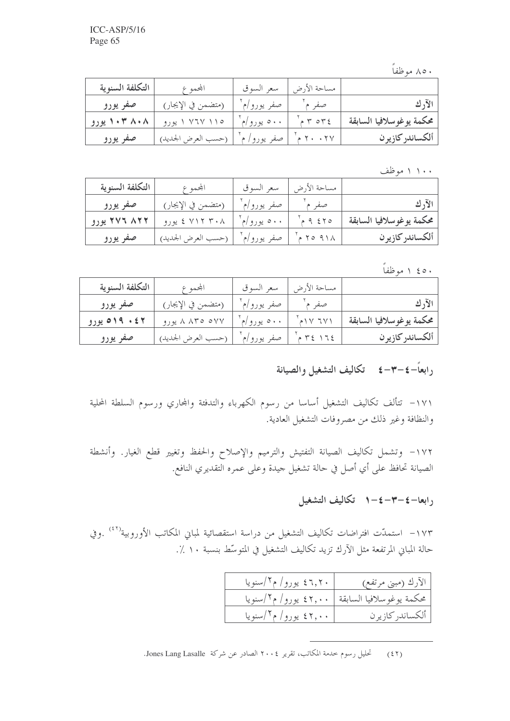۸۰ موظفاً

| والتكلفة السنوية | المجموع            | سعر السوق   | مساحة الأرض |                           |
|------------------|--------------------|-------------|-------------|---------------------------|
| صفر يورو         | (متضمن في الإيجار) | صفر يورو/م  | صف          |                           |
| ۰۳ ۸۰۸ ایورو     | ۱۱۰ ۷۶۷ ۱ یورو     | ۰۰۰ يورو/م` | P P P P E   | ومحكمة يوغوسلافيا السابقة |
| صفر يورو         | (حسب العرض الجديد) | صفر يورو/ م |             | ألكساندركازيرن            |

۱۰۰ ۱ موظف

| التكلفة السنوية | المجموع            | سعر السوق   | مساحة الأرض |                          |
|-----------------|--------------------|-------------|-------------|--------------------------|
| صفر يورو        | (متضمن في الإيجار) | صفر يورو/م٬ | صفر م       | الآرك                    |
| ۲۷۶ ۸۲۲ یورو    | ۲۰۸ ۲۱۲ ٤ یورو     | ۰۰۰ يورو/م` | $-9.570$    | محكمة يوغوسلافيا السابقة |
| صفر يورو        | (حسب العرض الجديد) | صفر يورو/م' | 7091A       | ألكساندركازيرن           |

۰ ۵ ۶ ۱ موظفاً

| التكلفة السنوية | المجمم ع           | سعر السوق   | مساحة الأرض                                   |                          |
|-----------------|--------------------|-------------|-----------------------------------------------|--------------------------|
| صفر يورو        | (متضمن في الإيجار) | صفر يورو/م' | صفر م`                                        | الآرك                    |
| ۶۲ ک ۱۹م پورو   | ۸ ۸۳۵ م۷۷ پورو     | ۰۰۰ يورو/م` |                                               | محكمة يوغوسلافيا السابقة |
| صفر يورو        | (حسب العرض الجديد) | صفر يورو/م' | $ \uparrow$ $\xi$ $\uparrow$ $\uparrow$ $\xi$ | ألكساندركازيرن           |

## رابعاً-٤-٣-٤ تكاليف التشغيل والصيانة

١٧١– تتألف تكاليف التشغيل أساسا من رسوم الكهرباء والتدفئة والمحاري ورسوم السلطة المحلية والنظافة وغير ذلك من مصروفات التشغيل العادية.

١٧٢– وتشمل تكاليف الصيانة التفتيش والترميم والإصلاح والحفظ وتغيير قطع الغيار. وأنشطة الصيانة تحافظ على أي أصل في حالة تشغيل جيدة وعلى عمره التقديري النافع.

## رابعا–٤–٣–٤–١ تكاليف التشغيل

١٧٣– استمدّت افتراضات تكاليف التشغيل من دراسة استقصائية لمباني المكاتب الأوروبية'''') .وفي حالة المباين المرتفعة مثل الآرك تزيد تكاليف التشغيل في المتوسِّط بنسبة ١٠ ٪.

| ۲٫۲۰ یورو/ م۱/سنویا  | الآرك (مبني مرتفع)                              |
|----------------------|-------------------------------------------------|
|                      | محكمة يوغوسلافيا السابقة   ٤٢٫٠٠ يورو/ م1/سنويا |
| ۶۲٫۰۰ یورو/ م۱/سنویا | ألكساندر كازيرن                                 |

تحليل رسوم خدمة المكاتب، تقرير ٢٠٠٤ الصادر عن شركة Jones Lang Lasalle.  $(55)$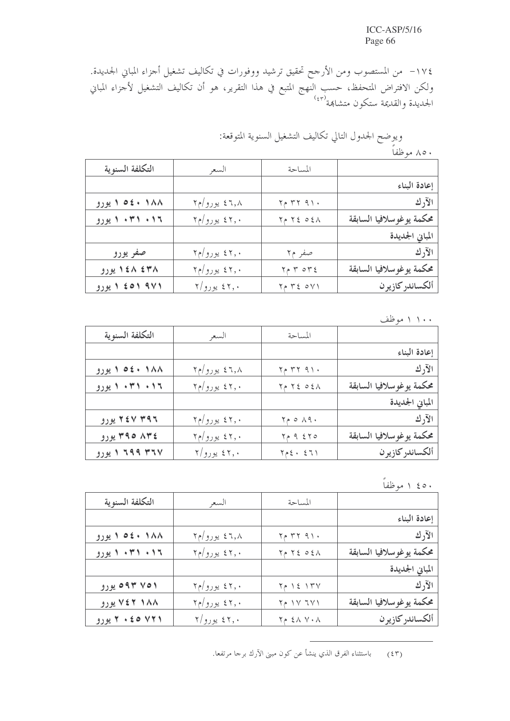١٧٤– من المستصوب ومن الأرجح تحقيق ترشيد ووفورات في تكاليف تشغيل أحزاء المباني الجديدة. ولكن الافتراض المتحفظ، حسب النّهج المتبع في هذا التقرير، هو أن تكاليف التشغيل لأجزاء المباني<br>الجديدة والقديمة ستكون متشاهة<sup>(٤٣)</sup>

# ويوضح الجدول التالي تكاليف التشغيل السنوية المتوقعة:

۸۰ موظفاً

| التكلفة السنوية | السعر                           | المساحة                         |                           |
|-----------------|---------------------------------|---------------------------------|---------------------------|
|                 |                                 |                                 | إعادة البناء              |
| ۱۸۸ ۱۵٤۰ ایورو  | ۶٦٫۸ يورو/م۲                    | $Y \uparrow Y Y 91.$            | الآرك                     |
| ۰۱۶ ۰۳۱ ایورو   | ۲٫۰ یورو/م۲                     | $Y \land Y \land \circ \land X$ | محكمة يوغو سلافيا السابقة |
|                 |                                 |                                 | المباني الجديدة           |
| صفر يورو        | ۲٫۰ یورو/م۲                     | صفر م۲                          | الآرك                     |
| ۱٤۸ ٤٣٨ يورو    | ۲٫۰ یورو/م۲                     | $Y \wedge T$ or $\S$            | محكمة يوغو سلافيا السابقة |
| ۹۷۱ ۵۵۱ ا یورو  | $\mathbf{Y}/\mathbf{y}$ يورو /۲ | ۲۱۷ ، ۳۶ م۲                     | ألكساندر كازيرن           |

۱۰۰ ۱ موظف

| التكلفة السنوية | السعر                           | المساحة                         |                           |
|-----------------|---------------------------------|---------------------------------|---------------------------|
|                 |                                 |                                 | إعادة البناء              |
| ۱۸۸ ۱۵٤۰ ا یورو | ۶٦٫۸ یورو/م۲                    | $Y \wedge T Y 91.$              | الآرك                     |
| ۰۱۶ ۰۳۱ ایورو   | ۶۲٫۰ یورو/م۲                    | $Y \land Y \le 0 \le \Lambda$   | محكمة يوغو سلافيا السابقة |
|                 |                                 |                                 | المباني الجديدة           |
| ۲٤۷ ۳۹۶ يورو    | ۶۲٫۰ یورو/م۲                    | $Y \circ \alpha \wedge \beta$ . | الآرك                     |
| ۳۹۵ ۸۳٤ يورو    | ۲٫۰ یورو/م۲                     | $Y \uprho \varrho$ { $Y \circ$  | محكمة يوغو سلافيا السابقة |
| ۳۶۷ ۱۹۹۹ ا یورو | $\mathbf{Y}/\mathbf{y}$ يورو /۲ | $Y \geq 2$ . $271$              | ألكساندركازيرن            |

## ۱ ٤٥٠ موظفاً

| التكلفة السنوية | السعر                           | المساحة                         |                           |
|-----------------|---------------------------------|---------------------------------|---------------------------|
|                 |                                 |                                 | إعادة البناء              |
| ۱۸۸ ۱۵۶۰ یورو   | ۶٦٫۸ یورو/م۲                    | $Y \uparrow Y Y 91.$            | الآرك                     |
| ۰۱۶ ۰۳۱ ایورو   | ۲٫۰ یورو/م۲                     | $Y \land Y \land \circ \land X$ | محكمة يوغو سلافيا السابقة |
|                 |                                 |                                 | المباني الجديدة           |
| ۵۹۳ ۷۵۱ یورو    | ۲٫۰ یورو/م۲                     | $Y \land Y \land Y$             | الآرك                     |
| ۷٤۲ ۱۸۸ یورو    | ۶۲٫۰ یورو/م۲                    | ۲۲۱ ۱۷ م۲                       | محكمة يوغو سلافيا السابقة |
| ۷۲۱ ه ٤ ۰ تورو  | $\mathbf{Y}/\mathbf{y}$ يورو /۲ | $Y \wedge 2 \wedge Y \wedge Y$  | ألكساندر كازير ن          |

باستثناء الفرق الذي ينشأ عن كون مبني الآرك برحا مرتفعا.  $(55)$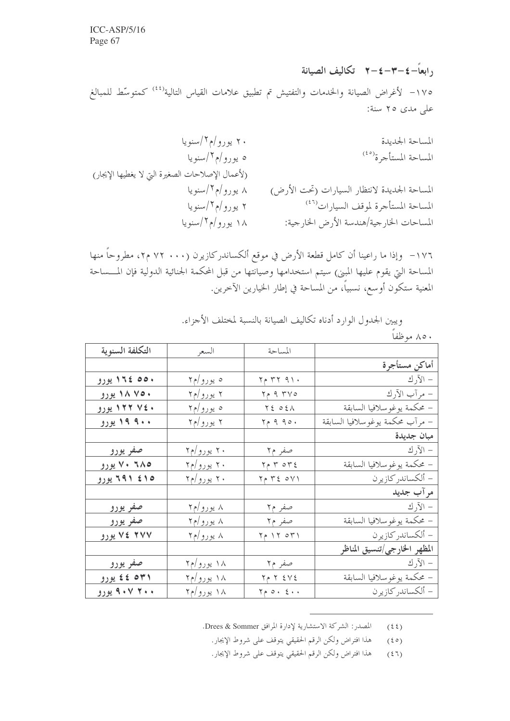, ابعاً-٤-٣-٤-٢ تكاليف الصيانة ١٧٥– لأغراض الصيانة والخدمات والتفتيش تم تطبيق علامات القياس التالية<sup>(٤٤)</sup> كمتوسّط للمبالغ على مدى ٢٥ سنة:

١٧٦– وإذا ما راعينا أن كامل قطعة الأرض في موقع ألكساندركازيرن (٧٠٠ ٧٢ م٢، مطروحاً منها المساحة التي يقوم عليها المبني) سيتم استخدامها وصيانتها من قبل المحكمة الجنائية الدولية فإن المسساحة المعنية ستكون أوسع، نسبياً، من المساحة في إطار الخيارين الآخرين.

|                 |            |                              | و پېړن اجبکون انوار د ادده تحاليف انظيفانه باسښه مختلف الاجراع، |
|-----------------|------------|------------------------------|-----------------------------------------------------------------|
|                 |            |                              | ۸۰ موظفاً                                                       |
| التكلفة السنوية | السعر      | المساحة                      |                                                                 |
|                 |            |                              | أماكن مستأجرة                                                   |
| ۱۵۵۰ ١٦٤ يورو   | ه يورو/م۲  | $Y \uparrow Y Y 91.$         | – الآر ك                                                        |
| ۷۵۰ ۱۸ یورو     | ۲ یورو/م۲  | $Y \uparrow \varphi$ ۹ ۳۷٥   | – مرآب الآرك                                                    |
| ۷٤٠ ١٢٢ يورو    | ه يورو/م۲  | $Y \xi o \xi \wedge$         | – محكمة يوغو سلافيا السابقة                                     |
| ۹۰۰ ۱۹ یورو     | ۲ یورو/م۲  | $Y \rho \theta \theta$       | – مرآب محكمة يوغوسلافيا السابقة                                 |
|                 |            |                              | مبان جديدة                                                      |
| صفر يورو        | ۲۰ یورو/م۲ | صفر م۲                       | – الآرك                                                         |
| ۲۸۵ ۷۰ یورو     | ۲۰ یورو/م۲ | $Y \wedge T$ or $Y \wedge T$ | – محكمة يوغو سلافيا السابقة                                     |
| ۱۵ کا ۶۹۱ یورو  | ۲۰ یورو/م۲ | $Y \wedge Y \leq 0 Y Y$      | – ألكساندر كازيرن                                               |
|                 |            |                              | مر آب جدید                                                      |
| <u>صفو يورو</u> | ۸ یورو/م۲  | صفر م۲                       | الآرك $-$                                                       |

صفر م۲

 $Y \circ Y \circ Y$ 

صفر م۲

 $Y \uparrow Y \leq V \leq$ 

 $Y \circ \circ \cdot \xi \cdot \cdot$ 

۸ یورو/م۲

۸ یورو/م۲

۱۸ یورو/م۲

۱۸ یورو/م۲

۱۸ یورو/م۲

صفر يورو

۷۷ ۲ کا یورو

صفر يورو

۳۱ه ٤٤ پورو

۰۰ ۹۰۷ بورو

ورونه الجليول الوارد أدناه تكالرف الصانق النسبة باختاف الأجزاء

المصدر : الشركة الاستشارية لإدارة المرافق Drees & Sommer.  $(55)$ 

هذا افتراض ولكن الرقم الحقيقي يتوقف على شروط الإيجار.  $(50)$ 

– محكمة يوغوسلافيا السابقة

المظهر الخارجي/تنسيق المناظر

– محكمة يوغو سلافيا السابقة

– ألكساندر كازيرن

- ألكساندر كازيرن

– الآرك

هذا افتراض ولكن الرقم الحقيقي يتوقف على شروط الإيجار.  $(51)$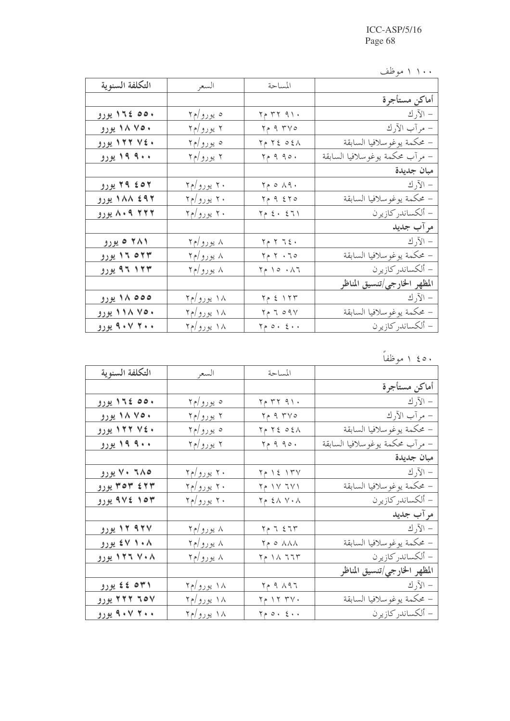۱۰۰ ۱ موظف

| التكلفة السنوية | السعر      | المساحة                               |                                 |
|-----------------|------------|---------------------------------------|---------------------------------|
|                 |            |                                       | أماكن مستأجرة                   |
| ۱۵۵۰ ١٦٤ يورو   | ه یورو/م۲  | ۲۶ ۲۲ ۹۱۰                             | – الآرك                         |
| ۷۵۰ ۱۸ یورو     | ۲ یورو/م۲  | $Y \uprho \uprho Y V \circ$           | – مرآب الأرك                    |
| ۷٤٠ ١٢٢ يورو    | ه يورو/م۲  | $Y \uparrow \xi \circ \xi \wedge$     | – محكمة يوغوسلافيا السابقة      |
| ۱۹ ۹۰۰ یورو     | ۲ یورو/م۲  | $Y \uprho \varrho \varrho \varrho$ ۰  | – مرآب محكمة يوغوسلافيا السابقة |
|                 |            |                                       | مبان جديدة                      |
| ۲۹ ٤٥٢ يورو     | ۲۰ یورو/م۲ | $Y \circ \wedge 9.$                   | $-$ الآرك                       |
| ۱۸۸ ٤٩٢ يورو    | ۲۰ یورو/م۲ | $Y \uparrow \varphi$ م ح م ح          | – محكمة يوغو سلافيا السابقة     |
| ۸۰۹ ۲۲۲ هروو    | ۲۰ یورو/م۲ | $Y_{\uparrow}$ { $\cdot$ { 7)         | – ألكساندر كازيرن               |
|                 |            |                                       | مر آب جديد                      |
| ۲۸۱ ه پورو      | ۸ یورو/م۲  | $Y \uparrow Y$ $Y \uparrow \xi$       | $-$ الآر ك                      |
| ۱۶ م ۱۲ یورو    | ۸ یورو/م۲  | $50 - 79$                             | – محكمة يوغوسلافيا السابقة      |
| ۹۶ ۱۲۳ یورو     | ۸ یورو/م۲  | $Y \uparrow \circ \cdot \wedge Y$     | – ألكساندر كازيرن               |
|                 |            |                                       | المظهر الخارجي/تنسيق المناظر    |
| ٥٥٥ ١٨ يورو     | ۱۸ یورو/م۲ | $Y \uparrow$ $\xi$ $Y Y'$             | – الآرك                         |
| ۷۵۰ ۱۱۸ یورو    | ۱۸ یورو/م۲ | $Y \rho \tau \circ q \gamma$          | – محكمة يوغو سلافيا السابقة     |
| ۴۰۰ ۹۰۷ یورو    | ۱۸ یورو/م۲ | $Y \circ \circ \cdot \xi \cdot \cdot$ | – ألكساندر كازيرن               |

<u>٤٥٠ ١ موظفاً</u>

| التكلفة السنوية          | السعر             | المساحة                                      |                                 |
|--------------------------|-------------------|----------------------------------------------|---------------------------------|
|                          |                   |                                              | أماكن مستأجرة                   |
| ۱۵۰ ١٦٤ يورو             | ه يورو/م۲         | $Y \uparrow Y$ $Y \uparrow Y$                | – الآرك                         |
| ۷۵۰ ۱۸ یورو              | ۲ یورو/م۲         | $Y \uparrow \uparrow Y$ ۹ ۳۷٥                | – مرآب الآرك                    |
| ۷٤٠ ١٢٢ يورو             | ه يورو/م۲         | $Y \in Y \subseteq 0 \leq \Lambda$           | – محكمة يوغو سلافيا السابقة     |
| ۹۰۰ <mark>۱۹ یورو</mark> | ۲ یورو/م۲         | $Y \uprho \uprho \uprho \uprho \circ \cdot$  | – مرآب محكمة يوغوسلافيا السابقة |
|                          |                   |                                              | مبان جديدة                      |
| ۲۸۵ ۷۰ یورو              | ۲۰ یورو/م۲        | $Y \uparrow$ $\uparrow$ $\xi$ $\uparrow$ $Y$ | الآر ك $-$                      |
| ۳۵۳ ٤٢٣ يورو             | ۲۰ یورو/م۲        | $Y \uparrow Y Y Y$                           | – محكمة يوغوسلافيا السابقة      |
| ۹۷٤ ۱۵۳ یورو             | ۲۰ یورو/م۲        | $Y \in \Sigma \wedge Y \cdot \Lambda$        | – ألكساندر كازيرن               |
|                          |                   |                                              | مر آب جدید                      |
| ۹۲۷ ۱۲ یورو              | ۸ یورو/م۲         | $Y \uparrow Y$ 5 1 $Y$                       | $-$ الآر ك                      |
| ۰۸ ۲ ۶۷ یورو             | ۸ یورو/م۲         | $Y \circ \land \land \land$                  | – محكمة يوغو سلافيا السابقة     |
| ۱۲۶ تا ۱۲۰۸ بورو         | ۸ یورو/م۲         | $Y \uparrow \wedge T$                        | – ألكساندر كازيرن               |
|                          |                   |                                              | المظهر الخارجي/تنسيق المناظر    |
| ۳۱ه ٤٤ یورو              | <u>۱۸ یورو/م۲</u> | ۳۶۸۹۶ م۲                                     | – الآرك                         |
| ۲۲۲ ۱۵۷ تیورو            | ۱۸ یورو/م۲        | $Y \uparrow Y Y Y \uparrow Y$                | – محكمة يوغو سلافيا السابقة     |
| ۴۰۰ ۹۰۷ یورو             | ۱۸ یورو/م۲        | $Y \circ \circ \cdot \xi \cdot \cdot$        | – ألكساندر كازيرن               |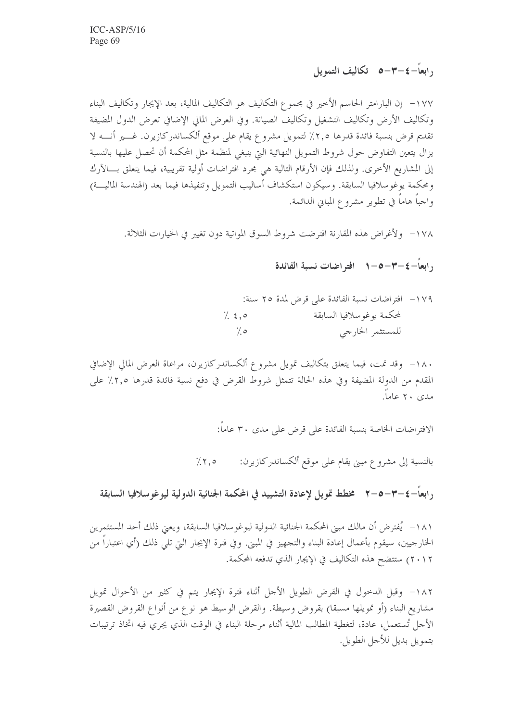<sub>د ا</sub>بعاً–٤–٣–٥٪ تكاليف التمويل

١٧٧– إن البارامتر الحاسم الأحير في مجموع التكاليف هو التكاليف المالية، بعد الإيجار وتكاليف البناء وتكاليف الأرض وتكاليف التشغيل وتكاليف الصيانة. وفي العرض المالي الإضافي تعرض الدول المضيفة تقديم قرض بنسبة فائدة قدرها ٢,٥٪ لتمويل مشروع يقام على موقع ألكساندركازيرن. غــــير أنـــــه لا يزال يتعين التفاوض حول شروط التمويل النهائية التي ينبغي لمنظمة مثل المحكمة أن تحصل عليها بالنسبة إلى المشاريع الأخرى. ولذلك فإن الأرقام التالية هي مجرد افتراضات أولية تقريبية، فيما يتعلق بـــالآرك ومحكمة يوغوسلافيا السابقة. وسيكون استكشاف أساليب التمويل وتنفيذها فيما بعد (الهندسة الماليــــة) واجباً هاماً في تطوير مشروع المباني الدائمة.

١٧٨ - ولأغراض هذه المقارنة افترضت شروط السوق المواتية دون تغيير في الخيارات الثلاثة.

, ابعاً−٤−٣−٥−٢ افتر اضات نسبة الفائدة

١٧٩ - افتراضات نسبة الفائدة على قرض لمدة ٢٥ سنة: لمحكمة يوغو سلافيا السابقة  $1.50$ للمستثمر الخارجي  $\frac{7}{6}$ 

١٨٠- وقد تمت، فيما يتعلق بتكاليف تمويل مشروع ألكساندركازيرن، مراعاة العرض المالي الإضافي المقدم من الدولة المضيفة وفي هذه الحالة تتمثل شروط القرض في دفع نسبة فائدة قدرها ٢,٥٪ على مدی ۲۰ عاما.

الافتراضات الخاصة بنسبة الفائدة على قرض على مدى ٣٠ عاماً:

بالنسبة إلى مشروع مبنى يقام على موقع ألكساندركازيرن:  $7.50$ 

رابعاً–٤–٣–٥–٣٪ مخطط تمويل لإعادة التشييد في المحكمة الجنائية الدولية ليوغوسلافيا السابقة

١٨١ – يُفترض أن مالك مبيٍّ المحكمة الجنائية الدولية ليوغوسلافيا السابقة، ويعيَّ ذلك أحد المستثمرين الخارجيين، سيقوم بأعمال إعادة البناء والتجهيز في المبني. وفي فترة الإيجار التي تلي ذلك (أي اعتباراً من ٢٠١٢) ستتضح هذه التكاليف في الإيجار الذي تدفعه المحكمة.

١٨٢- وقبل الدحول في القرض الطويل الأحل أثناء فترة الإيجار يتم في كثير من الأحوال تمويل مشاريع البناء (أو تمويلها مسبقا) بقروض وسيطة. والقرض الوسيط هو نو ع من أنواع القروض القصيرة الأحل تُستعمل، عادة، لتغطية المطالب المالية أثناء مرحلة البناء في الوقت الذي يجري فيه اتخاذ ترتيبات بتمويل بديل للأجل الطويل.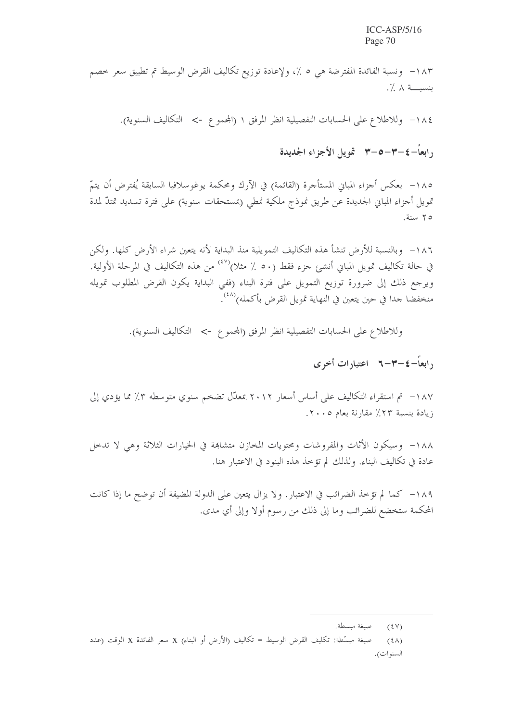١٨٣– ونسبة الفائدة المفترضة هي ٥ ٪، ولإعادة توزيع تكاليف القرض الوسيط تم تطبيق سعر خصم بنسبــــة ٨ ٪.

١٨٤ - وللاطلاع على الحسابات التفصيلية انظر المرفق ١ (المحموع -> التكاليف السنوية).

<sub>د ا</sub>بعاً – ٤ –٣ –٥ –٣ - تمويل الأجزاء الجديدة

١٨٥- بعكس أجزاء المبابي المستأجرة (القائمة) في الآرك ومحكمة يوغوسلافيا السابقة يُفترض أن يتمّ تمويل أجزاء المباني الجديدة عن طريق نموذج ملكية نمطى (بمستحقات سنوية) على فترة تسديد تمتدّ لمدة ٢٥ سنة.

١٨٦– وبالنسبة للأرض تنشأ هذه التكاليف التمويلية منذ البداية لأنه يتعين شراء الأرض كلها. ولكن في حالة تكاليف تمويل المباني أنشئ جزء فقط (٥٠ ٪ مثلا)<sup>(٤٧)</sup> من هذه التكاليف في المرحلة الأولية. ويرجع ذلك إلى ضرورة توزيع التمويل على فترة البناء (ففي البداية يكون القرض المطلوب تمويله منخفضا حدا في حين يتعين في النهاية تمويل القرض بأكمله) $\langle^{(\lambda)}\rangle$ .

وللاطلاع على الحسابات التفصيلية انظر المرفق (المحموع -> التكاليف السنوية).

د ابعاً – ٤ – ٣ – ٦ – اعتباد ات أخرى

١٨٧– تم استقراء التكاليف على أساس أسعار ٢٠١٢ بمعدَّل تضخم سنوي متوسطه ٣٪ مما يؤدي إلى زيادة بنسبة ٢٣٪ مقارنة بعام ٢٠٠٥.

١٨٨– وسيكون الأثاث والمفروشات ومحتويات المخازن متشاهة في الخيارات الثلاثة وهي لا تدحل عادة في تكاليف البناء. ولذلك لم تؤخذ هذه البنود في الاعتبار هنا.

١٨٩ – كما لم تؤخذ الضرائب في الاعتبارٍ. ولا يزال يتعين على الدولة المضيفة أن توضح ما إذا كانت المحكمة ستخضع للضرائب وما إلى ذلك من رسوم أولا وإلى أي مدى.

(٤٧) صيغة مبسطة.

<sup>(</sup>٤٨) صيغة مبسَّطة: تكليف القرض الوسيط = تكاليف (الأرض أو البناء) X سعر الفائدة X الوقت (عدد السنوات).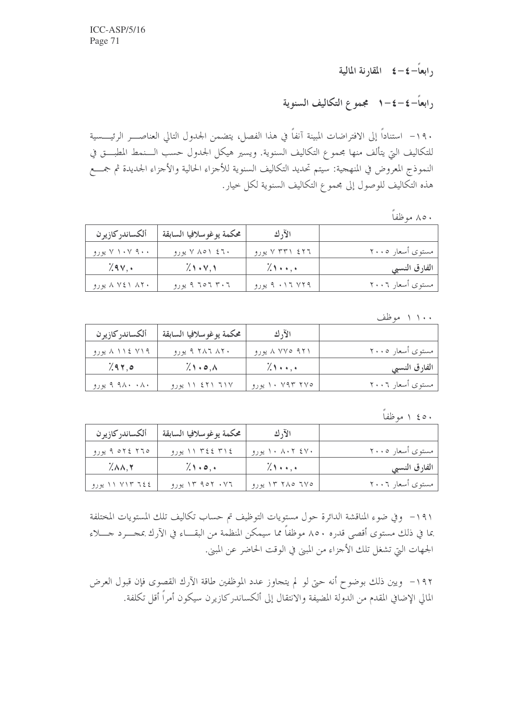<sub>د</sub>ابعاً–٤-٤ المقا<sub>د</sub>نة المالية

رابعاً–٤–٤–١ مجموع التكاليف السنوية

١٩٠- استناداً إلى الافتراضات المبينة آنفاً في هذا الفصل، يتضمن الجدول التالى العناصــــر الرئيـــــسية للتكاليف التي يتألف منها مجموع التكاليف السنوية. ويسير هيكل الجدول حسب الـــنمط المطبـــق في النموذج المعروض في المنهجية: سيتم تحديد التكاليف السنوية للأجزاء الحالية والأجزاء الجديدة ثم جمسع هذه التكاليف للوصول إلى مجموع التكاليف السنوية لكل خيار.

۸۰ موظفاً

| ألكساندر كازير ن | محكمة يوغوسلافيا السابقة | الآرك          |                  |
|------------------|--------------------------|----------------|------------------|
| ۷ ۱۰۷ ۹۰۰ یورو   | ۷ ۸۵۱ ۶٦۰ بورو           | ۷ ۳۳۱ ٤٢٦ پورو | مستوى أسعار ٢٠٠٥ |
| 7.94             | $\chi$ 1 + $\vee$ , 1    | $\lambda$      | الفارق النسبي    |
| ۸ ۲ ۱ ۸ ۷ یورو   | ۹ تا ۹ تا ۹ پورو         | ۷۲۹ ۲۱۱ ۹ پورو | مستوى أسعار ٢٠٠٦ |

۱۰۰ ۱ موظف

| ألكساندر كازيرن | محكمة يوغو سلافيا السابقة     | الأوك           |                  |
|-----------------|-------------------------------|-----------------|------------------|
| ۷۱۹ کا ۱۱ پورو  | ۳۸۶ ۳۸۶ ۹ یورو                | ۹۲۱ ۷۷۵ ۸ پورو  | مستوى أسعار ٢٠٠٥ |
| 7.97.0          | $\lambda \cdot \circ \lambda$ | $\lambda$       | الفارق النسبي    |
| ۸۰ ۸۰۹ ۹ یورو   | ۱۱۷ ۲۲۱ ۱۱ یورو               | ۱۰ ۷۹۳ ۲۷۰ یورو | مستوى أسعار ٢٠٠٦ |

۱ ٤٥٠ موظفاً

| ألكساندر كازير ن | <sub>ا</sub> محكمة يوغوسلافيا السابقة | الآرك             |                  |
|------------------|---------------------------------------|-------------------|------------------|
| ۹ ۵۲٤ ۲٦٥ پورو   | ١١ ٣٤٤ ٣١٤ يورو                       | ۱۰ ۸۰۲ ٤۷۰ یورو   | مستوى أسعار ٢٠٠٥ |
| $\lambda$        | $\lambda$ 1 $\cdot$ 0, $\cdot$        | $\chi$ $\ldots$ . | الفارق النسبي    |
| ١١ ٧١٣ ايورو     | ۹۵۲ ۰۷٦ یورو                          | ۲۷۵ ۲۸۵ ۲۳ یورو   | مستوى أسعار ٢٠٠٦ |

١٩١- وفي ضوء المناقشة الدائرة حول مستويات التوظيف تم حساب تكاليف تلك المستويات المختلفة بما في ذلك مستوى أقصى قدره ٨٥٠ موظفاً مما سيمكن المنظمة من البقـــاء في الآرك بمجــــرد جـــــلاء الجهات التي تشغل تلك الأجزاء من المبيي في الوقت الحاضر عن المبيي.

١٩٢ - ويين ذلك بوضوح أنه حتى لو لم يتجاوز عدد الموظفين طاقة الآرك القصوى فإن قبول العرض المالي الإضافي المقدم من الدولة المضيفة والانتقال إلى ألكساندر كازيرن سيكون أمراً أقل تكلفة.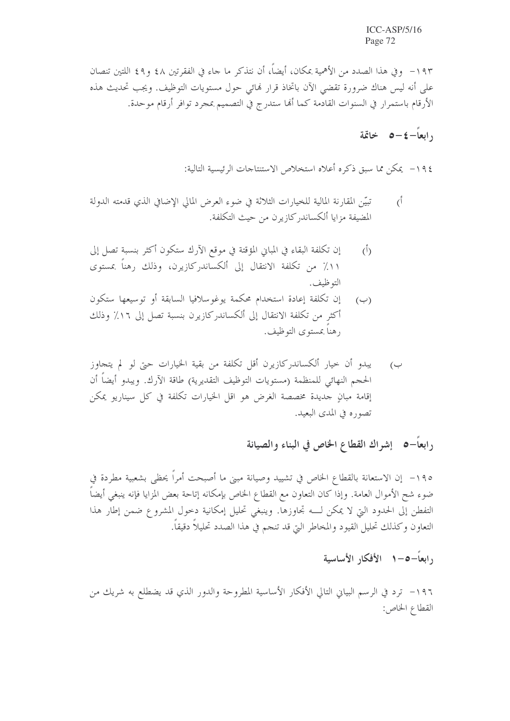١٩٣– وفي هذا الصدد من الأهمية بمكان، أيضاً، أن نتذكر ما جاء في الفقرتين ٤٨ و٤٩ اللتين تنصان على أنه ليس هناك ضرورة تقضى الآن باتخاذ قرار فمائي حول مستويات التوظيف. ويجب تحديث هذه الأرقام باستمرار في السنوات القادمة كما أنها ستدرج في التصميم بمجرد توافر أرقام موحدة.

## <sub>د</sub>ابعاً–٤–٥ خاتمة

١٩٤ – يمكن مما سبق ذكره أعلاه استخلاص الاستنتاجات الرئيسية التالية:

- تبيّن المقارنة المالية للخيارات الثلاثة في ضوء العرض المالي الإضافي الذي قدمته الدولة  $\zeta$ المضيفة مزايا ألكساندر كازيرن من حيث التكلفة.
- إن تكلفة البقاء في المباني المؤقتة في موقع الآرك ستكون أكثر بنسبة تصل إلى  $\overline{(\overline{)}\,}$ ١١٪ من تكلفة الانتقال إلى ألكساندركازيرن، وذلك رهناً بمستوى التوظيف.
- إن تكلفة إعادة استخدام محكمة يوغوسلافيا السابقة أو توسيعها ستكون  $(\hookrightarrow)$ أكثر من تكلفة الانتقال إلى ألكساندركازيرن بنسبة تصل إلى ١٦٪ وذلك رهناً بمستوى التوظيف.
- يبدو أن حيار ألكساندركازيرن أقل تكلفة من بقية الخيارات حيّ لو لم يتجاوز ب) الحجم النهائي للمنظمة (مستويات التوظيف التقديرية) طاقة الآرك. ويبدو أيضاً أن إقامة مبانٍ جديدة مخصصة الغرض هو اقل الخيارات تكلفة في كل سيناريو يمكن تصوره في المدى البعيد.

رابعاً–٥- إشراك القطاع الخاص في البناء والصيانة

١٩٥- إن الاستعانة بالقطاع الخاص في تشييد وصيانة مبني ما أصبحت أمراً يحظى بشعبية مطردة في ضوء شح الأموال العامة. وإذا كان التعاون مع القطاع الخاص بإمكانه إتاحة بعض المزايا فإنه ينبغي أيضاً التفطن إلى الحدود التي لا يمكن لـــه تجاوزها. وينبغي تحليل إمكانية دحول المشروع ضمن إطار هذا التعاون وكذلك تحليل القيود والمخاطر التي قد تنجم في هذا الصدد تحليلاً دقيقاً.

### رابعاً—٥—١ الأفكار الأساسية

١٩٦– ترد في الرسم البياني التالي الأفكار الأساسية المطروحة والدور الذي قد يضطلع به شريك من القطاع الخاص: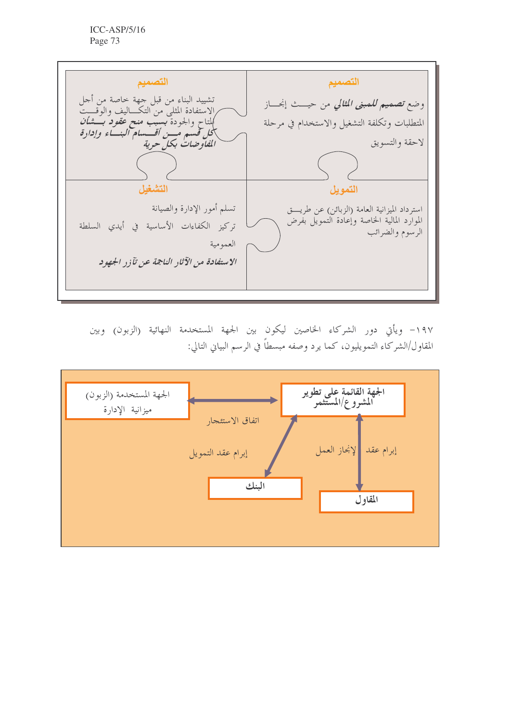التصميم التصميم تشييد البناء من قبل جهة خاصة من أحل<br>الاستفادة المثلى من التكـــاليف والوقــــت<br>كلتاح والجودة **بسيب منح** *عقود بــــشأن* وضع *تصميم للمبنى المثالي* من حيــث إنجـــاز المتطلبات وتكلفة التشغيل والاستخدام في مرحلة بلحل قسم مُسن أقسسام البسـّاء وإدارة<br>الفاوضات بكل حرية لاحقة والتسويق التشغل التمويل تسلم أمور الإدارة والصيانة استرداد الميزانية العامة (الزبائن) عن طريت الموارد المالية الخاصة وإعادة التمويل بفرض تركيز الكفاءات الأساسية في أيدي السلطة الرسوم والضرائب العمومية الاستفادة من الآثار الناجة عن تآزر الجهود

١٩٧- ويأتي دور الشركاء الخاصين ليكون بين الجهة المستخدمة النهائية (الزبون) وبين المقاول/الشركاء التمويليون، كما يرد وصفه مبسطاً في الرسم البياني التالي:

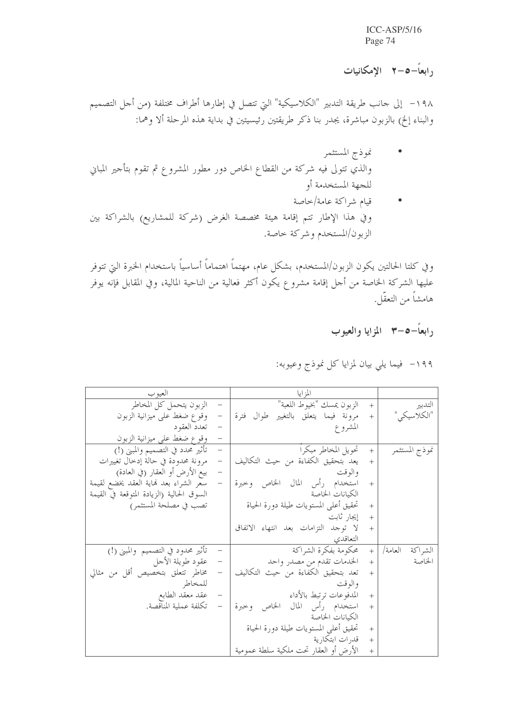رابعاً–0–۲ الإمكانيات

١٩٨ - إلى حانب طريقة التدبير "الكلاسيكية" التي تتصل في إطارها أطراف مختلفة (من أحل التصميم والبناء إلخ) بالزبون مباشرة، يجدر بنا ذكر طريقتين رئيسيتين في بداية هذه المرحلة ألا وهما:

- نموذج المستثمر والذي تتولى فيه شركة من القطاع الخاص دور مطور المشروع ثم تقوم بتأجير المباين للجهة المستخدمة أو
- قيام شراكة عامة/خاصة  $\mathcal{A}$ وفي هذا الإطار تتم إقامة هيئة مخصصة الغرض (شركة للمشاريع) بالشراكة بين الزبون/المستخدم وشركة حاصة.

و في كلتا الحالتين يكون الزبون/المستخدم، بشكل عام، مهتماً اهتماماً أساسياً باستخدام الخبرة التي تتوفر عليها الشركة الخاصة من أحل إقامة مشروع يكون أكثر فعالية من الناحية المالية، وفي المقابل فإنه يوفر هامشاً من التعقّل.

رابعاً–٥–٣ المزايا والعيوب

### ١٩٩- فيما يلي بيان لمزايا كل نموذج وعيوبه:

| العيو ب                                                                  | المزايا                                                 |                    |
|--------------------------------------------------------------------------|---------------------------------------------------------|--------------------|
| الزبون يتحمل كل المخاطر                                                  | الزبون يمسك "بخيوط اللعبة"<br>$+$                       | التدبير            |
| وقوع ضغط على ميزانية الزبون<br>$\qquad \qquad -$                         | مرونة فيما يتعلق بالتغيير طوال فترة<br>$\boldsymbol{+}$ | "الكلاسيكى"        |
| – تعدد العقود                                                            | المشروع                                                 |                    |
| وقوع ضغط على ميزانية الزبون                                              |                                                         |                    |
| تأثير محدد في التصميم والمبني (!)<br>$\equiv$                            | تحويل المخاطر مبكرا<br>$+$                              | نموذج المستثمر     |
| مرونة محدودة في حالة إدخال تغييرات<br>$\qquad \qquad -$                  | يعد بتحقيق الكفاءة من حيث التكاليف<br>$+$               |                    |
| بيع الأرض أو العقار (في العادة)<br>$\mathcal{L}^{\mathcal{L}}$           | و الو قت                                                |                    |
| سعر الشراء بعد نماية العقد يخضع لقيمة<br>$\hspace{0.1mm}-\hspace{0.1mm}$ | استخدام رأس المال الخاص وحبرة<br>$+$                    |                    |
| السوق الحالية (الزيادة المتوقعة في القيمة                                | الكيانات الخاصة                                         |                    |
| تصب في مصلحة المستثمر)                                                   | تحقيق أعلى المستويات طيلة دورة الحياة<br>$^{+}$         |                    |
|                                                                          | إيجار ثابت<br>$+$                                       |                    |
|                                                                          | لا توجد التزامات بعد انتهاء الاتفاق<br>$+$              |                    |
|                                                                          | التعاقدي                                                |                    |
| تأثير محدود في التصميم والمبني (!)                                       | + محكومة بفكرة الشراكة                                  | العامة/<br>الشراكة |
| – عقود طويلة الأجل                                                       | الخدمات تقدم من مصدر واحد<br>$+$                        | الخاصة             |
| مخاطر تتعلق بتخصيص أقل من مثالي<br>$\overline{\phantom{a}}$              | تعد بتحقيق الكفاءة من حيث التكاليف<br>$+$               |                    |
| للمخاطر                                                                  | و الو قت                                                |                    |
| عقد معقد الطابع                                                          | المدفوعات ترتبط بالأداء<br>$\boldsymbol{+}$             |                    |
| تكلفة عملية المناقصة.                                                    | استخدام رأس المال الخاص وحبرة<br>$+$                    |                    |
|                                                                          | الكيانات الخاصة                                         |                    |
|                                                                          | تحقيق أعلى المستويات طيلة دورة الحياة<br>$+$            |                    |
|                                                                          | قدرات ابتكارية<br>$+$                                   |                    |
|                                                                          | الأرض أو العقار تحت ملكية سلطة عمومية<br>$\ddot{}$      |                    |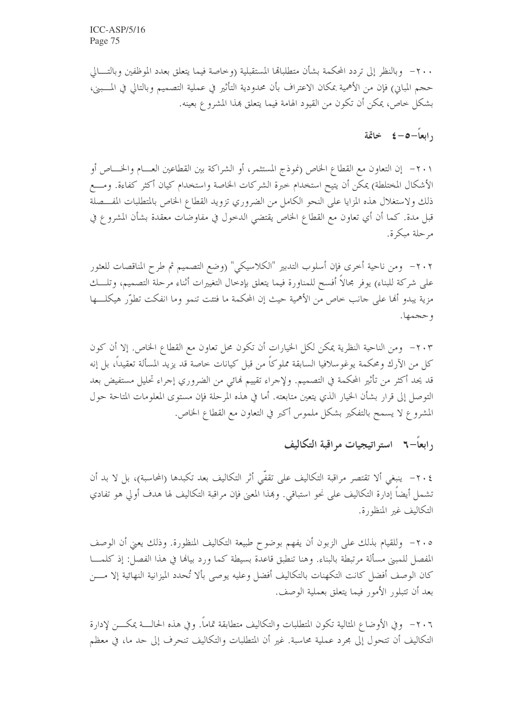٢٠٠ - وبالنظر إلى تردد المحكمة بشأن متطلباقما المستقبلية (وخاصة فيما يتعلق بعدد الموظفين وبالتــــالي حجم المباني) فإن من الأهمية بمكان الاعتراف بأن محدودية التأثير في عملية التصميم وبالتالي في المـــبني، بشكل حاص، يمكن أن تكون من القيود الهامة فيما يتعلق بمذا المشروع بعينه.

 $i = 2 - 3$  خاتمة

٢٠١ - إن التعاون مع القطاع الخاص (نموذج المستثمر، أو الشراكة بين القطاعين العـــام والخــــاص أو الأشكال المختلطة) يمكن أن يتيح استخدام خبرة الشركات الخاصة واستخدام كيان أكثر كفاءة. ومـــع ذلك ولاستغلال هذه المزايا على النحو الكامل من الضروري تزويد القطاع الخاص بالمتطلبات المفسصلة قبل مدة. كما أن أي تعاون مع القطاع الخاص يقتضي الدخول في مفاوضات معقدة بشأن المشروع في مرحلة مبكرة.

٢٠٢- ومن ناحية أخرى فإن أسلوب التدبير "الكلاسيكي" (وضع التصميم ثم طرح المناقصات للعثور على شركة للبناء) يوفر مجالاً أفسح للمناورة فيما يتعلق بإدخال التغييرات أثناء مرحلة التصميم، وتلـــك مزية يبدو أُلها على جانب حاص من الأهمية حيث إن المحكمة ما فتئت تنمو وما انفكت تطوَّر هيكلـــها وحجمها.

٢٠٣ - ومن الناحية النظرية يمكن لكل الخيارات أن تكون محل تعاون مع القطاع الخاص. إلا أن كون كل من الآرك ومحكمة يوغوسلافيا السابقة مملوكاً من قبل كيانات خاصة قد يزيد المسألة تعقيداً، بل إنه قد يحد أكثر من تأثير المحكمة في التصميم. ولإحراء تقييم لهائي من الضروري إجراء تحليل مستفيض بعد التوصل إلى قرار بشأن الخيار الذي يتعين متابعته. أما في هذه المرحلة فإن مستوى المعلومات المتاحة حول المشروع لا يسمح بالتفكير بشكل ملموس أكبر في التعاون مع القطاع الخاص.

### رابعاً–٢ - استه اتيجيات مراقبة التكاليف

٢٠٤ – ينبغي ألا تقتصر مراقبة التكاليف على تقفِّي أثر التكاليف بعد تكبدها (المحاسبة)، بل لا بد أن تشمل أيضاً إدارة التكاليف على نحو استباقي. وبمذا المعنى فإن مراقبة التكاليف لها هدف أولى هو تفادي التكاليف غير المنظورة.

٢٠٥– وللقيام بذلك على الزبون أن يفهم بوضوح طبيعة التكاليف المنظورة. وذلك يعني أن الوصف المفصل للمبنى مسألة مرتبطة بالبناء. وهنا تنطبق قاعدة بسيطة كما ورد بيالها في هذا الفصل: إذ كلمــــا كان الوصف أفضل كانت التكهنات بالتكاليف أفضل وعليه يوصى بألا تُحدد الميزانية النهائية إلا مــــن بعد أن تتبلور الأمور فيما يتعلق بعملية الوصف.

٢٠٦- وفي الأوضاع المثالية تكون المتطلبات والتكاليف متطابقة تماماً. وفي هذه الحالـــة يمكــــن لإدارة التكاليف أن تتحول إلى مجرد عملية محاسبة. غير أن المتطلبات والتكاليف تنحرف إلى حد ما، في معظم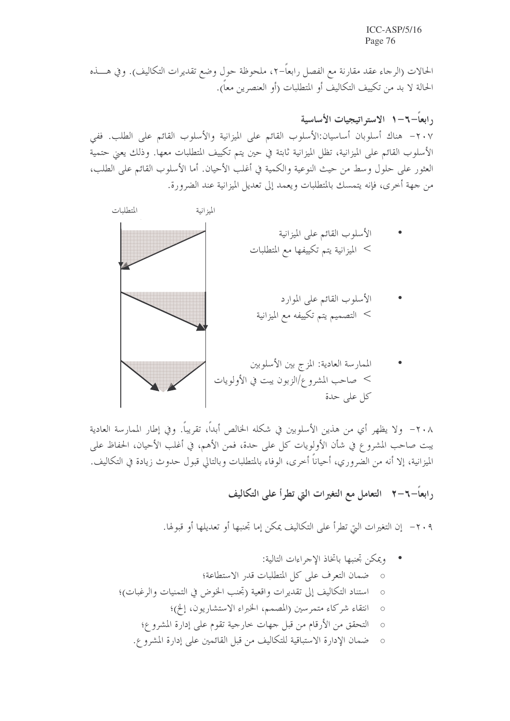الحالات (الرجاء عقد مقارنة مع الفصل رابعاً–٢، ملحوظة حول وضع تقديرات التكاليف). وفي هــــذه الحالة لا بد من تكييف التكاليف أو المتطلبات (أو العنصرين معاً).

رابعاً–٦–١ الاستراتيجيات الأساسية ٢٠٧– هناك أسلوبان أساسيان:الأسلوب القائم على الميزانية والأسلوب القائم على الطلب. ففي الأسلوب القائم على الميزانية، تظل الميزانية ثابتة في حين يتم تكييف المتطلبات معها. وذلك يعني حتمية العثور على حلول وسط من حيث النوعية والكمية في أغلب الأحيان. أما الأسلوب القائم على الطلب، من جهة أحرى، فإنه يتمسك بالمتطلبات ويعمد إلى تعديل الميزانية عند الضرورة.



٢٠٨ - ولا يظهر أي من هذين الأسلوبين في شكله الخالص أبداً، تقريباً. وفي إطار الممارسة العادية يبت صاحب المشروع في شأن الأولويات كل على حدة، فمن الأهم، في أغلب الأحيان، الحفاظ على الميزانية، إلا أنه من الضروري، أحياناً أخرى، الوفاء بالمتطلبات وبالتالي قبول حدوث زيادة في التكاليف.

رابعاً−٦−٦ التعامل مع التغيرات التي تطرأ على التكاليف

٢٠٩ - إن التغيرات التيّ تطرأ على التكاليف يمكن إما تجنبها أو تعديلها أو قبولها.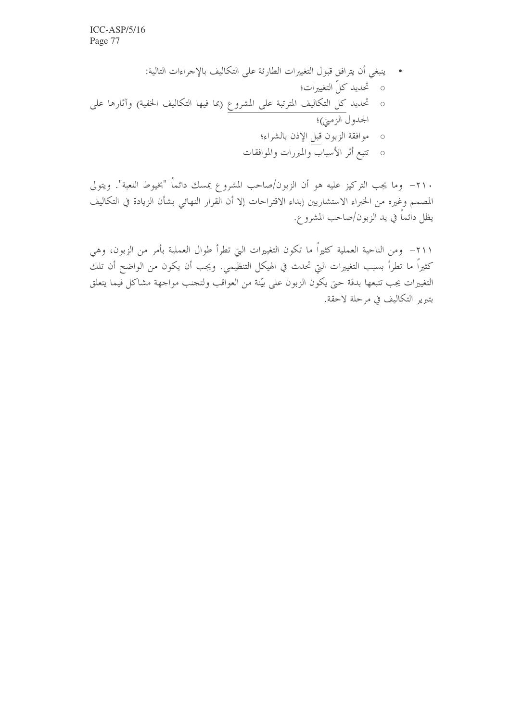٢١٠- وما يجب التركيز عليه هو أن الزبون/صاحب المشروع يمسك دائماً "بخيوط اللعبة". ويتولى المصمم وغيره من الخبراء الاستشاريين إبداء الاقتراحات إلا أن القرار النهائي بشأن الزيادة في التكاليف يظل دائماً في يد الزبون/صاحب المشرو ع.

٢١١– ومن الناحية العملية كثيراً ما تكون التغييرات التي تطرأ طوال العملية بأمر من الزبون، وهي كثيراً ما تطرأ بسبب التغييرات التي تحدث في الهيكل التنظيمي. ويجب أن يكون من الواضح أن تلك التغييرات يجب تتبعها بدقة حتى يكون الزبون على بيّنة من العواقب ولتحنب مواجهة مشاكل فيما يتعلق بتبرير التكاليف في مرحلة لاحقة.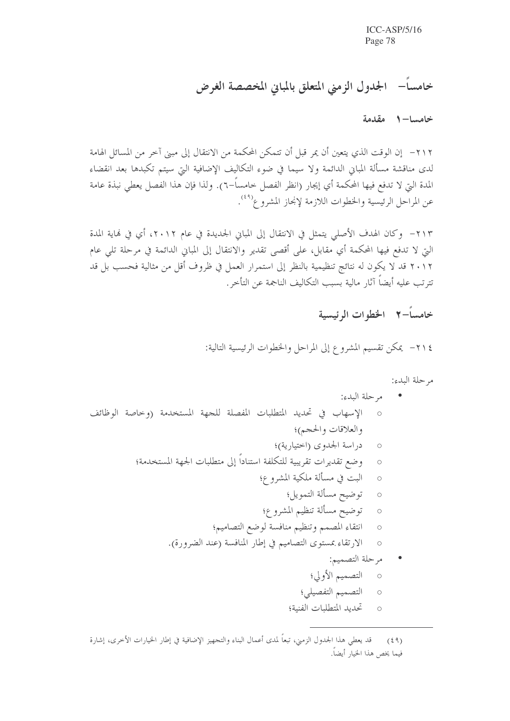# خامساً– الجدول الزمني المتعلق بالمبايي المخصصة الغرض

خامسا- ١ مقدمة

٢١٢ - إن الوقت الذي يتعين أن يمر قبل أن تتمكن المحكمة من الانتقال إلى مبني آخر من المسائل الهامة لدى مناقشة مسألة المباني الدائمة ولا سيما في ضوء التكاليف الإضافية التي سيتم تكبدها بعد انقضاء المدة التي لا تدفع فيها المحكمة أي إيجار (انظر الفصل حامساً–٦). ولذا فإن هذا الفصل يعطي نبذة عامة عن المراحل الرئيسية والخطوات اللازمة لإنجاز المشروع<sup>(٤٩)</sup>.

٢١٣– وكان الهدف الأصلي يتمثل في الانتقال إلى المباني الجديدة في عام ٢٠١٢، أي في نماية المدة التي لا تدفع فيها المحكمة أي مقابل، على أقصى تقدير والانتقال إلى المباني الدائمة في مرحلة تلي عام ٢٠١٢ قد لا يكون له نتائج تنظيمية بالنظر إلى استمرار العمل في ظروف أقل من مثالية فحسب بل قد تترتب عليه أيضاً آثار مالية بسبب التكاليف الناجمة عن التأخر .

خامساً–٢ الخطوات الرئيسية

٢١٤ - يمكن تقسيم المشروع إلى المراحل والخطوات الرئيسية التالية:

مرحلة البدء:

قد يعطي هذا الجدول الزمني، تبعاً لمدى أعمال البناء والتجهيز الإضافية في إطار الخيارات الأخرى، إشارة  $(59)$ فيما يخص هذا الخيار أيضاً.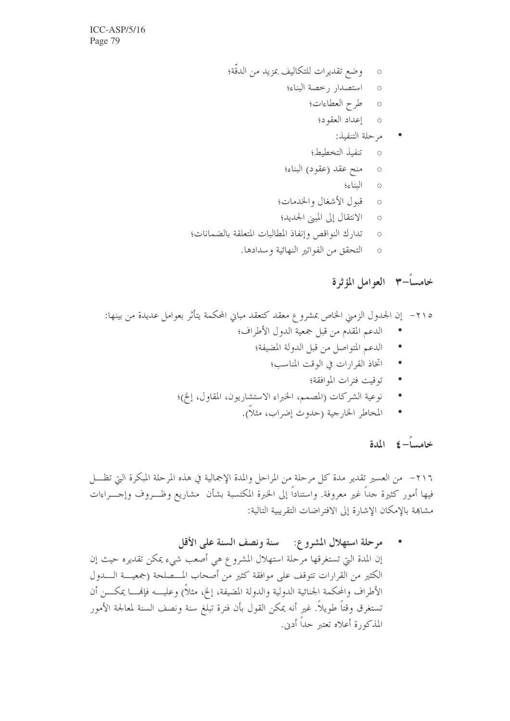- طرح العطاءات؛  $\circ$
- إعداد العقود؛  $\circ$ 
	- مرحلة التنفيذ:
	- تنفيذ التخطيط؛  $\circ$
- منح عقد (عقود) البناء؛  $\circ$ 
	- البناء؛  $\circ$
- قبول الأشغال والخدمات؛  $\circ$
- الانتقال إلى المبين الجديد؛  $\bigcirc$
- تدارك النواقص وإنفاذ المطالبات المتعلقة بالضمانات؛  $\circ$ 
	- التحقق من الفواتير النهائية وسدادها.  $\circ$

## خامساًًً + العوامل المؤثرة

- الدعم المقدم من قبل جمعية الدول الأطراف؛
	- الدعم المتواصل من قبل الدولة المضيفة؛
		- اتخاذ القرارات في الوقت المناسب؛  $\bullet$ 
			- توقيت فترات الموافقة؛
- نوعية الشركات (المصمم، الخبراء الاستشاريون، المقاول، إلخ)؛
	- المخاطر الخارجية (حدوث إضراب، مثلاً).  $\bullet$

#### خامساً = كالمدة

٢١٦- من العسير تقدير مدة كل مرحلة من المراحل والمدة الإجمالية في هذه المرحلة المبكرة التي تظـــل فيها أمور كثيرة حداً غير معروفة. واستناداً إلى الخبرة المكتسبة بشأن مشاريع وظـــروف وإحــــراءات مشاهِمة بالإمكان الإشارة إلى الافتراضات التقريبية التالية:

مرحلة استهلال المشروع: مسنة ونصف السنة على الأقل إن المدة التي تستغرقها مرحلة استهلال المشروع هي أصعب شيء يمكن تقديره حيث إن الكثير من القرارات تتوقف على موافقة كثير من أصحاب المـــصلحة (جمعيـــة الــــدول الأطراف والمحكمة الجنائية الدولية والدولة المضيفة، إلخ، مثلاً) وعليــــه فإنهــــا يمكــــن أن تستغرق وقتاً طويلاً. غير أنه يمكن القول بأن فترة تبلغ سنة ونصف السنة لمعالجة الأمور المذكورة أعلاه تعتبر حداً أدن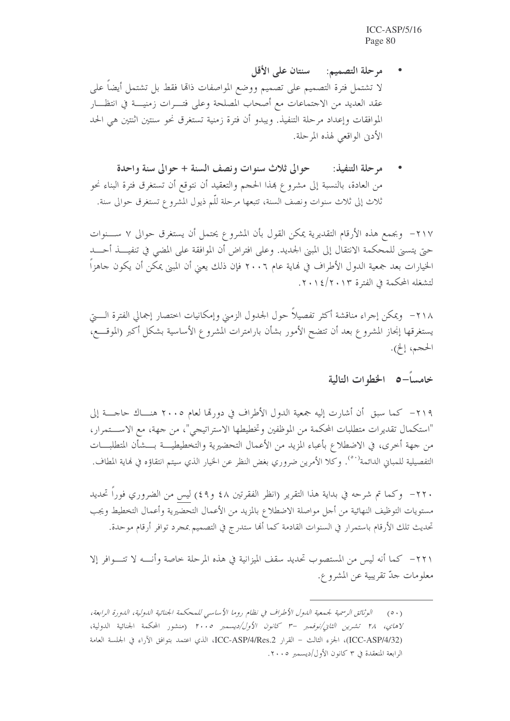- مرحلة التصميم: سنتان على الأقل لا تشتمل فترة التصميم على تصميم ووضع المواصفات ذاقما فقط بل تشتمل أيضاً على عقد العديد من الاحتماعات مع أصحاب المصلحة وعلى فتـــرات زمنيــــة في انتظـــار الموافقات وإعداد مرحلة التنفيذ. ويبدو أن فترة زمنية تستغرق نحو سنتين اثنتين هي الحد الأدنى الواقعي لهذه المرحلة.
- مرحلة التنفيذ: مصحوالي ثلاث سنوات ونصف السنة + حوالي سنة واحدة من العادة، بالنسبة إلى مشروع هذا الحجم والتعقيد أن نتوقع أن تستغرق فترة البناء نحو ثلاث إلى ثلاث سنوات ونصف السنة، تتبعها مرحلة للّم ذيول المشروع تستغرق حوالي سنة.

٢١٧– وبجمع هذه الأرقام التقديرية يمكن القول بأن المشروع يحتمل أن يستغرق حوالي ٧ ســـنوات حتى يتسنى للمحكمة الانتقال إلى المبنى الجديد. وعلى افتراض أن الموافقة على المضى في تنفيـــذ أحـــد الخيارات بعد جمعية الدول الأطراف في نهاية عام ٢٠٠٦ فإن ذلك يعيّ أن المبيّ يمكن أن يكون حاهزاً لتشغله المحكمة في الفترة ٢٠١٤/٢٠١٣.

٢١٨ - ويمكن إجراء مناقشة أكثر تفصيلاً حول الجدول الزمني وإمكانيات اختصار إجمالي الفترة الــــتي يستغرقها إنحاز المشروع بعد أن تتضح الأمور بشأن بارامترات المشروع الأساسية بشكل أكبر (الموقـــع، الحجم، إلخ).

خامساً–٥ الخطوات التالية

٢١٩– كما سبق أن أشارت إليه جمعية الدول الأطراف في دورتما لعام ٢٠٠٥ هنـــاك حاجــــة إلى "استكمال تقديرات متطلبات المحكمة من الموظفين وتخطيطها الاستراتيجي"، من جهة، مع الاســـتمرار، من جهة أحرى، في الاضطلاع بأعباء المزيد من الأعمال التحضيرية والتخطيطيـــة بــــشأن المتطلبــــات التفصيلية للمباني الدائمة'°′. وكلا الأمرين ضروري بغض النظر عن الخيار الذي سيتم انتقاؤه في نماية المطاف.

٢٢٠ - وكما تم شرحه في بداية هذا التقرير (انظر الفقرتين ٤٨ و٤٩) ليس من الضروري فوراً تحديد مستويات التوظيف النهائية من أجل مواصلة الاضطلاع بالمزيد من الأعمال التحضيرية وأعمال التخطيط ويجب تحديث تلك الأرقام باستمرار في السنوات القادمة كما أُلها ستدرج في التصميم بمجرد توافر أرقام موحدة.

٢٢١ – كما أنه ليس من المستصوب تحديد سقف الميزانية في هذه المرحلة خاصة وأنــــه لا تتــــوافر إلا معلومات حدّ تقريبية عن المشروع.

<sup>(</sup>٥٠) الوثائق الرسمية لجمعية اللدول الأطراف في نظام روما الأساسي للمحكمة الجنائية اللدولية، اللدورة الرابعة، لاهاي، ٢٨ تشرين الثاني/نوفيمبر –٣ كانون الأول/ديسمبر ٢٠٠٥ (منشور المحكمة الجنائية الدولية، (ICC-ASP/4/32)، الجزء الثالث – القرار ICC-ASP/4/Res.2، الذي اعتمد بتوافق الآراء في الجلسة العامة الرابعة المنعقدة في ٣ كانون الأول/ديسمبر ٢٠٠٥.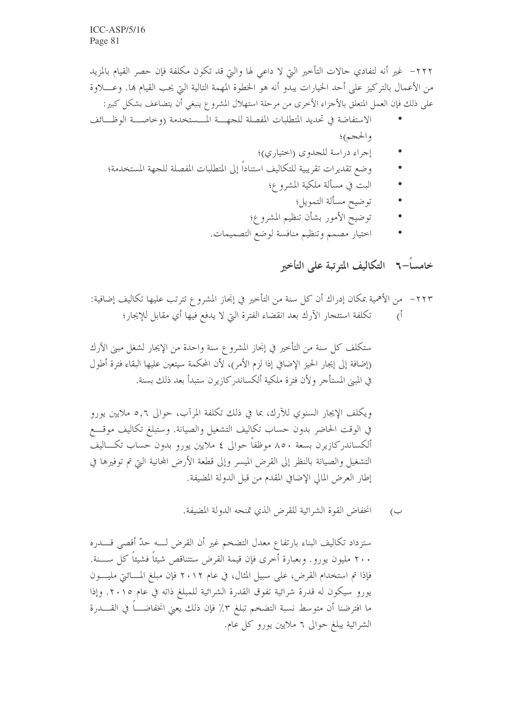٢٢٢– غير أنه لتفادي حالات التأخير التي لا داعي لها والتي قد تكون مكلفة فإن حصر القيام بالمزيد من الأعمال بالتركيز على أحد الخيارات يبدو أنه هو الخطوة المهمة التالية التي يجب القيام ها. وعــــلاوة على ذلك فإن العمل المتعلق بالأجزاء الأخرى من مرحلة استهلال المشروع ينبغي أن يتضاعف بشكل كبير:

- الاستفاضة في تحديد المتطلبات المفصلة للجهـــة المـــستخدمة (وخاصـــة الوظـــائف والحجم)؛
	- إجراء دراسة للجدوى (اختياري)؛
	- وضع تقديرات تقريبية للتكاليف استناداً إلى المتطلبات المفصلة للجهة المستخدمة؛
		- البت في مسألة ملكية المشروع؛
			- توضيح مسألة التمويل؛
		- توضيح الأمور بشأن تنظيم المشروع؛
		- اختيار مصمم وتنظيم منافسة لوضع التصميمات.

خامساً–٢ التكاليف المترتبة على التأخير

ستكلف كل سنة من التأخير في إنجاز المشروع سنة واحدة من الإيجار لشغل مبنى الآرك (إضافة إلى إيجار الحيز الإضافي إذا لزم الأمر)، لأن المحكمة سيتعين عليها البقاء فترة أطول في المبين المستأجر ولأن فترة ملكية ألكساندر كازيرن ستبدأ بعد ذلك بسنة.

ويكلف الإيجار السنوي للآرك، بما في ذلك تكلفة المرآب، حوالي ٥٫٦ ملايين يورو في الوقت الحاضر بدون حساب تكاليف التشغيل والصيانة. وستبلغ تكاليف موقسع ألكساندركازيرن بسعة ٨٥٠ موظفاً حوالي ٤ ملايين يورو بدون حساب تكـــاليف التشغيل والصيانة بالنظر إلى القرض الميسر وإلى قطعة الأرض المحانية التي تم توفيرها في إطار العرض المالي الإضافي المقدم من قبل الدولة المضيفة.

> انخفاض القوة الشرائية للقرض الذي تمنحه الدولة المضيفة. ب)

ستزداد تكاليف البناء بارتفاع معدل التضخم غير أن القرض لـــه حدّ أقصى قــــدره ٢٠٠ مليون يورو. وبعبارة أخرى فإن قيمة القرض ستتناقص شيئاً فشيئاً كل ســــنة. فإذا تم استخدام القرض، على سبيل المثال، في عام ٢٠١٢ فإن مبلغ المسائتي مليــــون يورو سيكون له قدرة شرائية تفوق القدرة الشرائية للمبلغ ذاته في عام ٢٠١٥. وإذا ما افترضنا أن متوسط نسبة التضخم تبلغ ٣٪ فإن ذلك يعني انخفاضــــا في القـــــدرة الشرائية يبلغ حوالي ٦ ملايين يورو كل عام.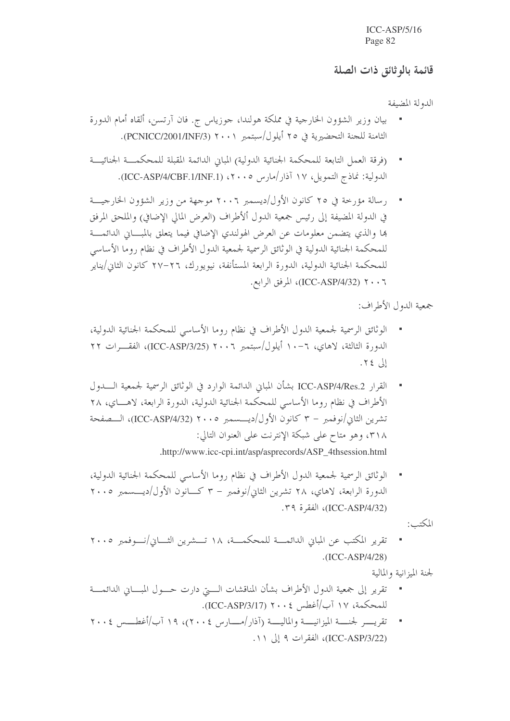#### قائمة بالوثائق ذات الصلة

الدولة المضيفة

- بيان وزير الشؤون الخارجية في مملكة هولندا، جوزياس ج. فان آرتسن، ألقاه أمام الدورة الثامنة للجنة التحضيرية في ٢٥ أيلول/سبتمبر ٢٠٠١ (PCNICC/2001/INF/3).
- (فرقة العمل التابعة للمحكمة الجنائية الدولية) المبايي الدائمة المقبلة للمحكمـــة الجنائيـــة الدولية: نماذج التمويل، ١٧ آذار/مارس ٢٠٠٥، (ICC-ASP/4/CBF.1/INF.1).
- رسالة مؤرخة في ٢٥ كانون الأول/ديسمبر ٢٠٠٦ موجهة من وزير الشؤون الخارجيـــة في الدولة المضيفة إلى رئيس جمعية الدول ألأطراف (العرض المالي الإضافي) والملحق المرفق ها والذي يتضمن معلومات عن العرض الهولندي الإضافي فيما يتعلق بالمبساني الدائمسة للمحكمة الجنائية الدولية في الوثائق الرسمية لجمعية الدول الأطراف في نظام روما الأساسي للمحكمة الجنائية الدولية، الدورة الرابعة المستأنفة، نيويورك، ٢٦–٢٧ كانون الثاني/يناير ٢٠٠٦ (ICC-ASP/4/32) المرفق الرابع.

جمعية الدول الأطراف:

- الوثائق الرسمية لجمعية الدول الأطراف في نظام روما الأساسي للمحكمة الجنائية الدولية، الدورة الثالثة، لاهاي، ٦-١٠ أيلول/سبتمبر ٢٠٠٦ (ICC-ASP/3/25)، الفقــرات ٢٢ إلى ٢٤.
- القرار ICC-ASP/4/Res.2 بشأن المبابي الدائمة الوارد في الوثائق الرسمية لجمعية الــــدول الأطراف في نظام روما الأساسي للمحكمة الجنائية الدولية، الدورة الرابعة، لاهـــاي، ٢٨ تشرين الثاني/نوفمبر – ٣ كانون الأول/ديــــسمبر ٢٠٠٥ (ICC-ASP/4/32)، الـــصفحة ٣١٨، وهو متاح على شبكة الإنترنت على العنوان التالي: .http://www.icc-cpi.int/asp/asprecords/ASP\_4thsession.html
- الوثائق الرسمية لجمعية الدول الأطراف في نظام روما الأساسي للمحكمة الجنائية الدولية، الدورة الرابعة، لاهاي، ٢٨ تشرين الثاني/نوفمبر – ٣ كــانون الأول/ديــــسمبر ٢٠٠٥ (ICC-ASP/4/32)، الفقرة ٣٩.

المكتب:

تقرير المكتب عن المباني الدائمــــة للمحكمـــة، ١٨ تـــشرين الثــــاني/نــــوفمبر ٢٠٠٥  $.(ICC-ASP/4/28)$ 

لجنة الميزانية والمالية

- تقرير إلى جمعية الدول الأطراف بشأن المناقشات الستي دارت حسول المبساني الدائمسة للمحكمة، ١٧ آب/أغطس ٢٠٠٤ (ICC-ASP/3/17).
- تقريب لجنسة الميزانيسة والماليسة (آذار /مسارس ٢٠٠٤)، ١٩ آب/أغطسس ٢٠٠٤  $\mathcal{A}$ (ICC-ASP/3/22)، الفقرات ۹ إلى ١١.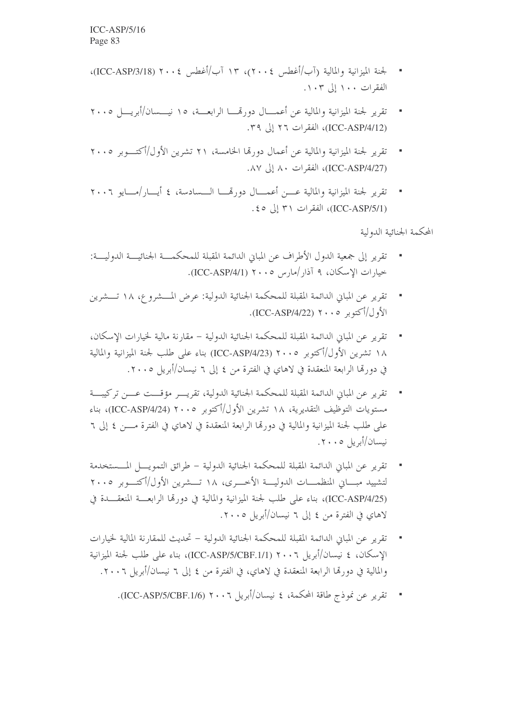- لجنة الميزانية والمالية (آب/أغطس ٢٠٠٤)، ١٣ آب/أغطس ٢٠٠٤ (ICC-ASP/3/18)، الفقرات ۱۰۰ إلى ۱۰۳.
- تقرير لجنة الميزانية والمالية عن أعمـــال دورتمــــا الرابعـــة، ١٥ نيــــسان/أبريــــل ٢٠٠٥ (ICC-ASP/4/12)، الفقرات ٢٦ إلى ٣٩.
- تقرير لجنة الميزانية والمالية عن أعمال دورتها الخامسة، ٢١ تشرين الأول/أكتـــوبر ٢٠٠٥ (ICC-ASP/4/27)، الفقرات ٨٠ إلى ٨٧.
- تقرير لجنة الميزانية والمالية عسن أعمـــال دو, قمـــا الـــسادسة، ٤ أيـــار/مـــايو ٢٠٠٦ (ICC-ASP/5/1)، الفقرات ٣١ إلى ٤٥.

المحكمة الجنائية الدولية

- تقرير إلى جمعية الدول الأطراف عن المبايي الدائمة المقبلة للمحكمـــة الجنائيـــة الدوليـــة: خيارات الإسكان، ٩ آذار /مارس ٢٠٠٥ (ICC-ASP/4/1).
- تقرير عن المباين الدائمة المقبلة للمحكمة الجنائية الدولية: عرض المسشروع، ١٨ تـــشرين الأول/أكتوبر ٢٠٠٥ (ICC-ASP/4/22).
- تقرير عن المباين الدائمة المقبلة للمحكمة الجنائية الدولية مقارنة مالية لخيارات الاسكان، ١٨ تشرين الأول/أكتوبر ٢٠٠٥ (ICC-ASP/4/23) بناء على طلب لجنة الميزانية والمالية في دورتها الرابعة المنعقدة في لاهاي في الفترة من ٤ إلى ٦ نيسان/أبريل ٢٠٠٥.
- تقرير عن المباين الدائمة المقبلة للمحكمة الجنائية الدولية، تقريـــر مؤقـــت عـــن تركيبـــة مستويات التوظيف التقديرية، ١٨ تشرين الأول/أكتوبر ٢٠٠٥ (ICC-ASP/4/24)، بناء على طلب لجنة الميزانية والمالية في دورتما الرابعة المنعقدة في لاهاي في الفترة مــــن ٤ إلى ٦ نيسان/أبريل ٢٠٠٥.
- تقرير عن المباني الدائمة المقبلة للمحكمة الجنائية الدولية طرائق التمويــــل المـــستخدمة لتشييد مبساني المنظمسات الدوليسة الأخسري، ١٨ تسشرين الأول/أكتسوبر ٢٠٠٥ (ICC-ASP/4/25)، بناء على طلب لجنة الميزانية والمالية في دورها الرابعــة المنعقـــدة في لاهاي في الفترة من ٤ إلى ٦ نيسان/أبريل ٢٠٠٥.
- تقرير عن المباني الدائمة المقبلة للمحكمة الجنائية الدولية تحديث للمقارنة المالية لخيارات الإسكان، ٤ نيسان/أبريل ٢٠٠٦ (ICC-ASP/5/CBF.1/1)، بناء على طلب لجنة الميزانية والمالية في دورِها الرابعة المنعقدة في لاهاي، في الفترة من ٤ إلى ٦ نيسان/أبريل ٢٠٠٦.
	- تقرير عن نموذج طاقة المحكمة، ٤ نيسان/أبريل ٢٠٠٦ (ICC-ASP/5/CBF.1/6).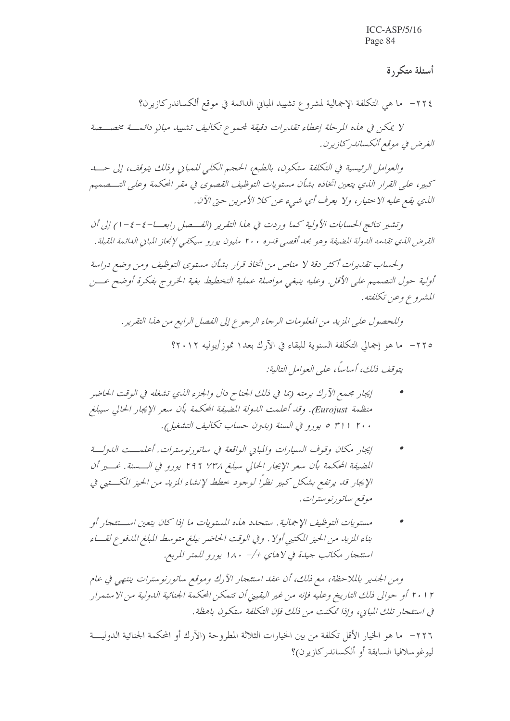### أسئلة متكررة

٢٢٤ – ما هي التكلفة الإجمالية لمشروع تشييد المباني الدائمة في موقع ألكساندركازيرن؟

لا يمكن في هذه المرحلة إعطاء تقديرات دقيقة لمحموع تكاليف تشييد مبانٍ دائمت مخصصة الغرض في موقع ألكساندر كازيرن.

والعوامل الرئيسية في التكلفة ستكون، بالطبع، الحجم الكلبي للمباني وذلك يتوقف، إلى حسد كبير، على القرار الذي يتعين اتخاذه بشأن مستويات التوظيف القصوى في مقر المحكمة وعلى التـــصميم الذي يقع عليه الاحتيار، ولا يعرف أي شيء عن كلا الأمرين حتى الآن.

وتشير نتائج الحسابات الأولية كما وردت في هذا التقرير (الفسصل رابعـــا-٤-٤-١) إلى أن القرض الذي تقدمه الدولة المضيفة وهو بحد أقصبي قدره ٢٠٠ مليون يورو سيكفى لإنجاز المبايي الدائمة القبلة .

ولحساب تقديرات أكثر دقة لا مناص من اتخاذ قرار بشأن مستوى التوظيف ومن وضع دراسة أولية حول التصميم على الأقل. وعليه ينبغي مواصلة عملية التخطيط بغية الخروج بفكرة أوضح عـــن المشيروع وعين تكلفته.

وللحصول على المزيد من المعلومات الرجاء الرجوع إلى الفصل الرابع من هذا التقرير . ٢٢٥ – ما هو إجمالي التكلفة السنوية للبقاء في الآرك بعد١ تموز/يوليه ٢٠١٢؟

يتوقف ذلك، أساساً، علي العوامل التالية:

- إيجار مجمع الآرك برمته (بما في ذلك الجناح دال والجزء الذي تشغله في الوقت الحاضر منظمة Eurojust). وقد أعلمت الدولة المضيفة المحكمة بأن سعر الإيجار الحالي سيبلغ ٢٠٠ ١ ٣١ ٥ يورو في السنة (بدون حساب تكاليف التشغيل).
- إيجار مكان وقوف السيارات والمبايي الواقعة في ساتورنوسترات. أعلمت اللهولسة المضيفة المحكمة بأن سعر الإيجار الحالي سيلغ ٢٩٦ ٢٩٦ يورو في السسنة. غسير أن الإيجار قد يرتفع بشكل كبير نظراً لوجود حطط لإنشاء المزيد من الحيز المكتبي في موقع ساتورنوسترات.
- مستويات التوظيف الإجمالية . ستحدد هذه المستويات ما إذا كان يتعين است عجار أو بناء المزيد من الحيز المكتبي أولا . وفي الوقت الحاضر يبلغ متوسط المبلغ المدفوع لقساء استئجار مكاتب جيدة في لاهاي +/- ١٨٠ يورو للمتر المربع.

ومن الجدير بالملاحظة، مع ذلك، أن عقد استئجار الآرك وموقع ساتورنوسترات ينتهي في عام ٢٠١٢ أو حوالي ذلك التاريخ وعليه فإنه من غير اليقيني أن تتمكن المحكمة الجنائية الدولية من الاستمرار في استئجار تلك المبايي، وإذا تمكنت من ذلك فإن التكلفة ستكون باهظة.

٢٢٦– ما هو الخيار الأقل تكلفة من بين الخيارات الثلاثة المطروحة (الآرك أو المحكمة الجنائية الدوليـــة ليوغو سلافيا السابقة أو ألكساندر كازيرن؟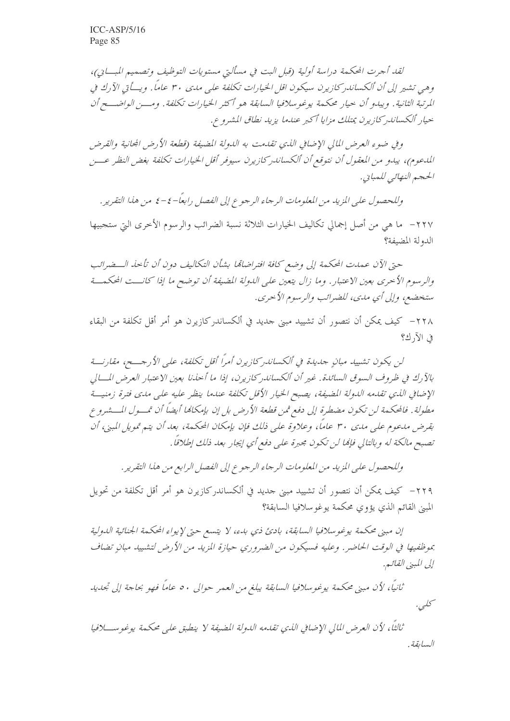لقد أجرت المحكمة دراسة أولية (قبل البت في مسألتي مستويات التوظيف وتصميم المبايي)، وهي تشير إلى أن ألكساندر كازيرن سيكون اقل الخيارات تكلفة على مدى ٣٠ عاماً. ويسأتي الآرك في المرتبة الثانية. ويبدو أن حيار محكمة يوغوسلافيا السابقة هو أكثر الخيارات تكلفة. ومسن الواضــح أن حيار ألكساندر كازيرن بمتلك مزايا أكبر عندما يزيد نطاق المشروع.

و في ضوء العرض المالي الإضافي الذي تقدمت به الدولة المضيفة (قطعة الأرض المحانية والقرض المدعوم)، يبدو من المعقول أن نتوقع أن ألكساندر كازيرن سيوفر أقل الخيارات تكلفة بغض النظر عسن الحجم النهائبي للمبايي.

وللحصول على المزيد من المعلومات الرجاء الرجوع إلى الفصل رابعاً–٤–٤ من هذا التقرير. ٢٢٧– ما هي من أصل إجمالي تكاليف الخيارات الثلاثة نسبة الضرائب والرسوم الأخرى التي ستجبيها الدولة المضيفة؟

حتى الآن عمدت المحكمة إلى وضع كافة افتراضاتها بشأن التكاليف دون أن تأخذ الــضرائب والرسوم الأحرى بعين الاعتبار . وما زال يتعين على الدولة المضيفة أن توضح ما إذا كانـــت المحكمـــة ستخضع، وإلى أي مدى، للضرائب والرسوم الأحرى.

٢٢٨– كيف يمكن أن نتصور أن تشييد مبنى حديد في ألكساندركازيرن هو أمر أقل تكلفة من البقاء في الآ, ك9

لن يكون تشييد مبانٍ جديدة في ألكساندر كازيرن أمراً أقل تكلفة، على الأرجـــح، مقارنـــة بالآرك في ظروف السوق السائدة . غير أن ألكساندر كازيرن، إذا ما أحذنا بعين الاعتبار العرض المسالي الإضافي الذي تقدمه الدولة المضيفة، يصبح الخيار الأقل تكلفة عندما ينظر عليه على مدى فترة زمنية مطولة . فالمحكمة لن تكون مضطرة إلى دفع ثمن قطعة الأرض بل إن بإمكانما أيضاً أن تمــول المـــشرو ع بقرض مدعوم على مدى ٣٠ عاماً، وعلاوة على ذلك فإن بإمكان المحكمة، بعد أن يتم تمويل المبنى، أن تصبح مالكة له وبالتالي فإمًا لن تكون مجبرة على دفع أي إيجار بعد ذلك إطلاقاً.

وللحصول على المزيد من المعلومات الرجاء الرجوع إلى الفصل الرابع من هذا التقرير .

٢٢٩– كيف يمكن أن نتصور أن تشييد مبني جديد في ألكساندر كازيرن هو أمر أقل تكلفة من تحويل المبني القائم الذي يؤوي محكمة يوغو سلافيا السابقة؟

إن مبني محكمة يوغوسلافيا السابقة، بادئ ذي بدء، لا يتسع حتى لإيواء المحكمة الجنائية الدولية بموظفيها في الوقت الحاضر . وعليه فسيكون من الضروري حيازة المزيد من الأرض لتشييد مبانٍ تضاف إلى المبنى القائيق.

ثانياً، لأن مبنى محكمة يوغوسلافيا السابقة يبلغ من العمر حوالي ٥٠ عاماً فهو بحاجة إلى تجديد كىلى.

تْالِثَاً، لأن العرض المالي الإضافي الذي تقدمه الدولة المضيفة لا ينطبق على محكمة يوغوســــلافيا السابقة .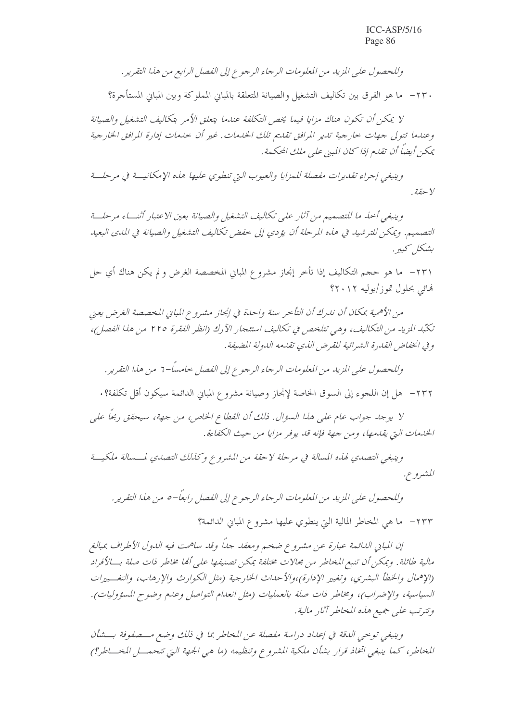وللحصول على المزيد من المعلومات الرجاء الرجوع إلى الفصل الرابع من هذا التقرير .

٢٣٠ - ما هو الفرق بين تكاليف التشغيل والصيانة المتعلقة بالمباني المملوكة وبين المباني المستأجرة؟

لا يمكن أن تكون هناك مزايا فيما يخص التكلفة عندما يتعلق الأمر بتكاليف التشغيل والصيانة وعندما تتولى جهات حارجية تدير المرافق تقديم تلك الخدمات. غير أن حدمات إدارة المرافق الخارجية يمكن أيضاً أن تقدم إذا كان المبنى على ملك المحكمة.

وينبغي إجراء تقديرات مفصلة للمزايا والعيوب التي تنطوي عليها هذه الإمكانيسة في مرحلسة Y حقة .

وينبغي أخذ ما للتصميم من آثار على تكاليف التشغيل والصيانة بعين الاعتبار أثنساء مرحلسة التصميم. ويمكن للترشيد في هذه المرحلة أن يؤدي إلى خفض تكاليف التشغيل والصيانة في المدى البعيد بشكل كبير .

٢٣١ - ما هو حجم التكاليف إذا تأخر إنجاز مشروع المباني المخصصة الغرض و لم يكن هناك أي حل نهائي بحلول تموز/يوليه ٢٠١٢؟

من الأهمية بمكان أن ندرك أن التأخر سنة واحدة في إنجاز مشروع المباني المخصصة الغرض يعني تكتّبه المزيد من التكاليف، وهي تتلخص في تكاليف استئجار الآرك (انظر الفقرة ٢٢٥ من هذا الفصل)، و في انخفاض القدرة الشرائية للقرض الذي تقدمه الدولة المضيفة.

وللحصول على المزيد من المعلومات الرجاء الرجوع إلى الفصل خامساً-1° من هذا التقرير.

٢٣٢ - هل إن اللجوء إلى السوق الخاصة لإنجاز وصيانة مشروع المباني الدائمة سيكون أقل تكلفة؟ .

لا يوجد جواب عام على هذا السؤال. ذلك أن القطاع الخاص، من جهة، سيحقق ربحاً على الخدمات التي يقدمها، ومن جهة فإنه قد يوفر مزايا من حيث الكفاءة.

وينبغي التصدي لهذه المسالة في مرحلة لاحقة من المشروع وكذلك التصدي لمسسالة ملكيــة المشيرو ع.

وللحصول على المزيد من المعلومات الرجاء الرجوع إلى الفصل رابعًا–٥ من هذا التقرير.

٢٣٣ - ما هي المخاطر المالية التي ينطوي عليها مشروع المباني الدائمة؟

إن المباني الدائمة عبارة عن مشروع ضخم ومعقد جلًّا وقد ساهمت فيه الدول الأطراف بمبالغ مالية طائلة. ويمكن أن تنبع المخاطر من مجالات مختلفة يمكن تصنيفها على ألها مخاطر ذات صلة بـــالأفراد (الإهمال والخطأ البشري، وتغيير الإدارة)،والأحداث الخارجية (مثل الكوارث والإرهاب، والتغسييرات السياسية، والإضراب)، ومخاطر ذات صلة بالعمليات (مثل انعدام التواصل وعدم وضوح المسؤوليات). وتترتب على جميع هذه المخاطر آثار مالية.

وينبغي توحي اللقة في إعداد دراسة مفصلة عن المخاطر بما في ذلك وضع مـــصفوفة بـــشأن المخاطر، كما ينبغي اتخاذ قرار بشأن ملكية المشروع وتنظيمه (ما هي الجهة التي تتحمـــل المخـــاطر؟)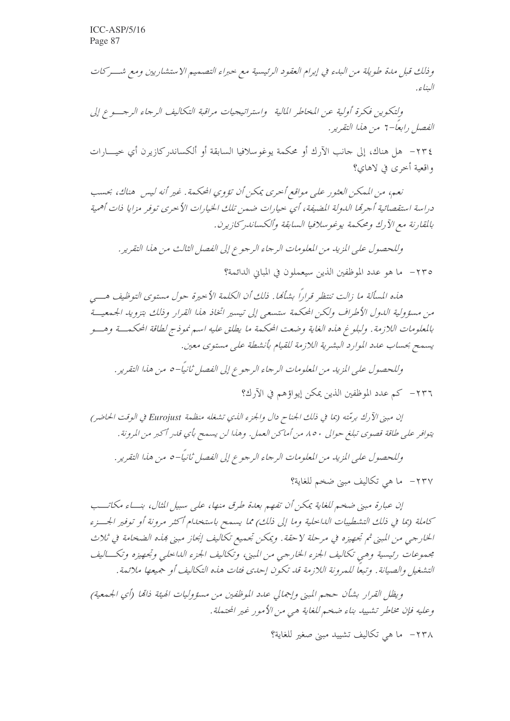وذلك قبل مدة طويلة من البدء في إبرام العقود الرئيسية مع حبراء التصميم الاستشاريين ومع شـــركات البناء.

ولتكوين فكرة أولية عن المخاطر المالية واستراتيجيات مراقبة التكاليف الرجاء الرجب وع إلى الفصل رابعاً-7 من هذا التقرير .

٢٣٤ - هل هناك، إلى حانب الآرك أو محكمة يوغوسلافيا السابقة أو ألكساندركازيرن أي حيــــارات واقعية أخرى في لاهاي؟

نعيه، من المعكن العثور علي مواقع أحرى يمكن أن تؤوى المحكمة. غير أنه ليس هناك، بحسب دراسة استقصائية أجرتما الدولة المضيفة، أي حيارات ضمن تلك الخيارات الأحرى توفر مزايا ذات أهمية بالمقارنة مع الآرك ومحكمة يوغوسلافيا السابقة وألكساندر كازيرن.

وللحصول على المزيد من المعلومات الرجاء الرجوع إلى الفصل الثالث من هذا التقرير .

٢٣٥ - ما هو عدد الموظفين الذين سيعملون في المباني الدائمة؟

هذه المسألة ما زالت تنتظر قراراً بشأمًا. ذلك أن الكلمة الأحيرة حول مستوى التوظيف هـــي من مسؤولية الدول الأطراف ولكن المحكمة ستسعى إلى تيسير اتخاذ هذا القرار وذلك بتزويد الجمعية بالمعلومات اللازمة . ولبلوغ هذه الغاية وضعت المحكمة ما يطلق عليه اسم نموذج لطاقة المحكمـــة وهـــو يسمح بحساب عدد الموارد البشرية اللازمة للقيام بأنشطة على مستوى معين.

إن مبني الآرك برمّته (بما في ذلك الجناح دال والجزء الذي تشغله منظمة Eurojust في الوقت الحاضر) يتوافر على طاقة قصوى تبلغ حوالي ٨٥٠ من أماكن العمل. وهذا لن يسمح بأي قلير أكبر من المرونة .

وللحصول على المزيد من المعلومات الرجاء الرجوع إلى الفصل ثانيًا–٥ من هذا التقرير.

٢٣٧- ما هي تكاليف مبني ضخم للغاية؟

إن عبارة مبنى ضخم للغاية يمكن أن تفهم بعدة طرق منها، على سبيل الثال، بنساء مكاتــب كاملة (بما في ذلك التشطيبات الداحلية وما إلى ذلك) مما يسمح باستخدام أكثر مرونة أو توفير الجسزء الخارجي من المبني ثم تجهيزه في مرحلة لاحقة . ويمكن تجميع تكاليف إنجاز مبني هذه الضخامة في ثلاث مجموعات رئيسية وهي تكاليف الجزء الخارجي من المبني، وتكاليف الجزء الداخلي وتجهيزه وتكساليف التشغيل والصيانة. وتبعًا للمرونة اللازمة قد تكون إحدى فئات هذه التكاليف أو جميعها ملائمة.

ويظل القرار بشأن حجم المبني وإجمالي عدد الموظفين من مسؤوليات الهيئة ذاتما (أي الجيمعية) وعليه فإن مخاطر تشييد بناء ضخم للغاية هي من الأمور غير المحتملة.

٢٣٨ - ما هي تكاليف تشييد مبني صغير للغاية؟